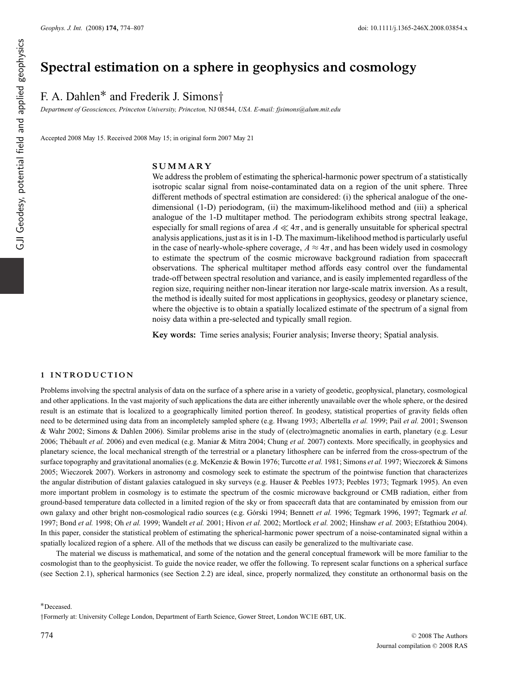# **Spectral estimation on a sphere in geophysics and cosmology**

F. A. Dahlen∗ and Frederik J. Simons†

*Department of Geosciences, Princeton University, Princeton,* NJ 08544, *USA. E-mail: fjsimons@alum.mit.edu*

Accepted 2008 May 15. Received 2008 May 15; in original form 2007 May 21

# **SUMMARY**

We address the problem of estimating the spherical-harmonic power spectrum of a statistically isotropic scalar signal from noise-contaminated data on a region of the unit sphere. Three different methods of spectral estimation are considered: (i) the spherical analogue of the onedimensional (1-D) periodogram, (ii) the maximum-likelihood method and (iii) a spherical analogue of the 1-D multitaper method. The periodogram exhibits strong spectral leakage, especially for small regions of area  $A \ll 4\pi$ , and is generally unsuitable for spherical spectral analysis applications, just as it is in 1-D. The maximum-likelihood method is particularly useful in the case of nearly-whole-sphere coverage,  $A \approx 4\pi$ , and has been widely used in cosmology to estimate the spectrum of the cosmic microwave background radiation from spacecraft observations. The spherical multitaper method affords easy control over the fundamental trade-off between spectral resolution and variance, and is easily implemented regardless of the region size, requiring neither non-linear iteration nor large-scale matrix inversion. As a result, the method is ideally suited for most applications in geophysics, geodesy or planetary science, where the objective is to obtain a spatially localized estimate of the spectrum of a signal from noisy data within a pre-selected and typically small region.

**Key words:** Time series analysis; Fourier analysis; Inverse theory; Spatial analysis.

# **1 INTRODUCTION**

Problems involving the spectral analysis of data on the surface of a sphere arise in a variety of geodetic, geophysical, planetary, cosmological and other applications. In the vast majority of such applications the data are either inherently unavailable over the whole sphere, or the desired result is an estimate that is localized to a geographically limited portion thereof. In geodesy, statistical properties of gravity fields often need to be determined using data from an incompletely sampled sphere (e.g. Hwang 1993; Albertella *et al.* 1999; Pail *et al.* 2001; Swenson & Wahr 2002; Simons & Dahlen 2006). Similar problems arise in the study of (electro)magnetic anomalies in earth, planetary (e.g. Lesur 2006; Thébault *et al.* 2006) and even medical (e.g. Maniar & Mitra 2004; Chung *et al.* 2007) contexts. More specifically, in geophysics and planetary science, the local mechanical strength of the terrestrial or a planetary lithosphere can be inferred from the cross-spectrum of the surface topography and gravitational anomalies (e.g. McKenzie & Bowin 1976; Turcotte *et al.* 1981; Simons *et al.* 1997; Wieczorek & Simons 2005; Wieczorek 2007). Workers in astronomy and cosmology seek to estimate the spectrum of the pointwise function that characterizes the angular distribution of distant galaxies catalogued in sky surveys (e.g. Hauser & Peebles 1973; Peebles 1973; Tegmark 1995). An even more important problem in cosmology is to estimate the spectrum of the cosmic microwave background or CMB radiation, either from ground-based temperature data collected in a limited region of the sky or from spacecraft data that are contaminated by emission from our own galaxy and other bright non-cosmological radio sources (e.g. Górski 1994; Bennett et al. 1996; Tegmark 1996, 1997; Tegmark et al. 1997; Bond *et al.* 1998; Oh *et al.* 1999; Wandelt *et al.* 2001; Hivon *et al.* 2002; Mortlock *et al.* 2002; Hinshaw *et al.* 2003; Efstathiou 2004). In this paper, consider the statistical problem of estimating the spherical-harmonic power spectrum of a noise-contaminated signal within a spatially localized region of a sphere. All of the methods that we discuss can easily be generalized to the multivariate case.

The material we discuss is mathematical, and some of the notation and the general conceptual framework will be more familiar to the cosmologist than to the geophysicist. To guide the novice reader, we offer the following. To represent scalar functions on a spherical surface (see Section 2.1), spherical harmonics (see Section 2.2) are ideal, since, properly normalized, they constitute an orthonormal basis on the

∗Deceased.

†Formerly at: University College London, Department of Earth Science, Gower Street, London WC1E 6BT, UK.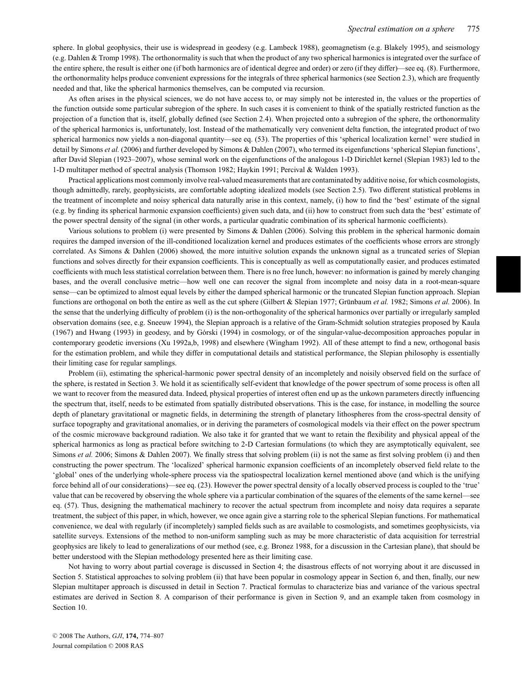sphere. In global geophysics, their use is widespread in geodesy (e.g. Lambeck 1988), geomagnetism (e.g. Blakely 1995), and seismology (e.g. Dahlen & Tromp 1998). The orthonormality is such that when the product of any two spherical harmonics is integrated over the surface of the entire sphere, the result is either one (if both harmonics are of identical degree and order) or zero (if they differ)—see eq. (8). Furthermore, the orthonormality helps produce convenient expressions for the integrals of three spherical harmonics (see Section 2.3), which are frequently needed and that, like the spherical harmonics themselves, can be computed via recursion.

As often arises in the physical sciences, we do not have access to, or may simply not be interested in, the values or the properties of the function outside some particular subregion of the sphere. In such cases it is convenient to think of the spatially restricted function as the projection of a function that is, itself, globally defined (see Section 2.4). When projected onto a subregion of the sphere, the orthonormality of the spherical harmonics is, unfortunately, lost. Instead of the mathematically very convenient delta function, the integrated product of two spherical harmonics now yields a non-diagonal quantity—see eq. (53). The properties of this 'spherical localization kernel' were studied in detail by Simons *et al.* (2006) and further developed by Simons & Dahlen (2007), who termed its eigenfunctions 'spherical Slepian functions', after David Slepian (1923–2007), whose seminal work on the eigenfunctions of the analogous 1-D Dirichlet kernel (Slepian 1983) led to the 1-D multitaper method of spectral analysis (Thomson 1982; Haykin 1991; Percival & Walden 1993).

Practical applications most commonly involve real-valued measurements that are contaminated by additive noise, for which cosmologists, though admittedly, rarely, geophysicists, are comfortable adopting idealized models (see Section 2.5). Two different statistical problems in the treatment of incomplete and noisy spherical data naturally arise in this context, namely, (i) how to find the 'best' estimate of the signal (e.g. by finding its spherical harmonic expansion coefficients) given such data, and (ii) how to construct from such data the 'best' estimate of the power spectral density of the signal (in other words, a particular quadratic combination of its spherical harmonic coefficients).

Various solutions to problem (i) were presented by Simons & Dahlen (2006). Solving this problem in the spherical harmonic domain requires the damped inversion of the ill-conditioned localization kernel and produces estimates of the coefficients whose errors are strongly correlated. As Simons & Dahlen (2006) showed, the more intuitive solution expands the unknown signal as a truncated series of Slepian functions and solves directly for their expansion coefficients. This is conceptually as well as computationally easier, and produces estimated coefficients with much less statistical correlation between them. There is no free lunch, however: no information is gained by merely changing bases, and the overall conclusive metric—how well one can recover the signal from incomplete and noisy data in a root-mean-square sense—can be optimized to almost equal levels by either the damped spherical harmonic or the truncated Slepian function approach. Slepian functions are orthogonal on both the entire as well as the cut sphere (Gilbert & Slepian 1977; Grünbaum *et al.* 1982; Simons *et al.* 2006). In the sense that the underlying difficulty of problem (i) is the non-orthogonality of the spherical harmonics over partially or irregularly sampled observation domains (see, e.g. Sneeuw 1994), the Slepian approach is a relative of the Gram-Schmidt solution strategies proposed by Kaula (1967) and Hwang (1993) in geodesy, and by Gorski (1994) in cosmology, or of the singular-value-decomposition approaches popular in ´ contemporary geodetic inversions (Xu 1992a,b, 1998) and elsewhere (Wingham 1992). All of these attempt to find a new, orthogonal basis for the estimation problem, and while they differ in computational details and statistical performance, the Slepian philosophy is essentially their limiting case for regular samplings.

Problem (ii), estimating the spherical-harmonic power spectral density of an incompletely and noisily observed field on the surface of the sphere, is restated in Section 3. We hold it as scientifically self-evident that knowledge of the power spectrum of some process is often all we want to recover from the measured data. Indeed, physical properties of interest often end up as the unkown parameters directly influencing the spectrum that, itself, needs to be estimated from spatially distributed observations. This is the case, for instance, in modelling the source depth of planetary gravitational or magnetic fields, in determining the strength of planetary lithospheres from the cross-spectral density of surface topography and gravitational anomalies, or in deriving the parameters of cosmological models via their effect on the power spectrum of the cosmic microwave background radiation. We also take it for granted that we want to retain the flexibility and physical appeal of the spherical harmonics as long as practical before switching to 2-D Cartesian formulations (to which they are asymptotically equivalent, see Simons *et al.* 2006; Simons & Dahlen 2007). We finally stress that solving problem (ii) is not the same as first solving problem (i) and then constructing the power spectrum. The 'localized' spherical harmonic expansion coefficients of an incompletely observed field relate to the 'global' ones of the underlying whole-sphere process via the spatiospectral localization kernel mentioned above (and which is the unifying force behind all of our considerations)—see eq. (23). However the power spectral density of a locally observed process is coupled to the 'true' value that can be recovered by observing the whole sphere via a particular combination of the squares of the elements of the same kernel—see eq. (57). Thus, designing the mathematical machinery to recover the actual spectrum from incomplete and noisy data requires a separate treatment, the subject of this paper, in which, however, we once again give a starring role to the spherical Slepian functions. For mathematical convenience, we deal with regularly (if incompletely) sampled fields such as are available to cosmologists, and sometimes geophysicists, via satellite surveys. Extensions of the method to non-uniform sampling such as may be more characteristic of data acquisition for terrestrial geophysics are likely to lead to generalizations of our method (see, e.g. Bronez 1988, for a discussion in the Cartesian plane), that should be better understood with the Slepian methodology presented here as their limiting case.

Not having to worry about partial coverage is discussed in Section 4; the disastrous effects of not worrying about it are discussed in Section 5. Statistical approaches to solving problem (ii) that have been popular in cosmology appear in Section 6, and then, finally, our new Slepian multitaper approach is discussed in detail in Section 7. Practical formulas to characterize bias and variance of the various spectral estimates are derived in Section 8. A comparison of their performance is given in Section 9, and an example taken from cosmology in Section 10.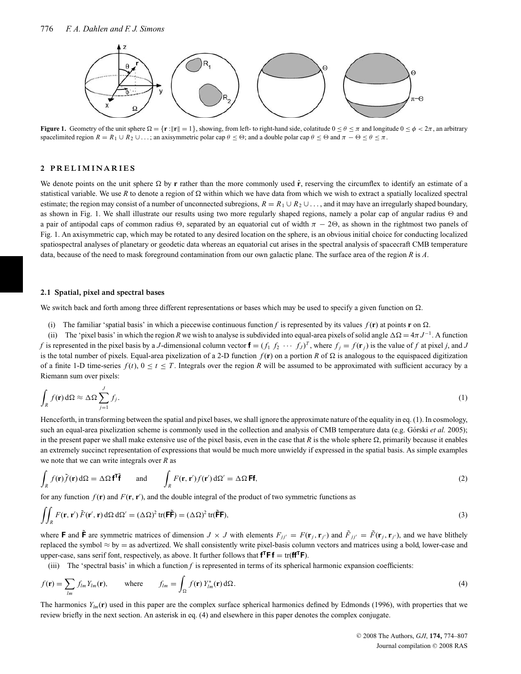

**Figure 1.** Geometry of the unit sphere  $\Omega = \{r : ||r|| = 1\}$ , showing, from left- to right-hand side, colatitude  $0 \le \theta \le \pi$  and longitude  $0 \le \phi \le 2\pi$ , an arbitrary spacelimited region  $R = R_1 \cup R_2 \cup ...$ ; an axisymmetric polar cap  $\theta \le \Theta$ ; and a double polar cap  $\theta \le \Theta$  and  $\pi - \Theta \le \theta \le \pi$ .

# **2 PRELIMINARIES**

We denote points on the unit sphere  $\Omega$  by **r** rather than the more commonly used  $\hat{r}$ , reserving the circumflex to identify an estimate of a statistical variable. We use  $R$  to denote a region of  $\Omega$  within which we have data from which we wish to extract a spatially localized spectral estimate; the region may consist of a number of unconnected subregions,  $R = R_1 \cup R_2 \cup \ldots$ , and it may have an irregularly shaped boundary, as shown in Fig. 1. We shall illustrate our results using two more regularly shaped regions, namely a polar cap of angular radius  $\Theta$  and a pair of antipodal caps of common radius  $\Theta$ , separated by an equatorial cut of width  $\pi - 2\Theta$ , as shown in the rightmost two panels of Fig. 1. An axisymmetric cap, which may be rotated to any desired location on the sphere, is an obvious initial choice for conducting localized spatiospectral analyses of planetary or geodetic data whereas an equatorial cut arises in the spectral analysis of spacecraft CMB temperature data, because of the need to mask foreground contamination from our own galactic plane. The surface area of the region *R* is *A*.

#### **2.1 Spatial, pixel and spectral bases**

We switch back and forth among three different representations or bases which may be used to specify a given function on  $\Omega$ .

(i) The familiar 'spatial basis' in which a piecewise continuous function f is represented by its values  $f(\mathbf{r})$  at points **r** on  $\Omega$ .

(ii) The 'pixel basis' in which the region *R* we wish to analyse is subdivided into equal-area pixels of solid angle  $\Delta\Omega = 4\pi J^{-1}$ . A function f is represented in the pixel basis by a J-dimensional column vector  $\mathbf{f} = (f_1 \ f_2 \ \cdots \ f_J)^T$ , where  $f_j = f(\mathbf{r}_j)$  is the value of f at pixel j, and J is the total number of pixels. Equal-area pixelization of a 2-D function  $f(\mathbf{r})$  on a portion  $R$  of  $\Omega$  is analogous to the equispaced digitization of a finite 1-D time-series  $f(t)$ ,  $0 \le t \le T$ . Integrals over the region *R* will be assumed to be approximated with sufficient accuracy by a Riemann sum over pixels:

$$
\int_{R} f(\mathbf{r}) d\Omega \approx \Delta \Omega \sum_{j=1}^{J} f_{j}.
$$
\n(1)

Henceforth, in transforming between the spatial and pixel bases, we shall ignore the approximate nature of the equality in eq. (1). In cosmology, such an equal-area pixelization scheme is commonly used in the collection and analysis of CMB temperature data (e.g. Górski et al. 2005); in the present paper we shall make extensive use of the pixel basis, even in the case that  $R$  is the whole sphere  $\Omega$ , primarily because it enables an extremely succinct representation of expressions that would be much more unwieldy if expressed in the spatial basis. As simple examples we note that we can write integrals over *R* as

$$
\int_{R} f(\mathbf{r}) \tilde{f}(\mathbf{r}) d\Omega = \Delta \Omega \mathbf{f}^{\mathsf{T}} \tilde{\mathbf{f}} \quad \text{and} \quad \int_{R} F(\mathbf{r}, \mathbf{r}') f(\mathbf{r}') d\Omega' = \Delta \Omega \mathbf{F} \mathbf{f},
$$
\n(2)

for any function  $f(\mathbf{r})$  and  $F(\mathbf{r}, \mathbf{r}')$ , and the double integral of the product of two symmetric functions as

$$
\iint_{R} F(\mathbf{r}, \mathbf{r}') \tilde{F}(\mathbf{r}', \mathbf{r}) d\Omega d\Omega' = (\Delta \Omega)^2 \operatorname{tr}(\mathbf{F}\tilde{\mathbf{F}}) = (\Delta \Omega)^2 \operatorname{tr}(\tilde{\mathbf{F}}\mathbf{F}),
$$
\n(3)

where **F** and  $\tilde{\mathbf{F}}$  are symmetric matrices of dimension  $J \times J$  with elements  $F_{jj'} = F(\mathbf{r}_j, \mathbf{r}_{j'})$  and  $\tilde{F}_{jj'} = \tilde{F}(\mathbf{r}_j, \mathbf{r}_{j'})$ , and we have blithely replaced the symbol  $\approx$  by  $=$  as advertized. We shall consistently write pixel-basis column vectors and matrices using a bold, lower-case and upper-case, sans serif font, respectively, as above. It further follows that **f TF f** <sup>=</sup> tr(**ffTF**).

(iii) The 'spectral basis' in which a function  $f$  is represented in terms of its spherical harmonic expansion coefficients:

$$
f(\mathbf{r}) = \sum_{lm} f_{lm} Y_{lm}(\mathbf{r}), \qquad \text{where} \qquad f_{lm} = \int_{\Omega} f(\mathbf{r}) Y_{lm}^*(\mathbf{r}) d\Omega. \tag{4}
$$

The harmonics *Ylm*(**r**) used in this paper are the complex surface spherical harmonics defined by Edmonds (1996), with properties that we review briefly in the next section. An asterisk in eq. (4) and elsewhere in this paper denotes the complex conjugate.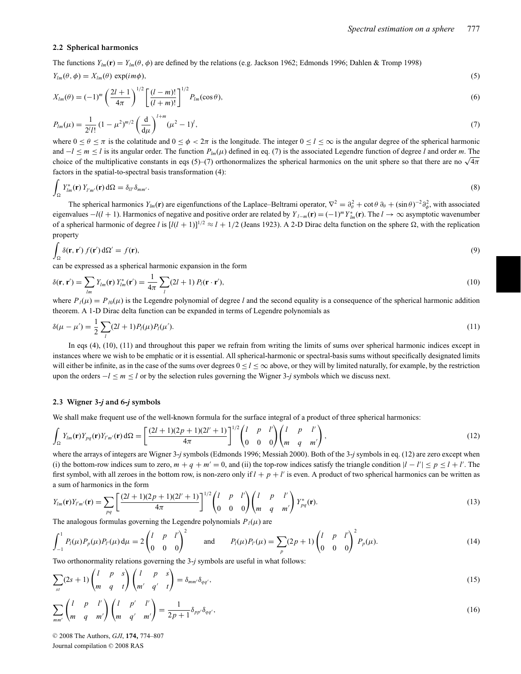#### **2.2 Spherical harmonics**

The functions  $Y_{lm}(\mathbf{r}) = Y_{lm}(\theta, \phi)$  are defined by the relations (e.g. Jackson 1962; Edmonds 1996; Dahlen & Tromp 1998)

$$
Y_{lm}(\theta,\phi) = X_{lm}(\theta) \exp(im\phi),
$$
\n(5)

$$
X_{lm}(\theta) = (-1)^m \left(\frac{2l+1}{4\pi}\right)^{1/2} \left[\frac{(l-m)!}{(l+m)!}\right]^{1/2} P_{lm}(\cos\theta),\tag{6}
$$

$$
P_{lm}(\mu) = \frac{1}{2^l l!} \left(1 - \mu^2\right)^{m/2} \left(\frac{d}{d\mu}\right)^{l+m} (\mu^2 - 1)^l,\tag{7}
$$

where  $0 \le \theta \le \pi$  is the colatitude and  $0 \le \phi < 2\pi$  is the longitude. The integer  $0 \le l \le \infty$  is the angular degree of the spherical harmonic and  $-l \leq m \leq l$  is its angular order. The function  $P_{lm}(\mu)$  defined in eq. (7) is the associated Legendre function of degree *l* and order *m*. The choice of the multiplicative constants in eqs (5)–(7) orthonormalizes the spherical harmonics on the unit sphere so that there are no  $\sqrt{4\pi}$ factors in the spatial-to-spectral basis transformation (4):

$$
\int_{\Omega} Y_{lm}^*(\mathbf{r}) Y_{l'm'}(\mathbf{r}) d\Omega = \delta_{ll'} \delta_{mm'}.
$$
\n(8)

The spherical harmonics  $Y_{lm}(\mathbf{r})$  are eigenfunctions of the Laplace–Beltrami operator,  $\nabla^2 = \partial^2_\theta + \cot \theta \, \partial_\theta + (\sin \theta)^{-2} \partial^2_\phi$ , with associated eigenvalues −*l*(*l* + 1). Harmonics of negative and positive order are related by *Y <sup>l</sup>*−*<sup>m</sup>*(**r**) = (−1)*mY* <sup>∗</sup> *lm*(**r**). The *l* → ∞ asymptotic wavenumber of a spherical harmonic of degree *l* is  $[l(l + 1)]^{1/2} \approx l + 1/2$  (Jeans 1923). A 2-D Dirac delta function on the sphere  $\Omega$ , with the replication property

$$
\int_{\Omega} \delta(\mathbf{r}, \mathbf{r}') f(\mathbf{r}') d\Omega' = f(\mathbf{r}),\tag{9}
$$

can be expressed as a spherical harmonic expansion in the form

$$
\delta(\mathbf{r}, \mathbf{r}') = \sum_{lm} Y_{lm}(\mathbf{r}) Y_{lm}^*(\mathbf{r}') = \frac{1}{4\pi} \sum_{l} (2l+1) P_l(\mathbf{r} \cdot \mathbf{r}'), \tag{10}
$$

where  $P_l(\mu) = P_{l0}(\mu)$  is the Legendre polynomial of degree *l* and the second equality is a consequence of the spherical harmonic addition theorem. A 1-D Dirac delta function can be expanded in terms of Legendre polynomials as

$$
\delta(\mu - \mu') = \frac{1}{2} \sum_{l} (2l + 1) P_l(\mu) P_l(\mu'). \tag{11}
$$

In eqs (4), (10), (11) and throughout this paper we refrain from writing the limits of sums over spherical harmonic indices except in instances where we wish to be emphatic or it is essential. All spherical-harmonic or spectral-basis sums without specifically designated limits will either be infinite, as in the case of the sums over degrees  $0 \le l \le \infty$  above, or they will by limited naturally, for example, by the restriction upon the orders −*l* ≤ *m* ≤ *l* or by the selection rules governing the Wigner 3-*j* symbols which we discuss next.

# **2.3 Wigner 3-***j* **and 6-***j* **symbols**

We shall make frequent use of the well-known formula for the surface integral of a product of three spherical harmonics:

$$
\int_{\Omega} Y_{lm}(\mathbf{r}) Y_{pq}(\mathbf{r}) Y_{l'm'}(\mathbf{r}) d\Omega = \left[ \frac{(2l+1)(2p+1)(2l'+1)}{4\pi} \right]^{1/2} \begin{pmatrix} l & p & l' \\ 0 & 0 & 0 \end{pmatrix} \begin{pmatrix} l & p & l' \\ m & q & m' \end{pmatrix},\tag{12}
$$

where the arrays of integers are Wigner 3-*j* symbols (Edmonds 1996; Messiah 2000). Both of the 3-*j* symbols in eq. (12) are zero except when (i) the bottom-row indices sum to zero,  $m + q + m' = 0$ , and (ii) the top-row indices satisfy the triangle condition  $|l - l'| \le p \le l + l'$ . The first symbol, with all zeroes in the bottom row, is non-zero only if  $l + p + l'$  is even. A product of two spherical harmonics can be written as a sum of harmonics in the form

$$
Y_{lm}(\mathbf{r})Y_{l'm'}(\mathbf{r}) = \sum_{pq} \left[ \frac{(2l+1)(2p+1)(2l'+1)}{4\pi} \right]^{1/2} \begin{pmatrix} l & p & l' \\ 0 & 0 & 0 \end{pmatrix} \begin{pmatrix} l & p & l' \\ m & q & m' \end{pmatrix} Y_{pq}^*(\mathbf{r}).
$$
\n(13)

The analogous formulas governing the Legendre polynomials  $P_l(\mu)$  are

$$
\int_{-1}^{1} P_{l}(\mu) P_{p}(\mu) P_{l'}(\mu) d\mu = 2 \begin{pmatrix} l & p & l' \\ 0 & 0 & 0 \end{pmatrix}^{2} \quad \text{and} \quad P_{l}(\mu) P_{l'}(\mu) = \sum_{p} (2p+1) \begin{pmatrix} l & p & l' \\ 0 & 0 & 0 \end{pmatrix}^{2} P_{p}(\mu).
$$
 (14)

Two orthonormality relations governing the 3-*j* symbols are useful in what follows:

$$
\sum_{st} (2s+1) \begin{pmatrix} l & p & s \\ m & q & t \end{pmatrix} \begin{pmatrix} l & p & s \\ m' & q' & t \end{pmatrix} = \delta_{mm'} \delta_{qq'}, \tag{15}
$$

$$
\sum_{mm'} \begin{pmatrix} l & p & l' \\ m & q & m' \end{pmatrix} \begin{pmatrix} l & p' & l' \\ m & q' & m' \end{pmatrix} = \frac{1}{2p+1} \delta_{pp'} \delta_{qq'},\tag{16}
$$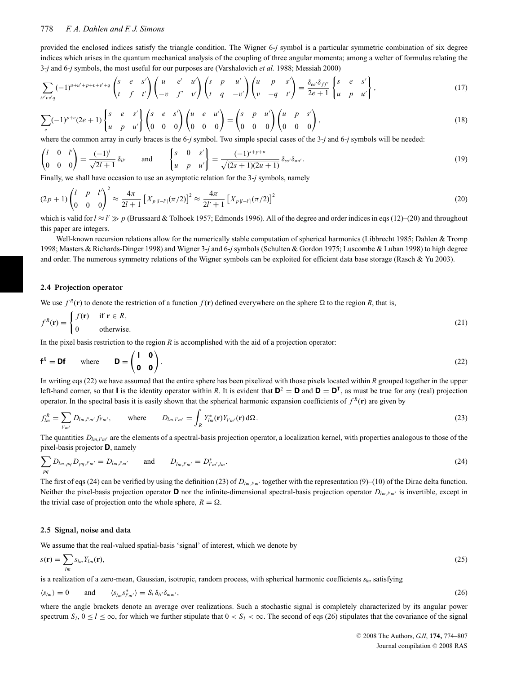# 778 *F. A. Dahlen and F. J. Simons*

provided the enclosed indices satisfy the triangle condition. The Wigner 6-*j* symbol is a particular symmetric combination of six degree indices which arises in the quantum mechanical analysis of the coupling of three angular momenta; among a welter of formulas relating the 3-*j* and 6-*j* symbols, the most useful for our purposes are (Varshalovich *et al.* 1988; Messiah 2000)

$$
\sum_{tt'vv'q}(-1)^{u+u'+p+v+v'+q}\begin{pmatrix} s & e & s' \\ t & f & t' \end{pmatrix}\begin{pmatrix} u & e' & u' \\ -v & f' & v' \end{pmatrix}\begin{pmatrix} s & p & u' \\ t & q & -v' \end{pmatrix}\begin{pmatrix} u & p & s' \\ v & -q & t' \end{pmatrix} = \frac{\delta_{ee'}\delta_{ff'}}{2e+1}\begin{pmatrix} s & e & s' \\ u & p & u' \end{pmatrix},\tag{17}
$$

$$
\sum_{e} (-1)^{p+e} (2e+1) \begin{Bmatrix} s & e & s' \\ u & p & u' \end{Bmatrix} \begin{pmatrix} s & e & s' \\ 0 & 0 & 0 \end{pmatrix} \begin{pmatrix} u & e & u' \\ 0 & 0 & 0 \end{pmatrix} = \begin{pmatrix} s & p & u' \\ 0 & 0 & 0 \end{pmatrix} \begin{pmatrix} u & p & s' \\ 0 & 0 & 0 \end{pmatrix},
$$
\n(18)

where the common array in curly braces is the 6-*j* symbol. Two simple special cases of the 3-*j* and 6-*j* symbols will be needed:

$$
\begin{pmatrix} l & 0 & l' \\ 0 & 0 & 0 \end{pmatrix} = \frac{(-1)^l}{\sqrt{2l+1}} \delta_{ll'} \quad \text{and} \quad \begin{cases} s & 0 & s' \\ u & p & u' \end{cases} = \frac{(-1)^{s+p+u}}{\sqrt{(2s+1)(2u+1)}} \delta_{ss'} \delta_{uu'}.
$$
 (19)

Finally, we shall have occasion to use an asymptotic relation for the 3-*j* symbols, namely

$$
(2p+1)\begin{pmatrix} l & p & l' \\ 0 & 0 & 0 \end{pmatrix}^2 \approx \frac{4\pi}{2l+1} \left[ X_{p|l-l'|}(\pi/2) \right]^2 \approx \frac{4\pi}{2l'+1} \left[ X_{p|l-l'|}(\pi/2) \right]^2 \tag{20}
$$

which is valid for  $l \approx l' \gg p$  (Brussaard & Tolhoek 1957; Edmonds 1996). All of the degree and order indices in eqs (12)–(20) and throughout this paper are integers.

Well-known recursion relations allow for the numerically stable computation of spherical harmonics (Libbrecht 1985; Dahlen & Tromp 1998; Masters & Richards-Dinger 1998) and Wigner 3-*j* and 6-*j* symbols (Schulten & Gordon 1975; Luscombe & Luban 1998) to high degree and order. The numerous symmetry relations of the Wigner symbols can be exploited for efficient data base storage (Rasch & Yu 2003).

### **2.4 Projection operator**

We use  $f^R(\mathbf{r})$  to denote the restriction of a function  $f(\mathbf{r})$  defined everywhere on the sphere  $\Omega$  to the region *R*, that is,

$$
f^{R}(\mathbf{r}) = \begin{cases} f(\mathbf{r}) & \text{if } \mathbf{r} \in R, \\ 0 & \text{otherwise.} \end{cases}
$$
 (21)

In the pixel basis restriction to the region *R* is accomplished with the aid of a projection operator:

$$
\mathbf{f}^R = \mathbf{D}\mathbf{f} \qquad \text{where} \qquad \mathbf{D} = \begin{pmatrix} \mathbf{I} & \mathbf{0} \\ \mathbf{0} & \mathbf{0} \end{pmatrix} . \tag{22}
$$

In writing eqs (22) we have assumed that the entire sphere has been pixelized with those pixels located within *R* grouped together in the upper left-hand corner, so that **I** is the identity operator within *R*. It is evident that  $D^2 = D$  and  $D = D^T$ , as must be true for any (real) projection operator. In the spectral basis it is easily shown that the spherical harmonic expansion coefficients of  $f^R(\mathbf{r})$  are given by

$$
f_{lm}^R = \sum_{l'm'} D_{lm,l'm'} f_{l'm'}, \qquad \text{where} \qquad D_{lm,l'm'} = \int_R Y_{lm}^*(\mathbf{r}) Y_{l'm'}(\mathbf{r}) \, d\Omega. \tag{23}
$$

The quantities  $D_{lm,l'm'}$  are the elements of a spectral-basis projection operator, a localization kernel, with properties analogous to those of the pixel-basis projector **D**, namely

$$
\sum_{pq} D_{lm,pq} D_{pq,l'm'} = D_{lm,l'm'} \quad \text{and} \quad D_{lm,l'm'} = D^*_{l'm',lm}.
$$
\n(24)

The first of eqs (24) can be verified by using the definition (23) of  $D_{lm,l'm'}$  together with the representation (9)–(10) of the Dirac delta function. Neither the pixel-basis projection operator **D** nor the infinite-dimensional spectral-basis projection operator  $D_{lm,l'm'}$  is invertible, except in the trivial case of projection onto the whole sphere,  $R = \Omega$ .

# **2.5 Signal, noise and data**

We assume that the real-valued spatial-basis 'signal' of interest, which we denote by

$$
s(\mathbf{r}) = \sum_{lm} s_{lm} Y_{lm}(\mathbf{r}),
$$
\n(25)

is a realization of a zero-mean, Gaussian, isotropic, random process, with spherical harmonic coefficients  $s_{lm}$  satisfying

$$
\langle s_{lm} \rangle = 0 \quad \text{and} \quad \langle s_{lm} s_{l'm'}^* \rangle = S_l \, \delta_{ll'} \delta_{mm'}, \tag{26}
$$

where the angle brackets denote an average over realizations. Such a stochastic signal is completely characterized by its angular power spectrum  $S_l$ ,  $0 \le l \le \infty$ , for which we further stipulate that  $0 < S_l < \infty$ . The second of eqs (26) stipulates that the covariance of the signal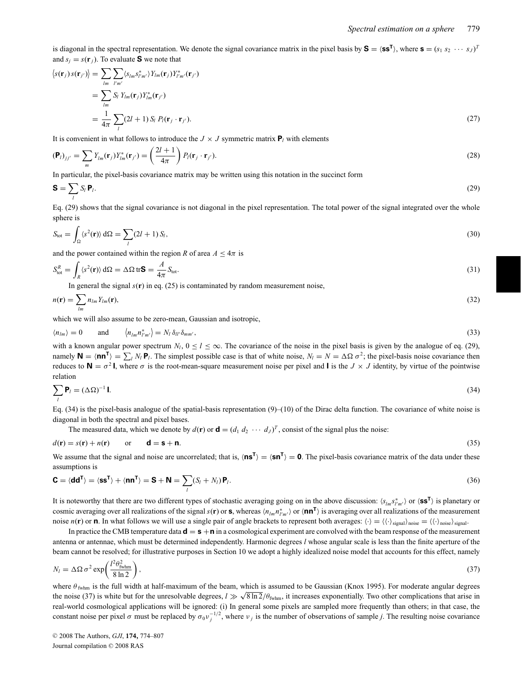is diagonal in the spectral representation. We denote the signal covariance matrix in the pixel basis by  $S = \langle ss^T \rangle$ , where  $s = (s_1 \ s_2 \ \cdots \ s_J)^T$ and  $s_i = s(\mathbf{r}_i)$ . To evaluate **S** we note that

$$
\langle s(\mathbf{r}_{j}) s(\mathbf{r}_{j'}) \rangle = \sum_{lm} \sum_{l'm'} \langle s_{lm} s_{l'm'}^{*} \rangle Y_{lm}(\mathbf{r}_{j}) Y_{lm}^{*}(\mathbf{r}_{j'})
$$
  
\n
$$
= \sum_{lm} S_{l} Y_{lm}(\mathbf{r}_{j}) Y_{lm}^{*}(\mathbf{r}_{j'})
$$
  
\n
$$
= \frac{1}{4\pi} \sum_{l} (2l+1) S_{l} P_{l}(\mathbf{r}_{j} \cdot \mathbf{r}_{j'}).
$$
 (27)

It is convenient in what follows to introduce the  $J \times J$  symmetric matrix  $P_l$  with elements

$$
\left(\mathbf{P}_{i}\right)_{jj'} = \sum_{m} Y_{lm}(\mathbf{r}_{j}) Y_{lm}^{*}(\mathbf{r}_{j'}) = \left(\frac{2l+1}{4\pi}\right) P_{l}(\mathbf{r}_{j} \cdot \mathbf{r}_{j'}).
$$
\n(28)

In particular, the pixel-basis covariance matrix may be written using this notation in the succinct form

$$
\mathbf{S} = \sum_{l} S_l \, \mathbf{P}_l. \tag{29}
$$

Eq. (29) shows that the signal covariance is not diagonal in the pixel representation. The total power of the signal integrated over the whole sphere is

$$
S_{\text{tot}} = \int_{\Omega} \langle s^2(\mathbf{r}) \rangle \, d\Omega = \sum_{l} (2l+1) \, S_l, \tag{30}
$$

and the power contained within the region *R* of area  $A \leq 4\pi$  is

$$
S_{\text{tot}}^R = \int_R \langle s^2(\mathbf{r}) \rangle \, \mathrm{d}\Omega = \Delta \Omega \, \text{tr} \mathbf{S} = \frac{A}{4\pi} S_{\text{tot}}.\tag{31}
$$

In general the signal  $s(\mathbf{r})$  in eq. (25) is contaminated by random measurement noise,

$$
n(\mathbf{r}) = \sum_{lm} n_{lm} Y_{lm}(\mathbf{r}),
$$
\n(32)

which we will also assume to be zero-mean, Gaussian and isotropic,

$$
\langle n_{lm} \rangle = 0 \quad \text{and} \quad \langle n_{lm} n_{l'm'}^* \rangle = N_l \, \delta_{ll'} \delta_{mm'} \tag{33}
$$

with a known angular power spectrum  $N_l$ ,  $0 \le l \le \infty$ . The covariance of the noise in the pixel basis is given by the analogue of eq. (29), namely  $N = \langle n n^T \rangle = \sum_l N_l P_l$ . The simplest possible case is that of white noise,  $N_l = N = \Delta \Omega \sigma^2$ ; the pixel-basis noise covariance then reduces to **N** =  $\sigma^2$ **I**, where  $\sigma$  is the root-mean-square measurement noise per pixel and **I** is the *J* × *J* identity, by virtue of the pointwise relation

$$
\sum_{l} \mathbf{P}_l = (\Delta \Omega)^{-1} \mathbf{I}.
$$
\n(34)

Eq.  $(34)$  is the pixel-basis analogue of the spatial-basis representation  $(9)$ – $(10)$  of the Dirac delta function. The covariance of white noise is diagonal in both the spectral and pixel bases.

The measured data, which we denote by  $d(\mathbf{r})$  or  $\mathbf{d} = (d_1 \ d_2 \ \cdots \ d_J)^T$ , consist of the signal plus the noise:

$$
d(\mathbf{r}) = s(\mathbf{r}) + n(\mathbf{r}) \qquad \text{or} \qquad \mathbf{d} = \mathbf{s} + \mathbf{n}.\tag{35}
$$

We assume that the signal and noise are uncorrelated; that is,  $\langle \mathbf{n} \mathbf{s}^{\mathsf{T}} \rangle = \langle \mathbf{s} \mathbf{n}^{\mathsf{T}} \rangle = 0$ . The pixel-basis covariance matrix of the data under these assumptions is

$$
\mathbf{C} = \langle \mathbf{d} \mathbf{d}^{\mathsf{T}} \rangle = \langle \mathbf{s} \mathbf{s}^{\mathsf{T}} \rangle + \langle \mathbf{n} \mathbf{n}^{\mathsf{T}} \rangle = \mathbf{S} + \mathbf{N} = \sum_{l} (S_l + N_l) \mathbf{P}_l.
$$
 (36)

It is noteworthy that there are two different types of stochastic averaging going on in the above discussion:  $\langle s_{lm} s^*_{l'm'} \rangle$  or  $\langle \textbf{ss}^T \rangle$  is planetary or cosmic averaging over all realizations of the signal  $s(\mathbf{r})$  or **s**, whereas  $\langle n_{lm} n^*_{l'm'} \rangle$  or  $\langle \mathbf{n} \mathbf{n}^T \rangle$  is averaging over all realizations of the measurement noise  $n(\mathbf{r})$  or **n**. In what follows we will use a single pair of angle brackets to represent both averages:  $\langle \cdot \rangle = \langle \langle \cdot \rangle_{\text{signal}}\rangle_{\text{noise}} = \langle \langle \cdot \rangle_{\text{noise}}\rangle_{\text{signal}}$ 

In practice the CMB temperature data  $\mathbf{d} = \mathbf{s} + \mathbf{n}$  in a cosmological experiment are convolved with the beam response of the measurement antenna or antennae, which must be determined independently. Harmonic degrees *l* whose angular scale is less than the finite aperture of the beam cannot be resolved; for illustrative purposes in Section 10 we adopt a highly idealized noise model that accounts for this effect, namely

$$
N_l = \Delta \Omega \sigma^2 \exp\left(\frac{l^2 \theta_{\text{fwhm}}^2}{8 \ln 2}\right),\tag{37}
$$

where  $\theta$ <sub>fwhm</sub> is the full width at half-maximum of the beam, which is assumed to be Gaussian (Knox 1995). For moderate angular degrees the noise (37) is white but for the unresolvable degrees,  $l \gg \sqrt{8 \ln 2/\theta_{\text{fwhm}}}$ , it increases exponentially. Two other complications that arise in real-world cosmological applications will be ignored: (i) In general some pixels are sampled more frequently than others; in that case, the constant noise per pixel  $\sigma$  must be replaced by  $\sigma_0 v_j^{-1/2}$ , where  $v_j$  is the number of observations of sample *j*. The resulting noise covariance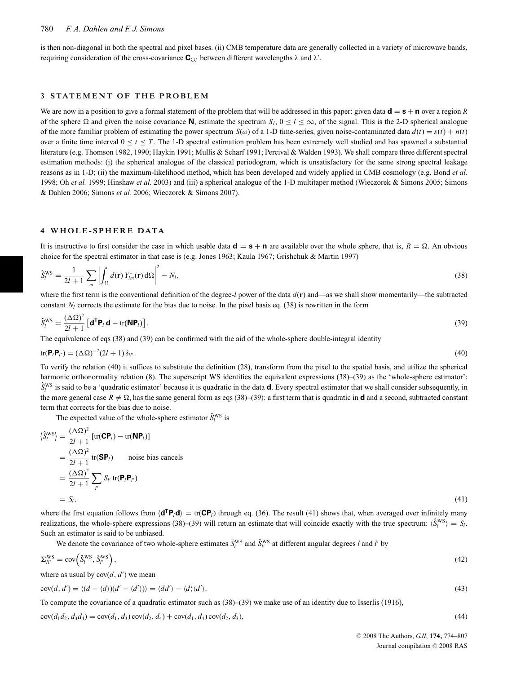is then non-diagonal in both the spectral and pixel bases. (ii) CMB temperature data are generally collected in a variety of microwave bands, requiring consideration of the cross-covariance  $C_{\lambda\lambda}$  between different wavelengths  $\lambda$  and  $\lambda'$ .

# **3 STATEMENT OF THE PROBLEM**

We are now in a position to give a formal statement of the problem that will be addressed in this paper: given data  $\mathbf{d} = \mathbf{s} + \mathbf{n}$  over a region *R* of the sphere  $\Omega$  and given the noise covariance **N**, estimate the spectrum  $S_l$ ,  $0 \le l \le \infty$ , of the signal. This is the 2-D spherical analogue of the more familiar problem of estimating the power spectrum *S*( $\omega$ ) of a 1-D time-series, given noise-contaminated data  $d(t) = s(t) + n(t)$ over a finite time interval  $0 \le t \le T$ . The 1-D spectral estimation problem has been extremely well studied and has spawned a substantial literature (e.g. Thomson 1982, 1990; Haykin 1991; Mullis & Scharf 1991; Percival & Walden 1993). We shall compare three different spectral estimation methods: (i) the spherical analogue of the classical periodogram, which is unsatisfactory for the same strong spectral leakage reasons as in 1-D; (ii) the maximum-likelihood method, which has been developed and widely applied in CMB cosmology (e.g. Bond *et al.* 1998; Oh *et al.* 1999; Hinshaw *et al.* 2003) and (iii) a spherical analogue of the 1-D multitaper method (Wieczorek & Simons 2005; Simons & Dahlen 2006; Simons *et al.* 2006; Wieczorek & Simons 2007).

#### **4 WHOLE-SPHERE DATA**

It is instructive to first consider the case in which usable data  $\mathbf{d} = \mathbf{s} + \mathbf{n}$  are available over the whole sphere, that is,  $R = \Omega$ . An obvious choice for the spectral estimator in that case is (e.g. Jones 1963; Kaula 1967; Grishchuk & Martin 1997)

$$
\hat{S}_l^{\text{WS}} = \frac{1}{2l+1} \sum_{m} \left| \int_{\Omega} d(\mathbf{r}) Y_{lm}^*(\mathbf{r}) \, d\Omega \right|^2 - N_l,
$$
\n(38)

where the first term is the conventional definition of the degree- $l$  power of the data  $d(\mathbf{r})$  and—as we shall show momentarily—the subtracted constant  $N_l$  corrects the estimate for the bias due to noise. In the pixel basis eq. (38) is rewritten in the form

$$
\hat{S}_l^{\text{WS}} = \frac{(\Delta \Omega)^2}{2l+1} \left[ \mathbf{d}^{\mathsf{T}} \mathbf{P}_l \, \mathbf{d} - \text{tr}(\mathbf{N} \mathbf{P}_l) \right]. \tag{39}
$$

The equivalence of eqs (38) and (39) can be confirmed with the aid of the whole-sphere double-integral identity

$$
\text{tr}(\mathbf{P}_l \mathbf{P}_{l'}) = (\Delta \Omega)^{-2} (2l+1) \, \delta_{ll'}.\tag{40}
$$

To verify the relation (40) it suffices to substitute the definition (28), transform from the pixel to the spatial basis, and utilize the spherical harmonic orthonormality relation (8). The superscript WS identifies the equivalent expressions (38)–(39) as the 'whole-sphere estimator';  $\hat{S}_l^{\text{WS}}$  is said to be a 'quadratic estimator' because it is quadratic in the data **d**. Every spectral estimator that we shall consider subsequently, in the more general case  $R \neq \Omega$ , has the same general form as eqs (38)–(39): a first term that is quadratic in **d** and a second, subtracted constant term that corrects for the bias due to noise.

The expected value of the whole-sphere estimator  $\hat{S}_l^{\text{WS}}$  is

$$
\langle \hat{S}_l^{\text{WS}} \rangle = \frac{(\Delta \Omega)^2}{2l+1} \left[ \text{tr}(\mathbf{CP}_l) - \text{tr}(\mathbf{NP}_l) \right]
$$
  
\n
$$
= \frac{(\Delta \Omega)^2}{2l+1} \text{tr}(\mathbf{SP}_l) \qquad \text{noise bias cancels}
$$
  
\n
$$
= \frac{(\Delta \Omega)^2}{2l+1} \sum_{l'} S_{l'} \text{tr}(\mathbf{P}_l \mathbf{P}_{l'})
$$
  
\n
$$
= S_l, \qquad (41)
$$

where the first equation follows from  $\langle d^T P_l d \rangle = \text{tr}(CP_l)$  through eq. (36). The result (41) shows that, when averaged over infinitely many realizations, the whole-sphere expressions (38)–(39) will return an estimate that will coincide exactly with the true spectrum:  $\langle \hat{S}_l^{WS} \rangle = S_l$ . Such an estimator is said to be unbiased.

We denote the covariance of two whole-sphere estimates  $\hat{S}_l^{WS}$  and  $\hat{S}_l^{WS}$  at different angular degrees *l* and *l'* by

$$
\Sigma_{ll'}^{\text{ws}} = \text{cov}\left(\hat{S}_l^{\text{ws}}, \hat{S}_l^{\text{ws}}\right),\tag{42}
$$

$$
cov(d, d') = \langle (d - \langle d \rangle)(d' - \langle d' \rangle) \rangle = \langle dd' \rangle - \langle d \rangle \langle d' \rangle.
$$
\n(43)

To compute the covariance of a quadratic estimator such as (38)–(39) we make use of an identity due to Isserlis (1916),

 $cov(d_1d_2, d_3d_4) = cov(d_1, d_3) cov(d_2, d_4) + cov(d_1, d_4) cov(d_2, d_3),$ (44)

where as usual by  $cov(d, d')$  we mean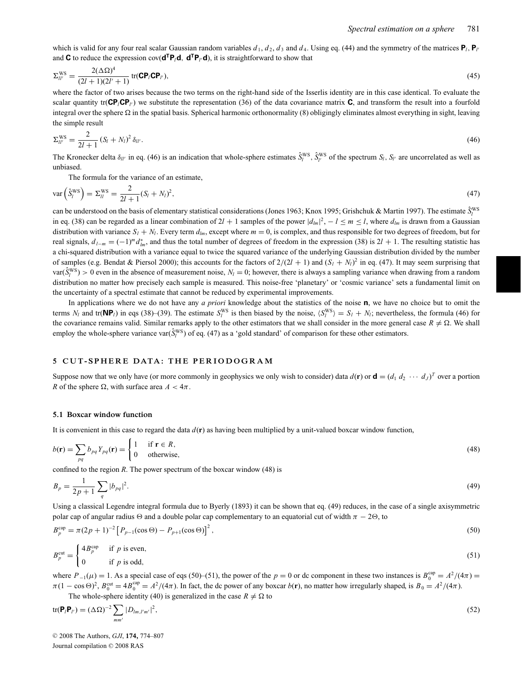which is valid for any four real scalar Gaussian random variables  $d_1$ ,  $d_2$ ,  $d_3$  and  $d_4$ . Using eq. (44) and the symmetry of the matrices  $P_i$ ,  $P_i$ and **C** to reduce the expression cov( $d^T P / d$ ,  $d^T P / d$ ), it is straightforward to show that

$$
\Sigma_{ll'}^{\text{WS}} = \frac{2(\Delta\Omega)^4}{(2l+1)(2l'+1)} \operatorname{tr}(\mathbf{CP}_l \mathbf{CP}_{l'}),\tag{45}
$$

where the factor of two arises because the two terms on the right-hand side of the Isserlis identity are in this case identical. To evaluate the scalar quantity tr( $\mathbf{CP}_l \mathbf{CP}_{l'}$ ) we substitute the representation (36) of the data covariance matrix **C**, and transform the result into a fourfold integral over the sphere  $\Omega$  in the spatial basis. Spherical harmonic orthonormality (8) obligingly eliminates almost everything in sight, leaving the simple result

$$
\Sigma_{ll'}^{\text{WS}} = \frac{2}{2l+1} \left( S_l + N_l \right)^2 \delta_{ll'}.
$$
\n(46)

The Kronecker delta  $\delta_{ll'}$  in eq. (46) is an indication that whole-sphere estimates  $\hat{S}_l^{WS}$ ,  $\hat{S}_l^{WS}$  of the spectrum  $S_l$ ,  $S_{l'}$  are uncorrelated as well as unbiased.

The formula for the variance of an estimate,

$$
\text{var}\left(\hat{S}_l^{\text{WS}}\right) = \Sigma_{ll}^{\text{WS}} = \frac{2}{2l+1} (S_l + N_l)^2,\tag{47}
$$

can be understood on the basis of elementary statistical considerations (Jones 1963; Knox 1995; Grishchuk & Martin 1997). The estimate  $\hat{S}_l^{\text{WS}}$ in eq. (38) can be regarded as a linear combination of  $2l + 1$  samples of the power  $|d_{lm}|^2$ ,  $- l \le m \le l$ , where  $d_{lm}$  is drawn from a Gaussian distribution with variance  $S_l + N_l$ . Every term  $d_{lm}$ , except where  $m = 0$ , is complex, and thus responsible for two degrees of freedom, but for real signals,  $d_{l-m} = (-1)^m d_{lm}^*$ , and thus the total number of degrees of freedom in the expression (38) is  $2l + 1$ . The resulting statistic has a chi-squared distribution with a variance equal to twice the squared variance of the underlying Gaussian distribution divided by the number of samples (e.g. Bendat & Piersol 2000); this accounts for the factors of  $2/(2l + 1)$  and  $(S_l + N_l)^2$  in eq. (47). It may seem surprising that  $var(\hat{S}_l^{\text{WS}}) > 0$  even in the absence of measurement noise,  $N_l = 0$ ; however, there is always a sampling variance when drawing from a random distribution no matter how precisely each sample is measured. This noise-free 'planetary' or 'cosmic variance' sets a fundamental limit on the uncertainty of a spectral estimate that cannot be reduced by experimental improvements.

In applications where we do not have any *a priori* knowledge about the statistics of the noise **n**, we have no choice but to omit the terms  $N_l$  and tr(**NP**<sub>*l*</sub>) in eqs (38)–(39). The estimate  $S_l^{\text{WS}}$  is then biased by the noise,  $\langle S_l^{\text{WS}} \rangle = S_l + N_l$ ; nevertheless, the formula (46) for the covariance remains valid. Similar remarks apply to the other estimators that we shall consider in the more general case  $R \neq \Omega$ . We shall employ the whole-sphere variance var $(\hat{S}_l^{\text{WS}})$  of eq. (47) as a 'gold standard' of comparison for these other estimators.

# **5 CUT-SPHERE DATA: THE PERIODOGRAM**

Suppose now that we only have (or more commonly in geophysics we only wish to consider) data  $d(\mathbf{r})$  or  $\mathbf{d} = (d_1 \ d_2 \ \cdots \ d_J)^T$  over a portion *R* of the sphere  $\Omega$ , with surface area  $A < 4\pi$ .

#### **5.1 Boxcar window function**

It is convenient in this case to regard the data  $d(\mathbf{r})$  as having been multiplied by a unit-valued boxcar window function,

$$
b(\mathbf{r}) = \sum_{pq} b_{pq} Y_{pq}(\mathbf{r}) = \begin{cases} 1 & \text{if } \mathbf{r} \in R, \\ 0 & \text{otherwise,} \end{cases}
$$
(48)

confined to the region *R*. The power spectrum of the boxcar window (48) is

$$
B_p = \frac{1}{2p+1} \sum_{q} |b_{pq}|^2.
$$
 (49)

Using a classical Legendre integral formula due to Byerly (1893) it can be shown that eq. (49) reduces, in the case of a single axisymmetric polar cap of angular radius  $\Theta$  and a double polar cap complementary to an equatorial cut of width  $\pi - 2\Theta$ , to

$$
B_p^{\text{cap}} = \pi (2p + 1)^{-2} \left[ P_{p-1}(\cos \Theta) - P_{p+1}(\cos \Theta) \right]^2,
$$
\n(50)

$$
B_p^{\text{cut}} = \begin{cases} 4B_p^{\text{cap}} & \text{if } p \text{ is even,} \\ 0 & \text{if } p \text{ is odd,} \end{cases}
$$
(51)

where  $P_{-1}(\mu) = 1$ . As a special case of eqs (50)–(51), the power of the  $p = 0$  or dc component in these two instances is  $B_0^{\text{cap}} = A^2/(4\pi) =$  $\pi(1 - \cos \Theta)^2$ ,  $B_0^{\text{cut}} = 4B_0^{\text{cap}} = A^2/(4\pi)$ . In fact, the dc power of any boxcar  $b(\mathbf{r})$ , no matter how irregularly shaped, is  $B_0 = A^2/(4\pi)$ . The whole-sphere identity (40) is generalized in the case  $R \neq \Omega$  to

$$
\operatorname{tr}(\mathbf{P}_i \mathbf{P}_{i'}) = (\Delta \Omega)^{-2} \sum_{mm'} |D_{lm,l'm'}|^2,
$$
\n(52)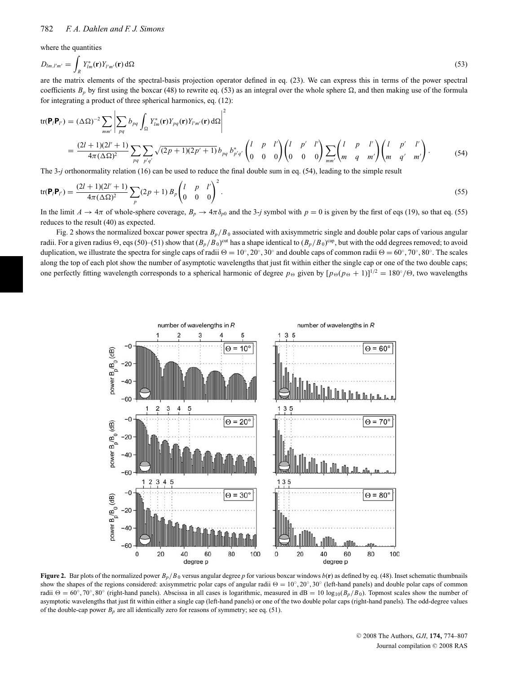where the quantities

$$
D_{lm,l'm'} = \int_R Y_{lm}^*(\mathbf{r}) Y_{l'm'}(\mathbf{r}) d\Omega \tag{53}
$$

are the matrix elements of the spectral-basis projection operator defined in eq. (23). We can express this in terms of the power spectral coefficients  $B_p$  by first using the boxcar (48) to rewrite eq. (53) as an integral over the whole sphere  $\Omega$ , and then making use of the formula for integrating a product of three spherical harmonics, eq. (12):

$$
tr(\mathbf{P}_{l}\mathbf{P}_{l'}) = (\Delta\Omega)^{-2} \sum_{mm'} \left| \sum_{pq} b_{pq} \int_{\Omega} Y_{lm}^{*}(\mathbf{r}) Y_{pq}(\mathbf{r}) Y_{l'm'}(\mathbf{r}) d\Omega \right|^{2}
$$
  
= 
$$
\frac{(2l+1)(2l'+1)}{4\pi(\Delta\Omega)^{2}} \sum_{pq} \sum_{p'q'} \sqrt{(2p+1)(2p'+1)} b_{pq} b_{p'q'}^{*} \left( \begin{array}{ccc} l & p & l' \\ 0 & 0 & 0 \end{array} \right) \left( \begin{array}{ccc} l & p' & l' \\ 0 & 0 & 0 \end{array} \right) \sum_{mm'} \left( \begin{array}{ccc} l & p & l' \\ m & q & m' \end{array} \right) \left( \begin{array}{ccc} l & p' & l' \\ m & q' & m' \end{array} \right).
$$
 (54)

The 3-*j* orthonormality relation (16) can be used to reduce the final double sum in eq. (54), leading to the simple result

$$
\text{tr}(\mathbf{P}_l \mathbf{P}_{l'}) = \frac{(2l+1)(2l'+1)}{4\pi (\Delta \Omega)^2} \sum_p (2p+1) B_p \begin{pmatrix} l & p & l' \\ 0 & 0 & 0 \end{pmatrix}^2.
$$
\n(55)

In the limit  $A \to 4\pi$  of whole-sphere coverage,  $B_p \to 4\pi \delta_{p0}$  and the 3-*j* symbol with  $p = 0$  is given by the first of eqs (19), so that eq. (55) reduces to the result (40) as expected.

Fig. 2 shows the normalized boxcar power spectra  $B_p/B_0$  associated with axisymmetric single and double polar caps of various angular radii. For a given radius  $\Theta$ , eqs (50)–(51) show that  $(B_p/B_0)^{\text{cut}}$  has a shape identical to  $(B_p/B_0)^{\text{cap}}$ , but with the odd degrees removed; to avoid duplication, we illustrate the spectra for single caps of radii  $\Theta = 10°$ ,  $20°$ ,  $30°$  and double caps of common radii  $\Theta = 60°$ ,  $70°$ ,  $80°$ . The scales along the top of each plot show the number of asymptotic wavelengths that just fit within either the single cap or one of the two double caps; one perfectly fitting wavelength corresponds to a spherical harmonic of degree  $p_{\Theta}$  given by  $[p_{\Theta}(p_{\Theta} + 1)]^{1/2} = 180°/\Theta$ , two wavelengths



**Figure 2.** Bar plots of the normalized power  $B_p/B_0$  versus angular degree *p* for various boxcar windows  $b(\mathbf{r})$  as defined by eq. (48). Inset schematic thumbnails show the shapes of the regions considered: axisymmetric polar caps of angular radii  $\Theta = 10°, 20°, 30°$  (left-hand panels) and double polar caps of common radii  $\Theta = 60^\circ, 70^\circ, 80^\circ$  (right-hand panels). Abscissa in all cases is logarithmic, measured in dB = 10 log<sub>10</sub>( $B_p/B_0$ ). Topmost scales show the number of asymptotic wavelengths that just fit within either a single cap (left-hand panels) or one of the two double polar caps (right-hand panels). The odd-degree values of the double-cap power  $B_p$  are all identically zero for reasons of symmetry; see eq. (51).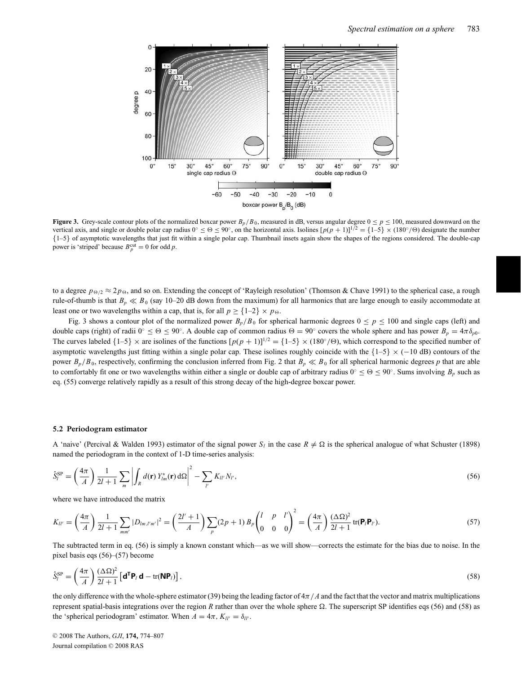

**Figure 3.** Grey-scale contour plots of the normalized boxcar power  $B_p/B_0$ , measured in dB, versus angular degree  $0 \le p \le 100$ , measured downward on the vertical axis, and single or double polar cap radius  $0^\circ \le \Theta \le 90^\circ$ , on the horizontal axis. Isolines  $[p(p+1)]^{1/2} = \{1-5\} \times (180^\circ/\Theta)$  designate the number {1–5} of asymptotic wavelengths that just fit within a single polar cap. Thumbnail insets again show the shapes of the regions considered. The double-cap power is 'striped' because  $B_p^{\text{cut}} = 0$  for odd *p*.

to a degree  $p_{\Theta/2} \approx 2p_{\Theta}$ , and so on. Extending the concept of 'Rayleigh resolution' (Thomson & Chave 1991) to the spherical case, a rough rule-of-thumb is that  $B_p \ll B_0$  (say 10–20 dB down from the maximum) for all harmonics that are large enough to easily accommodate at least one or two wavelengths within a cap, that is, for all  $p \geq \{1-2\} \times p_{\Theta}$ .

Fig. 3 shows a contour plot of the normalized power  $B_p/B_0$  for spherical harmonic degrees  $0 \le p \le 100$  and single caps (left) and double caps (right) of radii  $0^\circ \leq \Theta \leq 90^\circ$ . A double cap of common radius  $\Theta = 90^\circ$  covers the whole sphere and has power  $B_p = 4\pi \delta_{p0}$ . The curves labeled  $\{1-5\} \times$  are isolines of the functions  $[p(p + 1)]^{1/2} = \{1-5\} \times (180^{\circ}/\Theta)$ , which correspond to the specified number of asymptotic wavelengths just fitting within a single polar cap. These isolines roughly coincide with the  ${1-5} \times (-10 \text{ dB})$  contours of the power  $B_p/B_0$ , respectively, confirming the conclusion inferred from Fig. 2 that  $B_p \ll B_0$  for all spherical harmonic degrees p that are able to comfortably fit one or two wavelengths within either a single or double cap of arbitrary radius  $0° \le \Theta \le 90°$ . Sums involving  $B_p$  such as eq. (55) converge relatively rapidly as a result of this strong decay of the high-degree boxcar power.

### **5.2 Periodogram estimator**

A 'naive' (Percival & Walden 1993) estimator of the signal power  $S_l$  in the case  $R \neq \Omega$  is the spherical analogue of what Schuster (1898) named the periodogram in the context of 1-D time-series analysis:

$$
\hat{S}_l^{\rm SP} = \left(\frac{4\pi}{A}\right) \frac{1}{2l+1} \sum_m \left| \int_R d(\mathbf{r}) Y_{lm}^*(\mathbf{r}) \, d\Omega \right|^2 - \sum_{l'} K_{ll'} N_{l'},\tag{56}
$$

where we have introduced the matrix

$$
K_{ll'} = \left(\frac{4\pi}{A}\right) \frac{1}{2l+1} \sum_{m m'} |D_{lm,l'm'}|^2 = \left(\frac{2l'+1}{A}\right) \sum_p (2p+1) B_p \begin{pmatrix} l & p & l' \\ 0 & 0 & 0 \end{pmatrix}^2 = \left(\frac{4\pi}{A}\right) \frac{(\Delta\Omega)^2}{2l+1} \text{tr}(\mathbf{P}_l \mathbf{P}_{l'}).
$$
(57)

The subtracted term in eq. (56) is simply a known constant which—as we will show—corrects the estimate for the bias due to noise. In the pixel basis eqs (56)–(57) become

$$
\hat{S}_l^{\rm SP} = \left(\frac{4\pi}{A}\right) \frac{(\Delta\Omega)^2}{2l+1} \left[\mathbf{d}^\mathsf{T} \mathbf{P}_l \mathbf{d} - \text{tr}(\mathbf{N} \mathbf{P}_l)\right],\tag{58}
$$

the only difference with the whole-sphere estimator (39) being the leading factor of  $4\pi/A$  and the fact that the vector and matrix multiplications represent spatial-basis integrations over the region *R* rather than over the whole sphere  $\Omega$ . The superscript SP identifies eqs (56) and (58) as the 'spherical periodogram' estimator. When  $A = 4\pi$ ,  $K_{ll'} = \delta_{ll'}$ .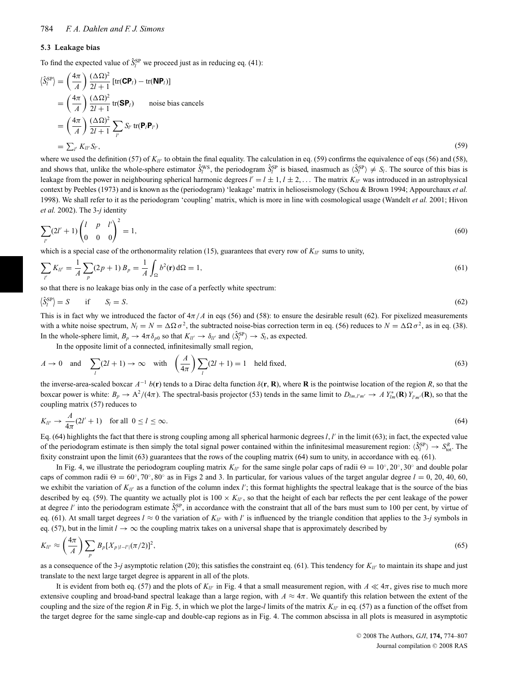### **5.3 Leakage bias**

To find the expected value of  $\hat{S}_i^{SP}$  we proceed just as in reducing eq. (41):

$$
\langle \hat{S}_l^{\rm SP} \rangle = \left( \frac{4\pi}{A} \right) \frac{(\Delta \Omega)^2}{2I + 1} \left[ \text{tr}(\mathbf{CP}_l) - \text{tr}(\mathbf{NP}_l) \right]
$$
  
= 
$$
\left( \frac{4\pi}{A} \right) \frac{(\Delta \Omega)^2}{2I + 1} \text{tr}(\mathbf{SP}_l) \qquad \text{noise bias cancels}
$$
  
= 
$$
\left( \frac{4\pi}{A} \right) \frac{(\Delta \Omega)^2}{2I + 1} \sum_{l'} S_{l'} \text{tr}(\mathbf{P}_l \mathbf{P}_{l'})
$$
  
= 
$$
\sum_{l'} K_{ll'} S_{l'}, \qquad (59)
$$

where we used the definition (57) of  $K_{ll'}$  to obtain the final equality. The calculation in eq. (59) confirms the equivalence of eqs (56) and (58), and shows that, unlike the whole-sphere estimator  $\hat{S}_l^{WS}$ , the periodogram  $\hat{S}_l^{SS}$  is biased, inasmuch as  $\langle \hat{S}_l^{SP} \rangle \neq S_l$ . The source of this bias is leakage from the power in neighbouring spherical harmonic degrees  $l' = l \pm 1$ ,  $l \pm 2$ ,... The matrix  $K_{ll'}$  was introduced in an astrophysical context by Peebles (1973) and is known as the (periodogram) 'leakage' matrix in helioseismology (Schou & Brown 1994; Appourchaux *et al.* 1998). We shall refer to it as the periodogram 'coupling' matrix, which is more in line with cosmological usage (Wandelt *et al.* 2001; Hivon *et al.* 2002). The 3-*j* identity

$$
\sum_{l'} (2l' + 1) \begin{pmatrix} l & p & l' \\ 0 & 0 & 0 \end{pmatrix}^2 = 1,\tag{60}
$$

which is a special case of the orthonormality relation (15), guarantees that every row of  $K_{ll'}$  sums to unity,

$$
\sum_{l'} K_{ll'} = \frac{1}{A} \sum_{p} (2p + 1) B_p = \frac{1}{A} \int_{\Omega} b^2(\mathbf{r}) d\Omega = 1,
$$
\n(61)

so that there is no leakage bias only in the case of a perfectly white spectrum:

$$
\langle \hat{S}_l^{\rm SP} \rangle = S \qquad \text{if} \qquad S_l = S. \tag{62}
$$

This is in fact why we introduced the factor of  $4\pi/A$  in eqs (56) and (58): to ensure the desirable result (62). For pixelized measurements with a white noise spectrum,  $N_l = N = \Delta\Omega \sigma^2$ , the subtracted noise-bias correction term in eq. (56) reduces to  $N = \Delta\Omega \sigma^2$ , as in eq. (38). In the whole-sphere limit,  $B_p \to 4\pi \delta_{p0}$  so that  $K_{ll'} \to \delta_{ll'}$  and  $\langle \hat{S}_l^{\text{SP}} \rangle \to S_l$ , as expected.

In the opposite limit of a connected, infinitesimally small region,

$$
A \to 0 \quad \text{and} \quad \sum_{l} (2l+1) \to \infty \quad \text{with} \quad \left(\frac{A}{4\pi}\right) \sum_{l} (2l+1) = 1 \quad \text{held fixed}, \tag{63}
$$

the inverse-area-scaled boxcar  $A^{-1}$  *b*(**r**) tends to a Dirac delta function  $\delta$ (**r**, **R**), where **R** is the pointwise location of the region *R*, so that the boxcar power is white:  $B_p \to A^2/(4\pi)$ . The spectral-basis projector (53) tends in the same limit to  $D_{lm,l'm'} \to A Y^*_{lm}(\mathbf{R}) Y_{l'm'}(\mathbf{R})$ , so that the coupling matrix (57) reduces to

$$
K_{ll'} \to \frac{A}{4\pi} (2l' + 1) \quad \text{for all } 0 \le l \le \infty. \tag{64}
$$

Eq. (64) highlights the fact that there is strong coupling among all spherical harmonic degrees  $l$ ,  $l'$  in the limit (63); in fact, the expected value of the periodogram estimate is then simply the total signal power contained within the infinitesimal measurement region:  $\langle \hat{S}_l^{SP} \rangle \rightarrow S_{\text{tot}}^R$ . The fixity constraint upon the limit (63) guarantees that the rows of the coupling matrix (64) sum to unity, in accordance with eq. (61).

In Fig. 4, we illustrate the periodogram coupling matrix  $K_{ll'}$  for the same single polar caps of radii  $\Theta = 10°, 20°, 30°$  and double polar caps of common radii  $\Theta = 60^\circ, 70^\circ, 80^\circ$  as in Figs 2 and 3. In particular, for various values of the target angular degree  $l = 0, 20, 40, 60,$ we exhibit the variation of  $K_{ll'}$  as a function of the column index *l'*; this format highlights the spectral leakage that is the source of the bias described by eq. (59). The quantity we actually plot is  $100 \times K_{ll}$ , so that the height of each bar reflects the per cent leakage of the power at degree *l'* into the periodogram estimate  $\hat{S}_l^{\text{SP}}$ , in accordance with the constraint that all of the bars must sum to 100 per cent, by virtue of eq. (61). At small target degrees  $l \approx 0$  the variation of  $K_{ll'}$  with  $l'$  is influenced by the triangle condition that applies to the 3-*j* symbols in eq. (57), but in the limit  $l \to \infty$  the coupling matrix takes on a universal shape that is approximately described by

$$
K_{ll'} \approx \left(\frac{4\pi}{A}\right) \sum_{p} B_p \left[X_{p|l-l'|}(\pi/2)\right]^2,\tag{65}
$$

as a consequence of the  $3-j$  asymptotic relation (20); this satisfies the constraint eq. (61). This tendency for  $K_{ll'}$  to maintain its shape and just translate to the next large target degree is apparent in all of the plots.

It is evident from both eq. (57) and the plots of  $K_{ll'}$  in Fig. 4 that a small measurement region, with  $A \ll 4\pi$ , gives rise to much more extensive coupling and broad-band spectral leakage than a large region, with  $A \approx 4\pi$ . We quantify this relation between the extent of the coupling and the size of the region *R* in Fig. 5, in which we plot the large-*l* limits of the matrix  $K_{ll'}$  in eq. (57) as a function of the offset from the target degree for the same single-cap and double-cap regions as in Fig. 4. The common abscissa in all plots is measured in asymptotic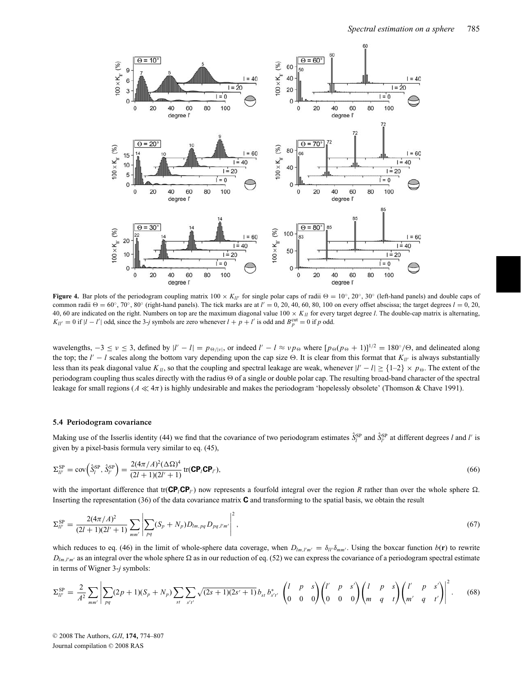

**Figure 4.** Bar plots of the periodogram coupling matrix  $100 \times K_{ll'}$  for single polar caps of radii  $\Theta = 10°$ ,  $20°$ ,  $30°$  (left-hand panels) and double caps of common radii  $\Theta = 60^\circ, 70^\circ, 80^\circ$  (right-hand panels). The tick marks are at  $l' = 0, 20, 40, 60, 80, 100$  on every offset abscissa; the target degrees  $l = 0, 20,$ 40, 60 are indicated on the right. Numbers on top are the maximum diagonal value  $100 \times K_{ll}$  for every target degree *l*. The double-cap matrix is alternating,  $K_{ll'} = 0$  if  $|l - l'|$  odd, since the 3-*j* symbols are zero whenever  $l + p + l'$  is odd and  $B_p^{\text{cut}} = 0$  if *p* odd.

wavelengths,  $-3 \le v \le 3$ , defined by  $|l' - l| = p_{\Theta/|v|}$ , or indeed  $l' - l \approx vp_{\Theta}$  where  $[p_{\Theta}(p_{\Theta} + 1)]^{1/2} = 180^{\circ}/\Theta$ , and delineated along the top; the  $l' - l$  scales along the bottom vary depending upon the cap size  $\Theta$ . It is clear from this format that  $K_{ll'}$  is always substantially less than its peak diagonal value  $K_{ll}$ , so that the coupling and spectral leakage are weak, whenever  $|l'-l| \geq \{1-2\} \times p_{\Theta}$ . The extent of the periodogram coupling thus scales directly with the radius  $\Theta$  of a single or double polar cap. The resulting broad-band character of the spectral leakage for small regions ( $A \ll 4\pi$ ) is highly undesirable and makes the periodogram 'hopelessly obsolete' (Thomson & Chave 1991).

#### **5.4 Periodogram covariance**

Making use of the Isserlis identity (44) we find that the covariance of two periodogram estimates  $\hat{S}_l^{SP}$  and  $\hat{S}_l^{SP}$  at different degrees *l* and *l'* is given by a pixel-basis formula very similar to eq. (45),

$$
\Sigma_{ll'}^{\rm SP} = \text{cov}\left(\hat{S}_l^{\rm SP}, \hat{S}_l^{\rm SP}\right) = \frac{2(4\pi/A)^2(\Delta\Omega)^4}{(2l+1)(2l'+1)} \text{ tr}(\mathbf{CP}_l \mathbf{CP}_{l'}),\tag{66}
$$

with the important difference that tr( $\mathbf{CP}_l \mathbf{CP}_l$ ) now represents a fourfold integral over the region *R* rather than over the whole sphere  $\Omega$ . Inserting the representation (36) of the data covariance matrix **C** and transforming to the spatial basis, we obtain the result

$$
\Sigma_{ll'}^{\rm SP} = \frac{2(4\pi/A)^2}{(2l+1)(2l'+1)} \sum_{mm'} \left| \sum_{pq} (S_p + N_p) D_{lm,pq} D_{pq,l'm'} \right|^2,
$$
\n(67)

which reduces to eq. (46) in the limit of whole-sphere data coverage, when  $D_{lm,l'm'} = \delta_{ll'}\delta_{mm'}$ . Using the boxcar function  $b(\mathbf{r})$  to rewrite  $D_{lm,l'm'}$  as an integral over the whole sphere  $\Omega$  as in our reduction of eq. (52) we can express the covariance of a periodogram spectral estimate in terms of Wigner 3-*j* symbols:

$$
\Sigma_{ll'}^{\rm SP} = \frac{2}{A^2} \sum_{mm'} \left| \sum_{pq} (2p+1)(S_p + N_p) \sum_{st} \sum_{s't'} \sqrt{(2s+1)(2s'+1)} b_{st} b_{s't'}^* \begin{pmatrix} l & p & s \\ 0 & 0 & 0 \end{pmatrix} \begin{pmatrix} l' & p & s' \\ 0 & 0 & 0 \end{pmatrix} \begin{pmatrix} l & p & s' \\ m & q & t \end{pmatrix} \begin{pmatrix} l' & p & s' \\ m' & q & t' \end{pmatrix} \right|^2.
$$
 (68)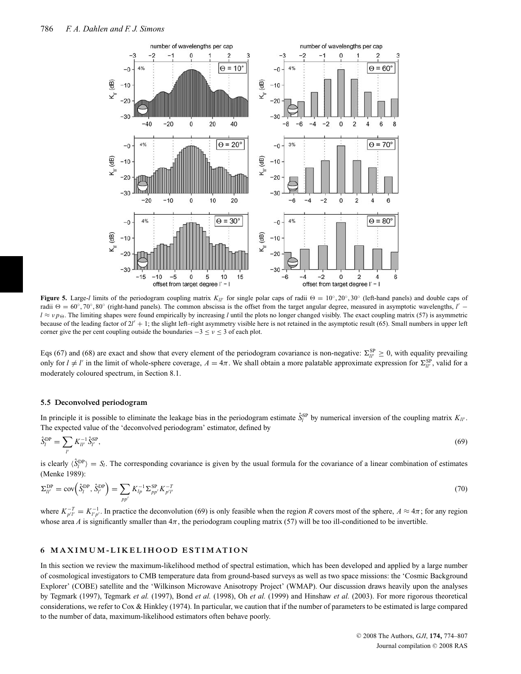

**Figure 5.** Large-*l* limits of the periodogram coupling matrix  $K_{ll'}$  for single polar caps of radii  $\Theta = 10°$ ,  $20°$ ,  $30°$  (left-hand panels) and double caps of radii  $\Theta = 60^\circ, 70^\circ, 80^\circ$  (right-hand panels). The common abscissa is the offset from the target angular degree, measured in asymptotic wavelengths,  $l'$  –  $l \approx v p_{\Theta}$ . The limiting shapes were found empirically by increasing *l* until the plots no longer changed visibly. The exact coupling matrix (57) is asymmetric because of the leading factor of  $2l' + 1$ ; the slight left–right asymmetry visible here is not retained in the asymptotic result (65). Small numbers in upper left corner give the per cent coupling outside the boundaries  $-3 \le v \le 3$  of each plot.

Eqs (67) and (68) are exact and show that every element of the periodogram covariance is non-negative:  $\Sigma_{ll'}^{\text{SP}} \geq 0$ , with equality prevailing only for  $l \neq l'$  in the limit of whole-sphere coverage,  $A = 4\pi$ . We shall obtain a more palatable approximate expression for  $\Sigma_{ll'}^{SP}$ , valid for a moderately coloured spectrum, in Section 8.1.

# **5.5 Deconvolved periodogram**

In principle it is possible to eliminate the leakage bias in the periodogram estimate  $\hat{S}_l^{\text{SP}}$  by numerical inversion of the coupling matrix  $K_{ll'}$ . The expected value of the 'deconvolved periodogram' estimator, defined by

$$
\hat{S}_l^{\rm DP} = \sum_{l'} K_{ll'}^{-1} \hat{S}_{l'}^{\rm SP},\tag{69}
$$

is clearly  $\langle \hat{S}_l^{\text{DP}} \rangle = S_l$ . The corresponding covariance is given by the usual formula for the covariance of a linear combination of estimates (Menke 1989):

$$
\Sigma_{ll'}^{\rm DP} = \text{cov}\left(\hat{S}_l^{\rm DP}, \hat{S}_{l'}^{\rm DP}\right) = \sum_{pp'} K_{lp}^{-1} \Sigma_{pp'}^{\rm SP} K_{p'l'}^{-T}
$$
\n
$$
\tag{70}
$$

where  $K_{p'l'}^{-T} = K_{l'p'}^{-1}$ . In practice the deconvolution (69) is only feasible when the region *R* covers most of the sphere,  $A \approx 4\pi$ ; for any region whose area *A* is significantly smaller than  $4\pi$ , the periodogram coupling matrix (57) will be too ill-conditioned to be invertible.

# **6 MAXIMUM-LIKELIHOOD ESTIMATION**

In this section we review the maximum-likelihood method of spectral estimation, which has been developed and applied by a large number of cosmological investigators to CMB temperature data from ground-based surveys as well as two space missions: the 'Cosmic Background Explorer' (COBE) satellite and the 'Wilkinson Microwave Anisotropy Project' (WMAP). Our discussion draws heavily upon the analyses by Tegmark (1997), Tegmark *et al.* (1997), Bond *et al.* (1998), Oh *et al.* (1999) and Hinshaw *et al.* (2003). For more rigorous theoretical considerations, we refer to Cox & Hinkley (1974). In particular, we caution that if the number of parameters to be estimated is large compared to the number of data, maximum-likelihood estimators often behave poorly.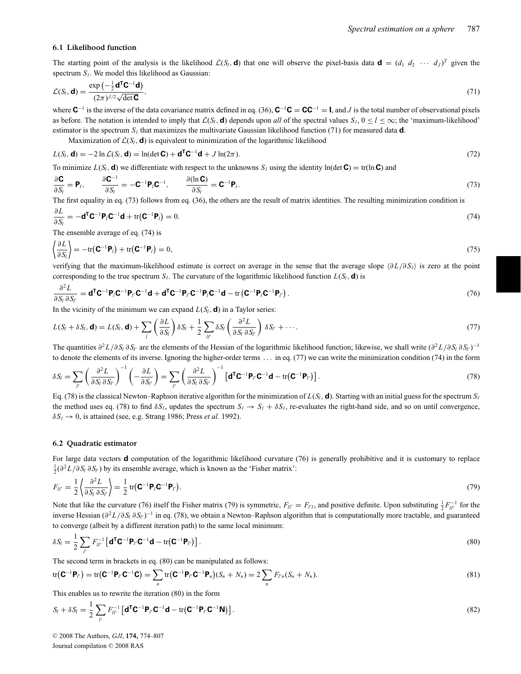# **6.1 Likelihood function**

The starting point of the analysis is the likelihood  $\mathcal{L}(S_l, \mathbf{d})$  that one will observe the pixel-basis data  $\mathbf{d} = (d_1 \ d_2 \ \cdots \ d_J)^T$  given the spectrum  $S_l$ . We model this likelihood as Gaussian:

$$
\mathcal{L}(S_t, \mathbf{d}) = \frac{\exp\left(-\frac{1}{2}\mathbf{d}^{\mathsf{T}}\mathbf{C}^{-1}\mathbf{d}\right)}{(2\pi)^{J/2}\sqrt{\det\mathbf{C}}},\tag{71}
$$

where **C**−<sup>1</sup> is the inverse of the data covariance matrix defined in eq. (36), **C**−<sup>1</sup>**C** = **CC**−<sup>1</sup> = **I**, and *J* is the total number of observational pixels as before. The notation is intended to imply that  $\mathcal{L}(S_l, \mathbf{d})$  depends upon *all* of the spectral values  $S_l$ ,  $0 \le l \le \infty$ ; the 'maximum-likelihood' estimator is the spectrum *Sl* that maximizes the multivariate Gaussian likelihood function (71) for measured data **d**.

Maximization of  $\mathcal{L}(S_l, \mathbf{d})$  is equivalent to minimization of the logarithmic likelihood

$$
L(Sl, \mathbf{d}) = -2 \ln \mathcal{L}(Sl, \mathbf{d}) = \ln(\det \mathbf{C}) + \mathbf{d}^{\mathsf{T}} \mathbf{C}^{-1} \mathbf{d} + J \ln(2\pi).
$$
 (72)

To minimize  $L(S_i, \mathbf{d})$  we differentiate with respect to the unknowns  $S_i$  using the identity  $ln(\det \mathbf{C}) = tr(ln \mathbf{C})$  and

$$
\frac{\partial \mathbf{C}}{\partial S_l} = \mathbf{P}_l, \qquad \frac{\partial \mathbf{C}^{-1}}{\partial S_l} = -\mathbf{C}^{-1} \mathbf{P}_l \mathbf{C}^{-1}, \qquad \frac{\partial (\ln \mathbf{C})}{\partial S_l} = \mathbf{C}^{-1} \mathbf{P}_l.
$$
\n(73)

The first equality in eq. (73) follows from eq. (36), the others are the result of matrix identities. The resulting minimization condition is

$$
\frac{\partial L}{\partial S_l} = -\mathbf{d}^{\mathsf{T}} \mathbf{C}^{-1} \mathbf{P}_l \mathbf{C}^{-1} \mathbf{d} + \text{tr}(\mathbf{C}^{-1} \mathbf{P}_l) = 0. \tag{74}
$$

The ensemble average of eq. (74) is

$$
\left\langle \frac{\partial L}{\partial S_l} \right\rangle = -\text{tr}(\mathbf{C}^{-1}\mathbf{P}_l) + \text{tr}(\mathbf{C}^{-1}\mathbf{P}_l) = 0, \tag{75}
$$

verifying that the maximum-likelihood estimate is correct on average in the sense that the average slope ∂*L*/∂ *Sl* is zero at the point corresponding to the true spectrum  $S_l$ . The curvature of the logarithmic likelihood function  $L(S_l, \mathbf{d})$  is

$$
\frac{\partial^2 L}{\partial S_l \partial S_{l'}} = \mathbf{d}^{\mathsf{T}} \mathbf{C}^{-1} \mathbf{P}_l \mathbf{C}^{-1} \mathbf{P}_{l'} \mathbf{C}^{-1} \mathbf{d} + \mathbf{d}^{\mathsf{T}} \mathbf{C}^{-1} \mathbf{P}_{l'} \mathbf{C}^{-1} \mathbf{P}_l \mathbf{C}^{-1} \mathbf{d} - \text{tr} \left( \mathbf{C}^{-1} \mathbf{P}_l \mathbf{C}^{-1} \mathbf{P}_{l'} \right).
$$
(76)

In the vicinity of the minimum we can expand  $L(S_l, \mathbf{d})$  in a Taylor series:

$$
L(S_l + \delta S_l, \mathbf{d}) = L(S_l, \mathbf{d}) + \sum_{l} \left(\frac{\partial L}{\partial S_l}\right) \delta S_l + \frac{1}{2} \sum_{ll'} \delta S_l \left(\frac{\partial^2 L}{\partial S_l \partial S_{l'}}\right) \delta S_{l'} + \cdots. \tag{77}
$$

The quantities  $\partial^2 L/\partial S_l \partial S_{l'}$  are the elements of the Hessian of the logarithmic likelihood function; likewise, we shall write  $(\partial^2 L/\partial S_l \partial S_{l'})^{-1}$ to denote the elements of its inverse. Ignoring the higher-order terms ... in eq. (77) we can write the minimization condition (74) in the form

$$
\delta S_l = \sum_{l'} \left( \frac{\partial^2 L}{\partial S_l \, \partial S_{l'}} \right)^{-1} \left( -\frac{\partial L}{\partial S_{l'}} \right) = \sum_{l'} \left( \frac{\partial^2 L}{\partial S_l \, \partial S_{l'}} \right)^{-1} \left[ \mathbf{d}^{\mathsf{T}} \mathbf{C}^{-1} \mathbf{P}_{l'} \mathbf{C}^{-1} \mathbf{d} - \text{tr}(\mathbf{C}^{-1} \mathbf{P}_{l'}) \right]. \tag{78}
$$

Eq. (78) is the classical Newton–Raphson iterative algorithm for the minimization of  $L(S_t, \mathbf{d})$ . Starting with an initial guess for the spectrum  $S_l$ the method uses eq. (78) to find  $\delta S_l$ , updates the spectrum  $S_l \to S_l + \delta S_l$ , re-evaluates the right-hand side, and so on until convergence,  $\delta S_l \rightarrow 0$ , is attained (see, e.g. Strang 1986; Press *et al.* 1992).

### **6.2 Quadratic estimator**

For large data vectors **d** computation of the logarithmic likelihood curvature (76) is generally prohibitive and it is customary to replace <sup>1</sup>/<sub>2</sub> (∂<sup>2</sup>*L*/∂*S<sub>l</sub>*</sub> ∂*S<sub>l</sub>*<sup>*l*</sup>) by its ensemble average, which is known as the 'Fisher matrix':

$$
F_{ll'} = \frac{1}{2} \left\langle \frac{\partial^2 L}{\partial S_l \partial S_{l'}} \right\rangle = \frac{1}{2} \operatorname{tr} (\mathbf{C}^{-1} \mathbf{P}_l \mathbf{C}^{-1} \mathbf{P}_{l'}). \tag{79}
$$

Note that like the curvature (76) itself the Fisher matrix (79) is symmetric,  $F_{ll'} = F_{l'l}$ , and positive definite. Upon substituting  $\frac{1}{2} F_{ll'}^{-1}$  for the inverse Hessian ( $\partial^2 L/\partial S_l \partial S_{l'}$ )<sup>-1</sup> in eq. (78), we obtain a Newton–Raphson algorithm that is computationally more tractable, and guaranteed to converge (albeit by a different iteration path) to the same local minimum:

$$
\delta S_l = \frac{1}{2} \sum_{l'} F_{ll'}^{-1} \left[ \mathbf{d}^{\mathsf{T}} \mathbf{C}^{-1} \mathbf{P}_{l'} \mathbf{C}^{-1} \mathbf{d} - \text{tr}(\mathbf{C}^{-1} \mathbf{P}_{l'}) \right]. \tag{80}
$$

The second term in brackets in eq. (80) can be manipulated as follows:

$$
\operatorname{tr}(\mathbf{C}^{-1}\mathbf{P}_{l'}) = \operatorname{tr}(\mathbf{C}^{-1}\mathbf{P}_{l'}\mathbf{C}^{-1}\mathbf{C}) = \sum_{n} \operatorname{tr}(\mathbf{C}^{-1}\mathbf{P}_{l'}\mathbf{C}^{-1}\mathbf{P}_{n})(S_n + N_n) = 2\sum_{n} F_{l'n}(S_n + N_n). \tag{81}
$$

This enables us to rewrite the iteration (80) in the form

$$
S_l + \delta S_l = \frac{1}{2} \sum_{l'} F_{ll'}^{-1} \left[ \mathbf{d}^{\mathsf{T}} \mathbf{C}^{-1} \mathbf{P}_{l'} \mathbf{C}^{-1} \mathbf{d} - \text{tr}(\mathbf{C}^{-1} \mathbf{P}_{l'} \mathbf{C}^{-1} \mathbf{N}) \right].
$$
\n(82)

<sup>C</sup> 2008 The Authors, *GJI*, **174,** 774–807

Journal compilation © 2008 RAS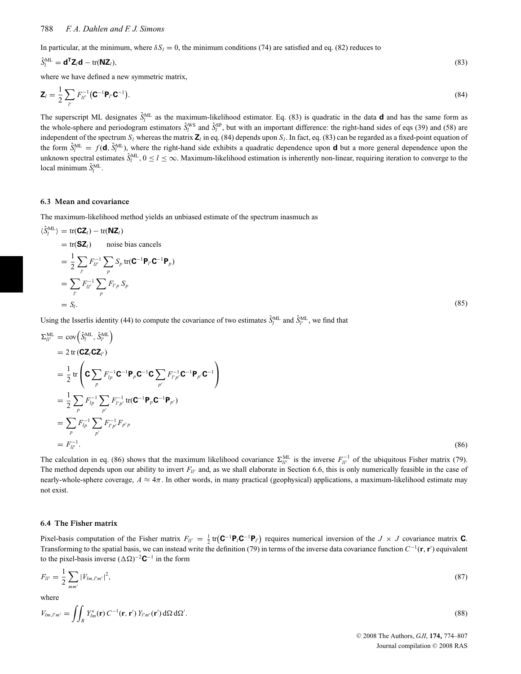In particular, at the minimum, where  $\delta S_l = 0$ , the minimum conditions (74) are satisfied and eq. (82) reduces to

$$
\hat{S}_l^{\text{ML}} = \mathbf{d}^{\mathsf{T}} \mathbf{Z}_l \mathbf{d} - \text{tr}(\mathbf{N} \mathbf{Z}_l),
$$
\n(83)

where we have defined a new symmetric matrix,

$$
\mathbf{Z}_{l} = \frac{1}{2} \sum_{l'} F_{ll'}^{-1} (\mathbf{C}^{-1} \mathbf{P}_{l'} \mathbf{C}^{-1}).
$$
\n(84)

The superscript ML designates  $\hat{S}_l^{ML}$  as the maximum-likelihood estimator. Eq. (83) is quadratic in the data **d** and has the same form as the whole-sphere and periodogram estimators  $\hat{S}_l^{WS}$  and  $\hat{S}_l^{SP}$ , but with an important difference: the right-hand sides of eqs (39) and (58) are independent of the spectrum  $S_l$  whereas the matrix  $\mathbb{Z}_l$  in eq. (84) depends upon  $S_l$ . In fact, eq. (83) can be regarded as a fixed-point equation of the form  $\hat{S}^{\text{ML}}_l = f(\mathbf{d}, \hat{S}^{\text{ML}}_l)$ , where the right-hand side exhibits a quadratic dependence upon **d** but a more general dependence upon the unknown spectral estimates  $\hat{S}_l^{\text{ML}}$ ,  $0 \le l \le \infty$ . Maximum-likelihood estimation is inherently non-linear, requiring iteration to converge to the local minimum  $\hat{S}_l^{\text{ML}}$ .

# **6.3 Mean and covariance**

The maximum-likelihood method yields an unbiased estimate of the spectrum inasmuch as

$$
\langle \hat{S}_{l}^{\text{ML}} \rangle = \text{tr}(\text{CZ}_{l}) - \text{tr}(\text{NZ}_{l})
$$
  
= tr(**SZ**<sub>l</sub>) noise bias cancels  
=  $\frac{1}{2} \sum_{l'} F_{ll'}^{-1} \sum_{p} S_{p} \text{tr}(\text{C}^{-1} \text{P}_{l'} \text{C}^{-1} \text{P}_{p})$   
=  $\sum_{l'} F_{ll'}^{-1} \sum_{p} F_{l'p} S_{p}$   
=  $S_{l}$ . (85)

Using the Isserlis identity (44) to compute the covariance of two estimates  $\hat{S}_l^{\text{ML}}$  and  $\hat{S}_{l'}^{\text{ML}}$ , we find that

$$
\Sigma_{ll'}^{\text{ML}} = \text{cov}\left(\hat{S}_l^{\text{ML}}, \hat{S}_{l'}^{\text{ML}}\right)
$$
  
\n
$$
= 2 \text{ tr}\left(\mathbf{C} \mathbf{Z}_l \mathbf{C} \mathbf{Z}_{l'}\right)
$$
  
\n
$$
= \frac{1}{2} \text{ tr}\left(\mathbf{C} \sum_{p} F_{lp}^{-1} \mathbf{C}^{-1} \mathbf{P}_p \mathbf{C}^{-1} \mathbf{C} \sum_{p'} F_{lp'}^{-1} \mathbf{C}^{-1} \mathbf{P}_{p'} \mathbf{C}^{-1}\right)
$$
  
\n
$$
= \frac{1}{2} \sum_{p} F_{lp}^{-1} \sum_{p'} F_{lp'}^{-1} \text{ tr}(\mathbf{C}^{-1} \mathbf{P}_p \mathbf{C}^{-1} \mathbf{P}_{p'})
$$
  
\n
$$
= \sum_{p} F_{lp}^{-1} \sum_{p'} F_{lp'}^{-1} F_{p'p}
$$
  
\n
$$
= F_{ll'}^{-1}.
$$
  
\n(86)

The calculation in eq. (86) shows that the maximum likelihood covariance  $\Sigma_{ll'}^{\text{ML}}$  is the inverse  $F_{ll'}^{-1}$  of the ubiquitous Fisher matrix (79). The method depends upon our ability to invert  $F_{ll'}$  and, as we shall elaborate in Section 6.6, this is only numerically feasible in the case of nearly-whole-sphere coverage,  $A \approx 4\pi$ . In other words, in many practical (geophysical) applications, a maximum-likelihood estimate may not exist.

# **6.4 The Fisher matrix**

Pixel-basis computation of the Fisher matrix  $F_{ll'} = \frac{1}{2} \text{tr}(\mathbf{C}^{-1} \mathbf{P}_l \mathbf{C}^{-1} \mathbf{P}_{l'})$  requires numerical inversion of the  $J \times J$  covariance matrix  $\mathbf{C}$ . Transforming to the spatial basis, we can instead write the definition (79) in terms of the inverse data covariance function  $C^{-1}(\mathbf{r}, \mathbf{r}')$  equivalent to the pixel-basis inverse  $(\Delta \Omega)^{-2}$ **C**<sup>−1</sup> in the form

$$
F_{ll'} = \frac{1}{2} \sum_{mm'} |V_{lm,l'm'}|^2,\tag{87}
$$

where

$$
V_{lm,l'm'} = \iint_R Y_{lm}^*(\mathbf{r}) \, C^{-1}(\mathbf{r}, \mathbf{r}') \, Y_{l'm'}(\mathbf{r}') \, d\Omega \, d\Omega'.
$$
\n(88)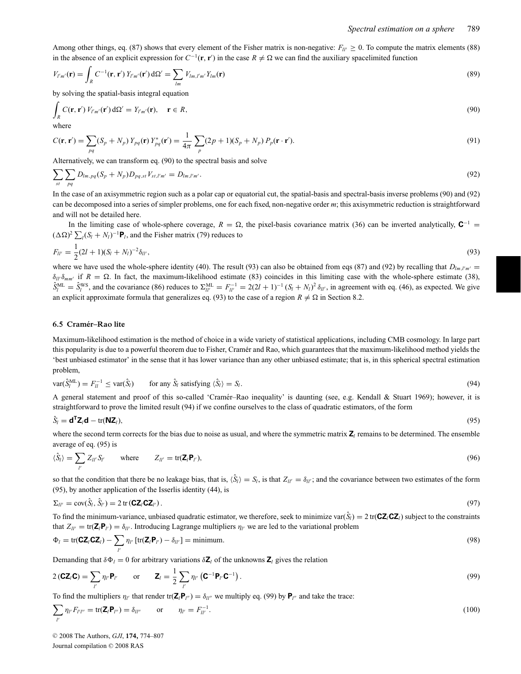Among other things, eq. (87) shows that every element of the Fisher matrix is non-negative:  $F_{ll'} \ge 0$ . To compute the matrix elements (88) in the absence of an explicit expression for  $C^{-1}(\mathbf{r}, \mathbf{r}')$  in the case  $R \neq \Omega$  we can find the auxiliary spacelimited function

$$
V_{l'm'}(\mathbf{r}) = \int_R C^{-1}(\mathbf{r}, \mathbf{r}') Y_{l'm'}(\mathbf{r}') d\Omega' = \sum_{lm} V_{lm,l'm'} Y_{lm}(\mathbf{r})
$$
\n(89)

by solving the spatial-basis integral equation

$$
\int_{R} C(\mathbf{r}, \mathbf{r}') V_{l'm'}(\mathbf{r}') d\Omega' = Y_{l'm'}(\mathbf{r}), \quad \mathbf{r} \in R,
$$
\n(90)

where

$$
C(\mathbf{r}, \mathbf{r}') = \sum_{pq} (S_p + N_p) Y_{pq}(\mathbf{r}) Y_{pq}^*(\mathbf{r}') = \frac{1}{4\pi} \sum_p (2p + 1)(S_p + N_p) P_p(\mathbf{r} \cdot \mathbf{r}').
$$
\n(91)

Alternatively, we can transform eq. (90) to the spectral basis and solve

$$
\sum_{st} \sum_{pq} D_{lm,pq}(S_p + N_p) D_{pq,st} V_{st,l'm'} = D_{lm,l'm'}.
$$
\n(92)

In the case of an axisymmetric region such as a polar cap or equatorial cut, the spatial-basis and spectral-basis inverse problems (90) and (92) can be decomposed into a series of simpler problems, one for each fixed, non-negative order *m*; this axisymmetric reduction is straightforward and will not be detailed here.

In the limiting case of whole-sphere coverage,  $R = \Omega$ , the pixel-basis covariance matrix (36) can be inverted analytically,  $C^{-1}$  $(\Delta \Omega)^2 \sum_l (S_l + N_l)^{-1} \mathbf{P}_l$ , and the Fisher matrix (79) reduces to

$$
F_{ll'} = \frac{1}{2}(2l+1)(S_l + N_l)^{-2}\delta_{ll'},
$$
\n(93)

where we have used the whole-sphere identity (40). The result (93) can also be obtained from eqs (87) and (92) by recalling that  $D_{lm,l'm'}$  $\delta_{ll'}\delta_{mm'}$  if  $R = \Omega$ . In fact, the maximum-likelihood estimate (83) coincides in this limiting case with the whole-sphere estimate (38),  $\hat{S}_l^{\text{ML}} = \hat{S}_l^{\text{WS}}$ , and the covariance (86) reduces to  $\Sigma_{ll'}^{\text{ML}} = F_{ll'}^{-1} = 2(2l+1)^{-1} (S_l + N_l)^2 \delta_{ll'}$ , in agreement with eq. (46), as expected. We give an explicit approximate formula that generalizes eq. (93) to the case of a region  $R \neq \Omega$  in Section 8.2.

### **6.5 Cramer–Rao lite ´**

Maximum-likelihood estimation is the method of choice in a wide variety of statistical applications, including CMB cosmology. In large part this popularity is due to a powerful theorem due to Fisher, Cramer and Rao, which guarantees that the maximum-likelihood method yields the ´ 'best unbiased estimator' in the sense that it has lower variance than any other unbiased estimate; that is, in this spherical spectral estimation problem,

$$
\text{var}(\hat{S}_l^{\text{ML}}) = F_{ll}^{-1} \le \text{var}(\hat{S}_l) \qquad \text{for any } \hat{S}_l \text{ satisfying } \langle \hat{S}_l \rangle = S_l. \tag{94}
$$

A general statement and proof of this so-called 'Cramer–Rao inequality' is daunting (see, e.g. Kendall & Stuart 1969); however, it is ´ straightforward to prove the limited result (94) if we confine ourselves to the class of quadratic estimators, of the form

$$
\hat{S}_l = \mathbf{d}^{\mathsf{T}} \mathbf{Z}_l \mathbf{d} - \text{tr}(\mathbf{N} \mathbf{Z}_l),\tag{95}
$$

where the second term corrects for the bias due to noise as usual, and where the symmetric matrix **Z***<sup>l</sup>* remains to be determined. The ensemble average of eq. (95) is

$$
\langle \hat{S}_l \rangle = \sum_{l'} Z_{ll'} S_{l'} \quad \text{where} \quad Z_{ll'} = \text{tr}(\mathbf{Z}_l \mathbf{P}_{l'}), \tag{96}
$$

so that the condition that there be no leakage bias, that is,  $\langle \hat{S}_l \rangle = S_l$ , is that  $Z_{ll'} = \delta_{ll'}$ ; and the covariance between two estimates of the form (95), by another application of the Isserlis identity (44), is

$$
\Sigma_{ll'} = \text{cov}(\hat{S}_l, \hat{S}_{l'}) = 2 \text{ tr}(\text{CZ}_l \text{CZ}_{l'})
$$
\n(97)

To find the minimum-variance, unbiased quadratic estimator, we therefore, seek to minimize var $(S_l) = 2 \text{ tr}(\mathbf{CZ}_l \mathbf{CZ}_l)$  subject to the constraints that  $Z_{ll'} = \text{tr}(\mathbf{Z}_l \mathbf{P}_{l'}) = \delta_{ll'}$ . Introducing Lagrange multipliers  $\eta_{l'}$  we are led to the variational problem

$$
\Phi_l = \text{tr}(\mathbf{CZ}_l \mathbf{CZ}_l) - \sum_{l'} \eta_{l'} \left[ \text{tr}(\mathbf{Z}_l \mathbf{P}_{l'}) - \delta_{ll'} \right] = \text{minimum.}
$$
\n(98)

Demanding that  $\delta \Phi_l = 0$  for arbitrary variations  $\delta Z_l$  of the unknowns  $Z_l$  gives the relation

$$
2\left(\mathbf{CZ}_{i}\mathbf{C}\right) = \sum_{l'} \eta_{l'} \mathbf{P}_{l'} \qquad \text{or} \qquad \mathbf{Z}_{l} = \frac{1}{2} \sum_{l'} \eta_{l'} \left(\mathbf{C}^{-1} \mathbf{P}_{l'} \mathbf{C}^{-1}\right). \tag{99}
$$

To find the multipliers  $\eta_{l'}$  that render tr( $\mathbf{Z}_l \mathbf{P}_{l''}$ ) =  $\delta_{ll'}$  we multiply eq. (99) by  $\mathbf{P}_{l''}$  and take the trace:

$$
\sum_{l'} \eta_{l'} F_{l'l''} = \text{tr}(\mathbf{Z}_l \mathbf{P}_{l''}) = \delta_{ll''} \qquad \text{or} \qquad \eta_{l'} = F_{ll'}^{-1}.
$$
\n(100)

<sup>C</sup> 2008 The Authors, *GJI*, **174,** 774–807

Journal compilation  $©$  2008 RAS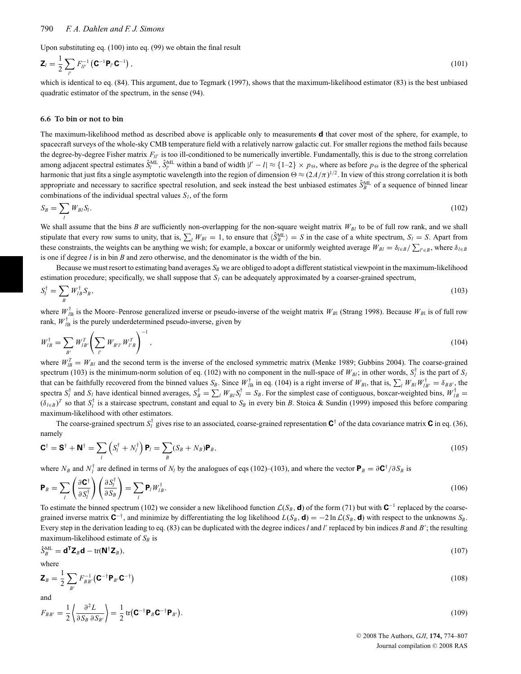# 790 *F. A. Dahlen and F. J. Simons*

Upon substituting eq. (100) into eq. (99) we obtain the final result

$$
\mathbf{Z}_{l} = \frac{1}{2} \sum_{l'} F_{ll'}^{-1} \left( \mathbf{C}^{-1} \mathbf{P}_{l'} \mathbf{C}^{-1} \right), \tag{101}
$$

which is identical to eq. (84). This argument, due to Tegmark (1997), shows that the maximum-likelihood estimator (83) is the best unbiased quadratic estimator of the spectrum, in the sense (94).

#### **6.6 To bin or not to bin**

The maximum-likelihood method as described above is applicable only to measurements **d** that cover most of the sphere, for example, to spacecraft surveys of the whole-sky CMB temperature field with a relatively narrow galactic cut. For smaller regions the method fails because the degree-by-degree Fisher matrix  $F_{ll'}$  is too ill-conditioned to be numerically invertible. Fundamentally, this is due to the strong correlation among adjacent spectral estimates  $\hat{S}_l^{\text{ML}}$ ,  $\hat{S}_l^{\text{ML}}$  within a band of width  $|l'-l| \approx \{1-2\} \times p_\Theta$ , where as before  $p_\Theta$  is the degree of the spherical harmonic that just fits a single asymptotic wavelength into the region of dimension  $\Theta \approx (2A/\pi)^{1/2}$ . In view of this strong correlation it is both appropriate and necessary to sacrifice spectral resolution, and seek instead the best unbiased estimates  $\hat{S}_B^{\text{ML}}$  of a sequence of binned linear combinations of the individual spectral values  $S_l$ , of the form

$$
S_B = \sum_l W_{Bl} S_l. \tag{102}
$$

We shall assume that the bins *B* are sufficiently non-overlapping for the non-square weight matrix  $W_{BI}$  to be of full row rank, and we shall stipulate that every row sums to unity, that is,  $\sum_l W_{Bl} = 1$ , to ensure that  $\langle \hat{S}_B^{\text{ML}} \rangle = S$  in the case of a white spectrum,  $S_l = S$ . Apart from these constraints, the weights can be anything we wish; for example, a boxcar or uniformly weighted average  $W_{Bl} = \delta_{l \in B} / \sum_{l' \in B}$ , where  $\delta_{l \in B}$ is one if degree *l* is in bin *B* and zero otherwise, and the denominator is the width of the bin.

Because we must resort to estimating band averages  $S_B$  we are obliged to adopt a different statistical viewpoint in the maximum-likelihood estimation procedure; specifically, we shall suppose that  $S_l$  can be adequately approximated by a coarser-grained spectrum,

$$
S_l^\dagger = \sum_B W_{lB}^\dagger S_B,\tag{103}
$$

where  $W_{I}^{\dagger}$  is the Moore–Penrose generalized inverse or pseudo-inverse of the weight matrix  $W_{B1}$  (Strang 1998). Because  $W_{B1}$  is of full row rank,  $W_{I}^{\dagger}$  is the purely underdetermined pseudo-inverse, given by

$$
W_{IB}^{\dagger} = \sum_{B'} W_{IB'}^T \left( \sum_{l'} W_{B'l'} W_{l'B}^T \right)^{-1}, \tag{104}
$$

where  $W_{IB}^T = W_{BI}$  and the second term is the inverse of the enclosed symmetric matrix (Menke 1989; Gubbins 2004). The coarse-grained spectrum (103) is the minimum-norm solution of eq. (102) with no component in the null-space of  $W_{BI}$ ; in other words,  $S_l^{\dagger}$  is the part of  $S_l$ that can be faithfully recovered from the binned values  $S_B$ . Since  $W_{IB}^{\dagger}$  in eq. (104) is a right inverse of  $W_{B1}$ , that is,  $\sum_l W_{Bl} W_{IB'}^{\dagger} = \delta_{BB'}$ , the spectra  $S_l^{\dagger}$  and  $S_l$  have identical binned averages,  $S_B^{\dagger} = \sum_l W_{Bl} S_l^{\dagger} = S_B$ . For the simplest case of contiguous, boxcar-weighted bins,  $W_{IB}^{\dagger} =$  $(\delta_{I\in B})^T$  so that  $S_I^{\dagger}$  is a staircase spectrum, constant and equal to  $S_B$  in every bin *B*. Stoica & Sundin (1999) imposed this before comparing maximum-likelihood with other estimators.

The coarse-grained spectrum  $S_l^{\dagger}$  gives rise to an associated, coarse-grained representation  $\mathbf{C}^{\dagger}$  of the data covariance matrix  $\mathbf{C}$  in eq. (36), namely

$$
\mathbf{C}^{\dagger} = \mathbf{S}^{\dagger} + \mathbf{N}^{\dagger} = \sum_{l} \left( S_{l}^{\dagger} + N_{l}^{\dagger} \right) \mathbf{P}_{l} = \sum_{B} (S_{B} + N_{B}) \mathbf{P}_{B}, \qquad (105)
$$

where  $N_B$  and  $N_I^{\dagger}$  are defined in terms of  $N_I$  by the analogues of eqs (102)–(103), and where the vector  $P_B = \partial C^{\dagger}/\partial S_B$  is

$$
\mathbf{P}_B = \sum_l \left( \frac{\partial \mathbf{C}^\dagger}{\partial S_l^\dagger} \right) \left( \frac{\partial S_l^\dagger}{\partial S_B} \right) = \sum_l \mathbf{P}_l W_{lB}^\dagger. \tag{106}
$$

To estimate the binned spectrum (102) we consider a new likelihood function  $\mathcal{L}(S_B, \mathbf{d})$  of the form (71) but with **C**<sup>−1</sup> replaced by the coarsegrained inverse matrix  $\mathbf{C}^{-\dagger}$ , and minimize by differentiating the log likelihood  $L(S_B, \mathbf{d}) = -2 \ln \mathcal{L}(S_B, \mathbf{d})$  with respect to the unknowns  $S_B$ . Every step in the derivation leading to eq. (83) can be duplicated with the degree indices *l* and *l'* replaced by bin indices *B* and *B'*; the resulting maximum-likelihood estimate of  $S_B$  is

$$
\hat{S}_B^{\text{ML}} = \mathbf{d}^{\mathsf{T}} \mathbf{Z}_B \mathbf{d} - \text{tr}(\mathbf{N}^{\dagger} \mathbf{Z}_B),\tag{107}
$$

where

$$
\mathbf{Z}_{B} = \frac{1}{2} \sum_{B'} F_{BB'}^{-1} (\mathbf{C}^{-\dagger} \mathbf{P}_{B'} \mathbf{C}^{-\dagger})
$$
(108)

and

$$
F_{BB'} = \frac{1}{2} \left\langle \frac{\partial^2 L}{\partial S_B \, \partial S_{B'}} \right\rangle = \frac{1}{2} \operatorname{tr} (\mathbf{C}^{-\dagger} \mathbf{P}_B \mathbf{C}^{-\dagger} \mathbf{P}_{B'}) . \tag{109}
$$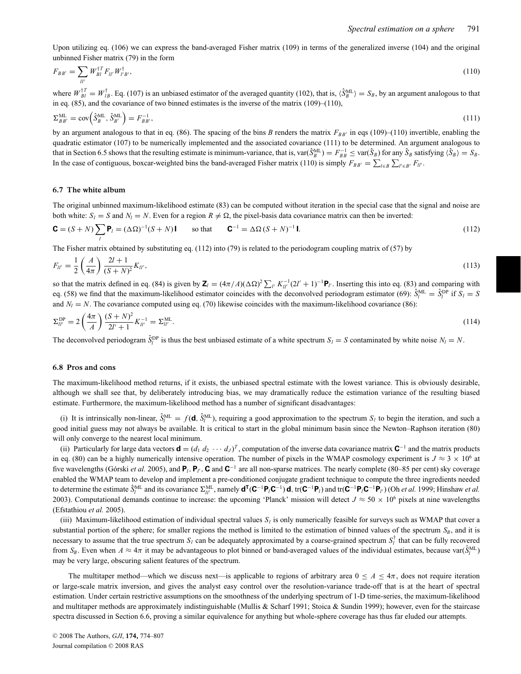Upon utilizing eq. (106) we can express the band-averaged Fisher matrix (109) in terms of the generalized inverse (104) and the original unbinned Fisher matrix (79) in the form

$$
F_{BB'} = \sum_{ll'} W_{BI}^{\dagger T} F_{ll'} W_{l'B'}^{\dagger}, \tag{110}
$$

where  $W_{Bl}^{\dagger T} = W_{IB}^{\dagger}$ . Eq. (107) is an unbiased estimator of the averaged quantity (102), that is,  $\langle \hat{S}_{B}^{\text{ML}} \rangle = S_{B}$ , by an argument analogous to that in eq.  $(85)$ , and the covariance of two binned estimates is the inverse of the matrix  $(109)$ – $(110)$ ,

$$
\Sigma_{BB'}^{\text{ML}} = \text{cov}\left(\hat{S}_B^{\text{ML}}, \hat{S}_{B'}^{\text{ML}}\right) = F_{BB'}^{-1},\tag{111}
$$

by an argument analogous to that in eq. (86). The spacing of the bins *B* renders the matrix  $F_{BB'}$  in eqs (109)–(110) invertible, enabling the quadratic estimator (107) to be numerically implemented and the associated covariance (111) to be determined. An argument analogous to that in Section 6.5 shows that the resulting estimate is minimum-variance, that is,  $\text{var}(\hat{S}_{B}^{ML}) = F_{BB}^{-1} \leq \text{var}(\hat{S}_{B})$  for any  $\hat{S}_{B}$  satisfying  $\langle \hat{S}_{B} \rangle = S_{B}$ . In the case of contiguous, boxcar-weighted bins the band-averaged Fisher matrix (110) is simply  $F_{BB'} = \sum_{l \in B} \sum_{l' \in B'} F_{ll'}$ .

# **6.7 The white album**

The original unbinned maximum-likelihood estimate (83) can be computed without iteration in the special case that the signal and noise are both white:  $S_l = S$  and  $N_l = N$ . Even for a region  $R \neq \Omega$ , the pixel-basis data covariance matrix can then be inverted:

$$
\mathbf{C} = (S+N)\sum_{l} \mathbf{P}_l = (\Delta\Omega)^{-1}(S+N)\mathbf{I} \qquad \text{so that} \qquad \mathbf{C}^{-1} = \Delta\Omega\,(S+N)^{-1}\,\mathbf{I}.\tag{112}
$$

The Fisher matrix obtained by substituting eq. (112) into (79) is related to the periodogram coupling matrix of (57) by

$$
F_{ll'} = \frac{1}{2} \left( \frac{A}{4\pi} \right) \frac{2l+1}{(S+N)^2} K_{ll'},
$$
\n(113)

so that the matrix defined in eq. (84) is given by  $\mathbf{Z}_l = (4\pi/A)(\Delta\Omega)^2 \sum_{l'} K_{ll'}^{-1} (2l' + 1)^{-1} \mathbf{P}_{l'}$ . Inserting this into eq. (83) and comparing with eq. (58) we find that the maximum-likelihood estimator coincides with the deconvolved periodogram estimator (69):  $\hat{S}_l^{\text{ML}} = \hat{S}_l^{\text{DP}}$  if  $S_l = S_l$ and  $N_l = N$ . The covariance computed using eq. (70) likewise coincides with the maximum-likelihood covariance (86):

$$
\Sigma_{ll'}^{\rm DP} = 2\left(\frac{4\pi}{A}\right)\frac{(S+N)^2}{2l'+1}K_{ll'}^{-1} = \Sigma_{ll'}^{\rm ML}.\tag{114}
$$

The deconvolved periodogram  $\hat{S}_l^{\text{DP}}$  is thus the best unbiased estimate of a white spectrum  $S_l = S$  contaminated by white noise  $N_l = N$ .

#### **6.8 Pros and cons**

The maximum-likelihood method returns, if it exists, the unbiased spectral estimate with the lowest variance. This is obviously desirable, although we shall see that, by deliberately introducing bias, we may dramatically reduce the estimation variance of the resulting biased estimate. Furthermore, the maximum-likelihood method has a number of significant disadvantages:

(i) It is intrinsically non-linear,  $\hat{S}_l^{\text{ML}} = f(\mathbf{d}, \hat{S}_l^{\text{ML}})$ , requiring a good approximation to the spectrum  $S_l$  to begin the iteration, and such a good initial guess may not always be available. It is critical to start in the global minimum basin since the Newton–Raphson iteration (80) will only converge to the nearest local minimum.

(ii) Particularly for large data vectors  $\mathbf{d} = (d_1 \ d_2 \ \cdots \ d_J)^T$ , computation of the inverse data covariance matrix  $\mathbf{C}^{-1}$  and the matrix products in eq. (80) can be a highly numerically intensive operation. The number of pixels in the WMAP cosmology experiment is  $J \approx 3 \times 10^6$  at five wavelengths (Górski *et al.* 2005), and  $P_l$ ,  $P_{l'}$ , C and  $C^{-1}$  are all non-sparse matrices. The nearly complete (80–85 per cent) sky coverage enabled the WMAP team to develop and implement a pre-conditioned conjugate gradient technique to compute the three ingredients needed to determine the estimate  $\hat{S}_l^{\text{ML}}$  and its covariance  $\Sigma_{ll'}^{\text{ML}}$ , namely  $\mathbf{d}^{\mathsf{T}}(\mathbf{C}^{-1}\mathbf{P}_l\mathbf{C}^{-1})\mathbf{d}$ , tr $(\mathbf{C}^{-1}\mathbf{P}_l)$  and tr $(\mathbf{C}^{-1}\mathbf{P}_l\mathbf{C}^{-1}\mathbf{P}_{l'})$  (Oh *et al.* 1999; Hinshaw *et a* 2003). Computational demands continue to increase: the upcoming 'Planck' mission will detect  $J \approx 50 \times 10^6$  pixels at nine wavelengths (Efstathiou *et al.* 2005).

(iii) Maximum-likelihood estimation of individual spectral values  $S_l$  is only numerically feasible for surveys such as WMAP that cover a substantial portion of the sphere; for smaller regions the method is limited to the estimation of binned values of the spectrum  $S_B$ , and it is necessary to assume that the true spectrum  $S_l$  can be adequately approximated by a coarse-grained spectrum  $S_l^{\dagger}$  that can be fully recovered from  $S_B$ . Even when  $A \approx 4\pi$  it may be advantageous to plot binned or band-averaged values of the individual estimates, because var( $\hat{S}_l^{\text{ML}}$ ) may be very large, obscuring salient features of the spectrum.

The multitaper method—which we discuss next—is applicable to regions of arbitrary area  $0 \le A \le 4\pi$ , does not require iteration or large-scale matrix inversion, and gives the analyst easy control over the resolution-variance trade-off that is at the heart of spectral estimation. Under certain restrictive assumptions on the smoothness of the underlying spectrum of 1-D time-series, the maximum-likelihood and multitaper methods are approximately indistinguishable (Mullis & Scharf 1991; Stoica & Sundin 1999); however, even for the staircase spectra discussed in Section 6.6, proving a similar equivalence for anything but whole-sphere coverage has thus far eluded our attempts.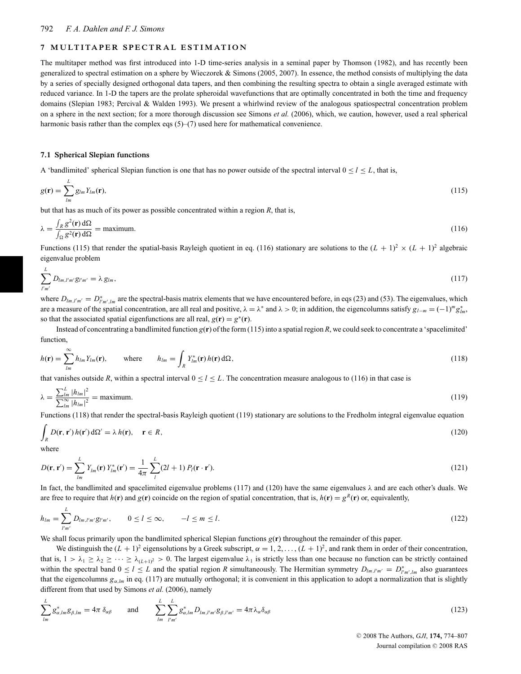# **7 MULTITAPER SPECTRAL ESTIMATION**

The multitaper method was first introduced into 1-D time-series analysis in a seminal paper by Thomson (1982), and has recently been generalized to spectral estimation on a sphere by Wieczorek & Simons (2005, 2007). In essence, the method consists of multiplying the data by a series of specially designed orthogonal data tapers, and then combining the resulting spectra to obtain a single averaged estimate with reduced variance. In 1-D the tapers are the prolate spheroidal wavefunctions that are optimally concentrated in both the time and frequency domains (Slepian 1983; Percival & Walden 1993). We present a whirlwind review of the analogous spatiospectral concentration problem on a sphere in the next section; for a more thorough discussion see Simons *et al.* (2006), which, we caution, however, used a real spherical harmonic basis rather than the complex eqs  $(5)$ – $(7)$  used here for mathematical convenience.

# **7.1 Spherical Slepian functions**

A 'bandlimited' spherical Slepian function is one that has no power outside of the spectral interval  $0 \le l \le L$ , that is,

$$
g(\mathbf{r}) = \sum_{lm}^{L} g_{lm} Y_{lm}(\mathbf{r}),
$$
\n(115)

but that has as much of its power as possible concentrated within a region *R*, that is,

$$
\lambda = \frac{\int_{R} g^{2}(\mathbf{r}) d\Omega}{\int_{\Omega} g^{2}(\mathbf{r}) d\Omega} = \text{maximum.}
$$
\n(116)

Functions (115) that render the spatial-basis Rayleigh quotient in eq. (116) stationary are solutions to the  $(L + 1)^2 \times (L + 1)^2$  algebraic eigenvalue problem

$$
\sum_{l'm'}^{L} D_{lm,l'm'} g_{l'm'} = \lambda g_{lm},\tag{117}
$$

where  $D_{lm,l'm'} = D^*_{l'm',lm}$  are the spectral-basis matrix elements that we have encountered before, in eqs (23) and (53). The eigenvalues, which are a measure of the spatial concentration, are all real and positive,  $\lambda = \lambda^*$  and  $\lambda > 0$ ; in addition, the eigencolumns satisfy  $g_{l-m} = (-1)^m g_{lm}^*$ so that the associated spatial eigenfunctions are all real,  $g(\mathbf{r}) = g^*(\mathbf{r})$ .

Instead of concentrating a bandlimited function *g*(**r**) of the form (115) into a spatial region *R*, we could seek to concentrate a 'spacelimited' function,

$$
h(\mathbf{r}) = \sum_{lm}^{\infty} h_{lm} Y_{lm}(\mathbf{r}), \qquad \text{where} \qquad h_{lm} = \int_{R} Y_{lm}^*(\mathbf{r}) h(\mathbf{r}) \, d\Omega, \tag{118}
$$

that vanishes outside *R*, within a spectral interval  $0 \le l \le L$ . The concentration measure analogous to (116) in that case is

$$
\lambda = \frac{\sum_{lm}^{L} |h_{lm}|^2}{\sum_{lm}^{S} |h_{lm}|^2} = \text{maximum.}
$$
\n(119)

Functions (118) that render the spectral-basis Rayleigh quotient (119) stationary are solutions to the Fredholm integral eigenvalue equation

$$
\int_{R} D(\mathbf{r}, \mathbf{r}') h(\mathbf{r}') d\Omega' = \lambda h(\mathbf{r}), \quad \mathbf{r} \in R,
$$
\n(120)

where

$$
D(\mathbf{r}, \mathbf{r}') = \sum_{lm}^{L} Y_{lm}(\mathbf{r}) Y_{lm}^*(\mathbf{r}') = \frac{1}{4\pi} \sum_{l}^{L} (2l+1) P_l(\mathbf{r} \cdot \mathbf{r}').
$$
\n(121)

In fact, the bandlimited and spacelimited eigenvalue problems (117) and (120) have the same eigenvalues  $\lambda$  and are each other's duals. We are free to require that  $h(\mathbf{r})$  and  $g(\mathbf{r})$  coincide on the region of spatial concentration, that is,  $h(\mathbf{r}) = g^R(\mathbf{r})$  or, equivalently,

$$
h_{lm} = \sum_{l'm'}^{L} D_{lm,l'm'} g_{l'm'}, \qquad 0 \le l \le \infty, \qquad -l \le m \le l.
$$
\n(122)

We shall focus primarily upon the bandlimited spherical Slepian functions  $g(\mathbf{r})$  throughout the remainder of this paper.

We distinguish the  $(L + 1)^2$  eigensolutions by a Greek subscript,  $\alpha = 1, 2, \ldots, (L + 1)^2$ , and rank them in order of their concentration, that is,  $1 > \lambda_1 \ge \lambda_2 \ge \cdots \ge \lambda_{(L+1)^2} > 0$ . The largest eigenvalue  $\lambda_1$  is strictly less than one because no function can be strictly contained within the spectral band  $0 \le l \le L$  and the spatial region *R* simultaneously. The Hermitian symmetry  $D_{lm,l'm'} = D^*_{l'm',lm}$  also guarantees that the eigencolumns  $g_{\alpha,lm}$  in eq. (117) are mutually orthogonal; it is convenient in this application to adopt a normalization that is slightly different from that used by Simons *et al.* (2006), namely

$$
\sum_{lm}^{L} g_{\alpha,lm}^{*} g_{\beta,lm} = 4\pi \delta_{\alpha\beta} \quad \text{and} \quad \sum_{lm}^{L} \sum_{l'm'}^{L} g_{\alpha,lm}^{*} D_{lm,l'm'} g_{\beta,l'm'} = 4\pi \lambda_{\alpha} \delta_{\alpha\beta} \tag{123}
$$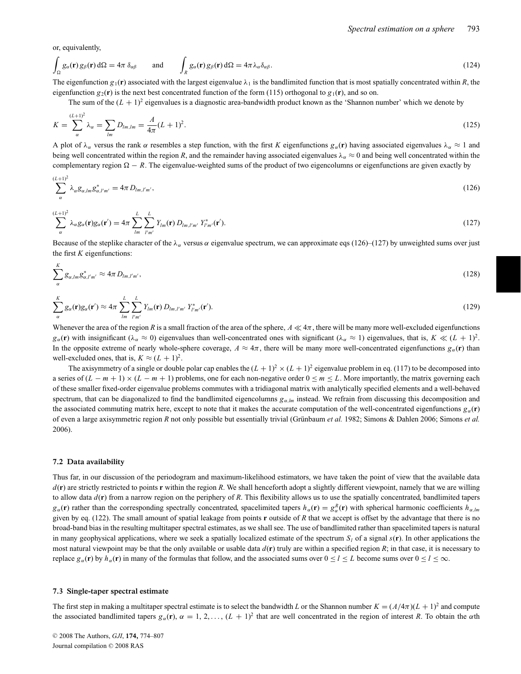or, equivalently,

$$
\int_{\Omega} g_{\alpha}(\mathbf{r}) g_{\beta}(\mathbf{r}) d\Omega = 4\pi \delta_{\alpha\beta} \quad \text{and} \quad \int_{R} g_{\alpha}(\mathbf{r}) g_{\beta}(\mathbf{r}) d\Omega = 4\pi \lambda_{\alpha} \delta_{\alpha\beta}.
$$
\n(124)

The eigenfunction  $g_1(\mathbf{r})$  associated with the largest eigenvalue  $\lambda_1$  is the bandlimited function that is most spatially concentrated within *R*, the eigenfunction  $g_2(\mathbf{r})$  is the next best concentrated function of the form (115) orthogonal to  $g_1(\mathbf{r})$ , and so on.

The sum of the  $(L + 1)^2$  eigenvalues is a diagnostic area-bandwidth product known as the 'Shannon number' which we denote by

$$
K = \sum_{\alpha}^{(L+1)^2} \lambda_{\alpha} = \sum_{lm} D_{lm,lm} = \frac{A}{4\pi} (L+1)^2.
$$
 (125)

A plot of  $\lambda_{\alpha}$  versus the rank  $\alpha$  resembles a step function, with the first *K* eigenfunctions  $g_{\alpha}(\mathbf{r})$  having associated eigenvalues  $\lambda_{\alpha} \approx 1$  and being well concentrated within the region *R*, and the remainder having associated eigenvalues  $\lambda_{\alpha} \approx 0$  and being well concentrated within the complementary region  $\Omega - R$ . The eigenvalue-weighted sums of the product of two eigencolumns or eigenfunctions are given exactly by

$$
\sum_{\alpha}^{(L+1)^2} \lambda_{\alpha} g_{\alpha,lm} g_{\alpha,l'm'}^* = 4\pi D_{lm,l'm'},\tag{126}
$$

$$
\sum_{\alpha}^{(L+1)^2} \lambda_{\alpha} g_{\alpha}(\mathbf{r}) g_{\alpha}(\mathbf{r}') = 4\pi \sum_{lm}^{L} \sum_{l'm'}^{L} Y_{lm}(\mathbf{r}) D_{lm,l'm'} Y_{l'm'}^*(\mathbf{r}').
$$
\n(127)

Because of the steplike character of the  $\lambda_{\alpha}$  versus  $\alpha$  eigenvalue spectrum, we can approximate eqs (126)–(127) by unweighted sums over just the first  $K$  eigenfunctions:

$$
\sum_{\alpha}^{K} g_{\alpha,lm} g_{\alpha,l'm'}^* \approx 4\pi D_{lm,l'm'},\tag{128}
$$

$$
\sum_{\alpha}^{K} g_{\alpha}(\mathbf{r}) g_{\alpha}(\mathbf{r}') \approx 4\pi \sum_{lm}^{L} \sum_{l'm'}^{L} Y_{lm}(\mathbf{r}) D_{lm,l'm'} Y_{l'm'}^{*}(\mathbf{r}').
$$
\n(129)

Whenever the area of the region *R* is a small fraction of the area of the sphere,  $A \ll 4\pi$ , there will be many more well-excluded eigenfunctions  $g_\alpha(\mathbf{r})$  with insignificant ( $\lambda_\alpha \approx 0$ ) eigenvalues than well-concentrated ones with significant ( $\lambda_\alpha \approx 1$ ) eigenvalues, that is,  $K \ll (L + 1)^2$ . In the opposite extreme of nearly whole-sphere coverage,  $A \approx 4\pi$ , there will be many more well-concentrated eigenfunctions  $g_\alpha(\mathbf{r})$  than well-excluded ones, that is,  $K \approx (L + 1)^2$ .

The axisymmetry of a single or double polar cap enables the  $(L + 1)^2 \times (L + 1)^2$  eigenvalue problem in eq. (117) to be decomposed into a series of  $(L - m + 1) \times (L - m + 1)$  problems, one for each non-negative order  $0 \le m \le L$ . More importantly, the matrix governing each of these smaller fixed-order eigenvalue problems commutes with a tridiagonal matrix with analytically specified elements and a well-behaved spectrum, that can be diagonalized to find the bandlimited eigencolumns  $g_{\alpha,lm}$  instead. We refrain from discussing this decomposition and the associated commuting matrix here, except to note that it makes the accurate computation of the well-concentrated eigenfunctions  $g_\alpha(\mathbf{r})$ of even a large axisymmetric region *R* not only possible but essentially trivial (Grünbaum et al. 1982; Simons & Dahlen 2006; Simons et al. 2006).

#### **7.2 Data availability**

Thus far, in our discussion of the periodogram and maximum-likelihood estimators, we have taken the point of view that the available data  $d(\mathbf{r})$  are strictly restricted to points **r** within the region *R*. We shall henceforth adopt a slightly different viewpoint, namely that we are willing to allow data  $d(\mathbf{r})$  from a narrow region on the periphery of *R*. This flexibility allows us to use the spatially concentrated, bandlimited tapers  $g_{\alpha}(\mathbf{r})$  rather than the corresponding spectrally concentrated, spacelimited tapers  $h_{\alpha}(\mathbf{r}) = g_{\alpha}^{R}(\mathbf{r})$  with spherical harmonic coefficients  $h_{\alpha,lm}$ given by eq. (122). The small amount of spatial leakage from points **r** outside of *R* that we accept is offset by the advantage that there is no broad-band bias in the resulting multitaper spectral estimates, as we shall see. The use of bandlimited rather than spacelimited tapers is natural in many geophysical applications, where we seek a spatially localized estimate of the spectrum  $S_l$  of a signal  $s(\mathbf{r})$ . In other applications the most natural viewpoint may be that the only available or usable data *d*(**r**) truly are within a specified region *R*; in that case, it is necessary to replace  $g_\alpha(\mathbf{r})$  by  $h_\alpha(\mathbf{r})$  in many of the formulas that follow, and the associated sums over  $0 \le l \le L$  become sums over  $0 \le l \le \infty$ .

# **7.3 Single-taper spectral estimate**

The first step in making a multitaper spectral estimate is to select the bandwidth *L* or the Shannon number  $K = (A/4\pi)(L+1)^2$  and compute the associated bandlimited tapers  $g_\alpha(\mathbf{r})$ ,  $\alpha = 1, 2, \ldots, (L+1)^2$  that are well concentrated in the region of interest *R*. To obtain the  $\alpha$ th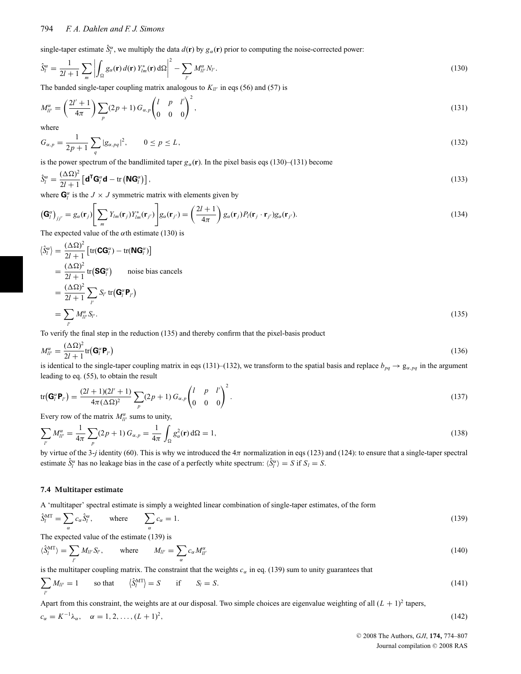# 794 *F. A. Dahlen and F. J. Simons*

single-taper estimate  $\hat{S}_l^{\alpha}$ , we multiply the data  $d(\mathbf{r})$  by  $g_{\alpha}(\mathbf{r})$  prior to computing the noise-corrected power:

$$
\hat{S}_l^{\alpha} = \frac{1}{2l+1} \sum_{m} \left| \int_{\Omega} g_{\alpha}(\mathbf{r}) d(\mathbf{r}) Y_{lm}^*(\mathbf{r}) d\Omega \right|^2 - \sum_{l'} M_{ll'}^{\alpha} N_{l'}.
$$
\n(130)

The banded single-taper coupling matrix analogous to  $K_{ll'}$  in eqs (56) and (57) is

$$
M_{ll'}^{\alpha} = \left(\frac{2l'+1}{4\pi}\right) \sum_{p} (2p+1) G_{\alpha,p} \begin{pmatrix} l & p & l' \\ 0 & 0 & 0 \end{pmatrix}^2,
$$
\n(131)

where

$$
G_{\alpha,p} = \frac{1}{2p+1} \sum_{q} |g_{\alpha,pq}|^2, \qquad 0 \le p \le L,
$$
\n(132)

is the power spectrum of the bandlimited taper  $g_\alpha(\mathbf{r})$ . In the pixel basis eqs (130)–(131) become

$$
\hat{S}_l^{\alpha} = \frac{(\Delta \Omega)^2}{2l+1} \left[ \mathbf{d}^{\mathsf{T}} \mathbf{G}_l^{\alpha} \mathbf{d} - \text{tr} \left( \mathbf{N} \mathbf{G}_l^{\alpha} \right) \right],\tag{133}
$$

where  $\mathbf{G}_l^{\alpha}$  is the *J* × *J* symmetric matrix with elements given by

$$
\left(\mathbf{G}_{l}^{\alpha}\right)_{jj'} = g_{\alpha}(\mathbf{r}_{j}) \Bigg[\sum_{m} Y_{lm}(\mathbf{r}_{j}) Y_{lm}^{*}(\mathbf{r}_{j'})\Bigg] g_{\alpha}(\mathbf{r}_{j'}) = \left(\frac{2l+1}{4\pi}\right) g_{\alpha}(\mathbf{r}_{j}) P_{l}(\mathbf{r}_{j} \cdot \mathbf{r}_{j'}) g_{\alpha}(\mathbf{r}_{j'}).
$$
\n(134)

The expected value of the  $\alpha$ th estimate (130) is

$$
\langle \hat{S}_{l}^{\alpha} \rangle = \frac{(\Delta \Omega)^{2}}{2l + 1} \left[ \text{tr}(\mathbf{C}\mathbf{G}_{l}^{\alpha}) - \text{tr}(\mathbf{N}\mathbf{G}_{l}^{\alpha}) \right]
$$
\n
$$
= \frac{(\Delta \Omega)^{2}}{2l + 1} \text{tr}(\mathbf{S}\mathbf{G}_{l}^{\alpha}) \qquad \text{noise bias cancels}
$$
\n
$$
= \frac{(\Delta \Omega)^{2}}{2l + 1} \sum_{l'} S_{l'} \text{tr}(\mathbf{G}_{l}^{\alpha} \mathbf{P}_{l'})
$$
\n
$$
= \sum_{l'} M_{ll'}^{\alpha} S_{l'}.
$$
\n(135)

To verify the final step in the reduction (135) and thereby confirm that the pixel-basis product

$$
M_{ll'}^{\alpha} = \frac{(\Delta \Omega)^2}{2l+1} \text{tr}(\mathbf{G}_l^{\alpha} \mathbf{P}_{l'})
$$
\n(136)

is identical to the single-taper coupling matrix in eqs (131)–(132), we transform to the spatial basis and replace  $b_{pq} \to g_{\alpha, pq}$  in the argument leading to eq. (55), to obtain the result

$$
\text{tr}\left(\mathbf{G}_{l}^{\alpha}\mathbf{P}_{l'}\right) = \frac{(2l+1)(2l'+1)}{4\pi(\Delta\Omega)^{2}}\sum_{p}(2p+1)G_{\alpha,p}\begin{pmatrix}l&p&l'\\0&0&0\end{pmatrix}^{2}.
$$
\n(137)

Every row of the matrix  $M_{ll'}^{\alpha}$  sums to unity,

$$
\sum_{l'} M_{ll'}^{\alpha} = \frac{1}{4\pi} \sum_{p} (2p + 1) G_{\alpha, p} = \frac{1}{4\pi} \int_{\Omega} g_{\alpha}^2(\mathbf{r}) d\Omega = 1,
$$
\n(138)

by virtue of the 3-*j* identity (60). This is why we introduced the 4π normalization in eqs (123) and (124): to ensure that a single-taper spectral estimate  $\hat{S}_l^{\alpha}$  has no leakage bias in the case of a perfectly white spectrum:  $\langle \hat{S}_l^{\alpha} \rangle = S$  if  $S_l = S$ .

# **7.4 Multitaper estimate**

A 'multitaper' spectral estimate is simply a weighted linear combination of single-taper estimates, of the form

$$
\hat{S}_l^{\text{MT}} = \sum_{\alpha} c_{\alpha} \hat{S}_l^{\alpha}, \qquad \text{where} \qquad \sum_{\alpha} c_{\alpha} = 1. \tag{139}
$$

The expected value of the estimate (139) is

$$
\langle \hat{S}_l^{\text{MT}} \rangle = \sum_{l'} M_{ll'} S_{l'}, \qquad \text{where} \qquad M_{ll'} = \sum_{\alpha} c_{\alpha} M_{ll'}^{\alpha} \tag{140}
$$

is the multitaper coupling matrix. The constraint that the weights  $c_\alpha$  in eq. (139) sum to unity guarantees that

$$
\sum_{l'} M_{ll'} = 1 \qquad \text{so that} \qquad \left\langle \hat{S}_l^{\text{MT}} \right\rangle = S \qquad \text{if} \qquad S_l = S. \tag{141}
$$

Apart from this constraint, the weights are at our disposal. Two simple choices are eigenvalue weighting of all  $(L + 1)^2$  tapers,

$$
c_{\alpha} = K^{-1} \lambda_{\alpha}, \quad \alpha = 1, 2, \dots, (L+1)^2,
$$
\n(142)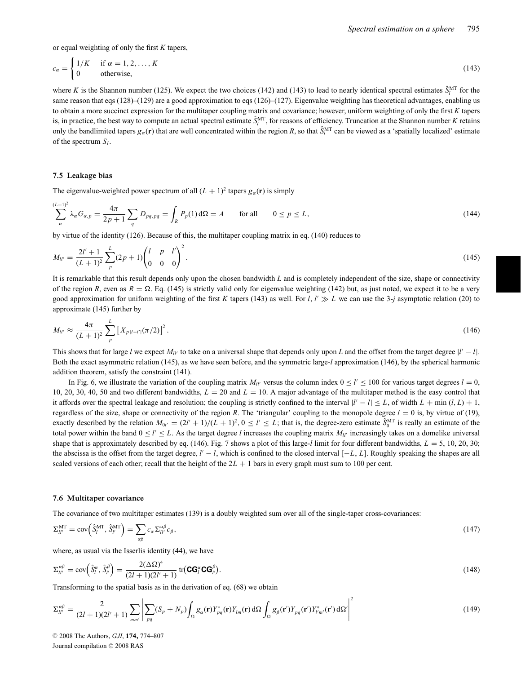or equal weighting of only the first *K* tapers,

$$
c_{\alpha} = \begin{cases} 1/K & \text{if } \alpha = 1, 2, ..., K \\ 0 & \text{otherwise,} \end{cases}
$$
(143)

where *K* is the Shannon number (125). We expect the two choices (142) and (143) to lead to nearly identical spectral estimates  $\hat{S}_l^{\text{MT}}$  for the same reason that eqs (128)–(129) are a good approximation to eqs (126)–(127). Eigenvalue weighting has theoretical advantages, enabling us to obtain a more succinct expression for the multitaper coupling matrix and covariance; however, uniform weighting of only the first *K* tapers is, in practice, the best way to compute an actual spectral estimate  $\hat{S}_l^{MT}$ , for reasons of efficiency. Truncation at the Shannon number *K* retains only the bandlimited tapers  $g_\alpha(\mathbf{r})$  that are well concentrated within the region *R*, so that  $\hat{S}_l^{\text{MT}}$  can be viewed as a 'spatially localized' estimate of the spectrum  $S_l$ .

#### **7.5 Leakage bias**

The eigenvalue-weighted power spectrum of all  $(L + 1)^2$  tapers  $g_\alpha(\mathbf{r})$  is simply

$$
\sum_{\alpha}^{(L+1)^2} \lambda_{\alpha} G_{\alpha, p} = \frac{4\pi}{2p+1} \sum_{q} D_{pq, pq} = \int_{R} P_{p}(1) \, d\Omega = A \qquad \text{for all} \qquad 0 \le p \le L,
$$
\n(144)

by virtue of the identity (126). Because of this, the multitaper coupling matrix in eq. (140) reduces to

$$
M_{ll'} = \frac{2l' + 1}{(L+1)^2} \sum_{p}^{L} (2p+1) \begin{pmatrix} l & p & l' \\ 0 & 0 & 0 \end{pmatrix}^2.
$$
 (145)

It is remarkable that this result depends only upon the chosen bandwidth *L* and is completely independent of the size, shape or connectivity of the region *R*, even as  $R = \Omega$ . Eq. (145) is strictly valid only for eigenvalue weighting (142) but, as just noted, we expect it to be a very good approximation for uniform weighting of the first *K* tapers (143) as well. For *l*,  $l' \gg L$  we can use the 3-*j* asymptotic relation (20) to approximate (145) further by

$$
M_{ll'} \approx \frac{4\pi}{(L+1)^2} \sum_{p}^{L} \left[ X_{p|l-l'|}(\pi/2) \right]^2.
$$
 (146)

This shows that for large *l* we expect  $M_{ll'}$  to take on a universal shape that depends only upon *L* and the offset from the target degree  $|l' - l|$ . Both the exact asymmetric relation (145), as we have seen before, and the symmetric large-*l* approximation (146), by the spherical harmonic addition theorem, satisfy the constraint (141).

In Fig. 6, we illustrate the variation of the coupling matrix  $M_{ll'}$  versus the column index  $0 \le l' \le 100$  for various target degrees  $l = 0$ , 10, 20, 30, 40, 50 and two different bandwidths,  $L = 20$  and  $L = 10$ . A major advantage of the multitaper method is the easy control that it affords over the spectral leakage and resolution; the coupling is strictly confined to the interval  $|l' - l| \le L$ , of width  $L + \min(l, L) + 1$ , regardless of the size, shape or connectivity of the region *R*. The 'triangular' coupling to the monopole degree  $l = 0$  is, by virtue of (19), exactly described by the relation  $M_{0l'} = (2l' + 1)/(L + 1)^2$ ,  $0 \le l' \le L$ ; that is, the degree-zero estimate  $\hat{S}_0^{\text{MT}}$  is really an estimate of the total power within the band  $0 \le l' \le L$ . As the target degree *l* increases the coupling matrix  $M_{ll'}$  increasingly takes on a domelike universal shape that is approximately described by eq. (146). Fig. 7 shows a plot of this large-*l* limit for four different bandwidths, *L* = 5, 10, 20, 30; the abscissa is the offset from the target degree, *l'* − *l*, which is confined to the closed interval [−*L*, *L*]. Roughly speaking the shapes are all scaled versions of each other; recall that the height of the  $2L + 1$  bars in every graph must sum to 100 per cent.

#### **7.6 Multitaper covariance**

The covariance of two multitaper estimates (139) is a doubly weighted sum over all of the single-taper cross-covariances:

$$
\Sigma_{ll'}^{\text{MT}} = \text{cov}\left(\hat{S}_l^{\text{MT}}, \hat{S}_{l'}^{\text{MT}}\right) = \sum_{\alpha\beta} c_{\alpha} \Sigma_{ll'}^{\alpha\beta} c_{\beta},\tag{147}
$$

where, as usual via the Isserlis identity (44), we have

$$
\Sigma_{ll'}^{\alpha\beta} = \text{cov}\left(\hat{S}_l^{\alpha}, \hat{S}_{l'}^{\beta}\right) = \frac{2(\Delta\Omega)^4}{(2l+1)(2l'+1)} \text{tr}\left(\mathbf{C}\mathbf{G}_l^{\alpha}\mathbf{C}\mathbf{G}_{l'}^{\beta}\right).
$$
\n(148)

Transforming to the spatial basis as in the derivation of eq. (68) we obtain

$$
\Sigma_{ll'}^{\alpha\beta} = \frac{2}{(2l+1)(2l'+1)} \sum_{mm'} \left| \sum_{pq} (S_p + N_p) \int_{\Omega} g_{\alpha}(\mathbf{r}) Y_{pq}^*(\mathbf{r}) Y_{lm}(\mathbf{r}) d\Omega \int_{\Omega} g_{\beta}(\mathbf{r'}) Y_{pq}(\mathbf{r'}) Y_{l'm'}^*(\mathbf{r'}) d\Omega' \right|^2 \tag{149}
$$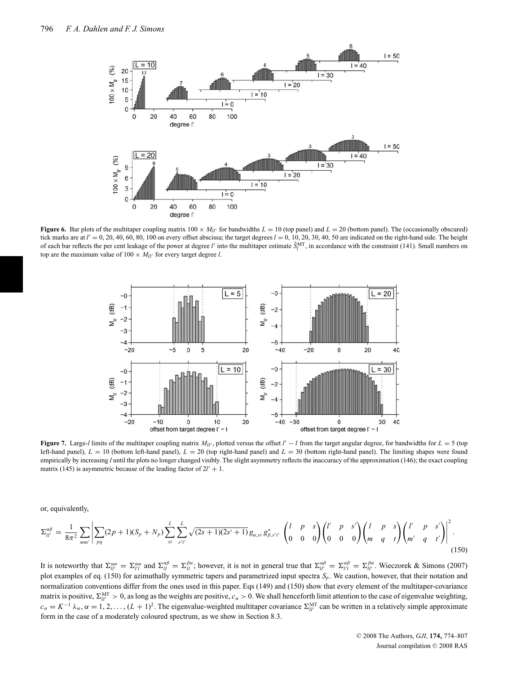

**Figure 6.** Bar plots of the multitaper coupling matrix  $100 \times M_{ll'}$  for bandwidths  $L = 10$  (top panel) and  $L = 20$  (bottom panel). The (occasionally obscured) tick marks are at  $l' = 0$ , 20, 40, 60, 80, 100 on every offset abscissa; the target degrees  $l = 0, 10, 20, 30, 40, 50$  are indicated on the right-hand side. The height of each bar reflects the per cent leakage of the power at degree  $l'$  into the multitaper estimate  $\hat{S}_l^{\text{MT}}$ , in accordance with the constraint (141). Small numbers on top are the maximum value of  $100 \times M_{ll'}$  for every target degree *l*.



**Figure 7.** Large-*l* limits of the multitaper coupling matrix  $M_{ll'}$ , plotted versus the offset  $l' - l$  from the target angular degree, for bandwidths for  $L = 5$  (top left-hand panel),  $L = 10$  (bottom left-hand panel),  $L = 20$  (top right-hand panel) and  $L = 30$  (bottom right-hand panel). The limiting shapes were found empirically by increasing *l* until the plots no longer changed visibly. The slight asymmetry reflects the inaccuracy of the approximation (146); the exact coupling matrix (145) is asymmetric because of the leading factor of  $2l' + 1$ .

or, equivalently,

$$
\Sigma_{ll'}^{\alpha\beta} = \frac{1}{8\pi^2} \sum_{mm'} \left| \sum_{pq} (2p+1)(S_p+N_p) \sum_{st}^{L} \sum_{s't'}^{L} \sqrt{(2s+1)(2s'+1)} g_{\alpha,st} g_{\beta,s't'}^* \begin{pmatrix} l & p & s' \\ 0 & 0 & 0 \end{pmatrix} \begin{pmatrix} l' & p & s' \\ 0 & 0 & 0 \end{pmatrix} \begin{pmatrix} l & p & s' \\ m & q & t \end{pmatrix} \begin{pmatrix} l' & p & s' \\ m' & q & t' \end{pmatrix} \right|^2.
$$
\n(150)

It is noteworthy that  $\Sigma_{ll'}^{\alpha\alpha} = \Sigma_{l'l}^{\alpha\alpha}$  and  $\Sigma_{ll}^{\alpha\beta} = \Sigma_{ll'}^{\beta\alpha}$ ; however, it is not in general true that  $\Sigma_{ll'}^{\alpha\beta} = \Sigma_{l'l}^{\beta\alpha} = \Sigma_{ll'}^{\beta\alpha}$ . Wieczorek & Simons (2007) plot examples of eq. (150) for azimuthally symmetric tapers and parametrized input spectra *Sp*. We caution, however, that their notation and normalization conventions differ from the ones used in this paper. Eqs (149) and (150) show that every element of the multitaper-covariance matrix is positive,  $\Sigma_{ll'}^{\text{MT}} > 0$ , as long as the weights are positive,  $c_{\alpha} > 0$ . We shall henceforth limit attention to the case of eigenvalue weighting,  $c_{\alpha} = K^{-1} \lambda_{\alpha}, \alpha = 1, 2, \ldots, (L+1)^2$ . The eigenvalue-weighted multitaper covariance  $\Sigma_{ll'}^{\text{MT}}$  can be written in a relatively simple approximate form in the case of a moderately coloured spectrum, as we show in Section 8.3.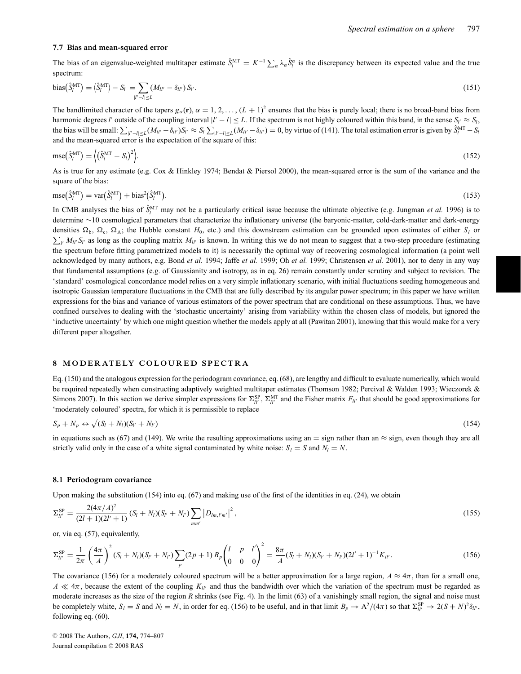#### **7.7 Bias and mean-squared error**

The bias of an eigenvalue-weighted multitaper estimate  $\hat{S}_l^{\text{MT}} = K^{-1} \sum_{\alpha} \lambda_{\alpha} \hat{S}_l^{\alpha}$  is the discrepancy between its expected value and the true spectrum:

bias
$$
\left(\hat{S}_l^{\text{MT}}\right) = \left\langle \hat{S}_l^{\text{MT}}\right\rangle - S_l = \sum_{|l'-l|\leq L} (M_{ll'} - \delta_{ll'}) S_{l'}.
$$
\n(151)

The bandlimited character of the tapers  $g_{\alpha}(\mathbf{r}), \alpha = 1, 2, \ldots, (L+1)^2$  ensures that the bias is purely local; there is no broad-band bias from harmonic degrees *l'* outside of the coupling interval  $|l'-l| \leq L$ . If the spectrum is not highly coloured within this band, in the sense  $S_{l'} \approx S_l$ , the bias will be small:  $\sum_{|l'-l|\le L} (M_{ll'} - \delta_{ll'}) S_{l'} \approx S_l \sum_{|l'-l|\le L} (M_{ll'} - \delta_{ll'}) = 0$ , by virtue of (141). The total estimation error is given by  $\hat{S}_l^{\text{MT}} - S_l$ and the mean-squared error is the expectation of the square of this:

$$
\text{mse}(\hat{S}_l^{\text{MT}}) = \left\langle \left(\hat{S}_l^{\text{MT}} - S_l\right)^2 \right\rangle. \tag{152}
$$

As is true for any estimate (e.g. Cox & Hinkley 1974; Bendat & Piersol 2000), the mean-squared error is the sum of the variance and the square of the bias:

$$
mse(\hat{S}_l^{\text{MT}}) = var(\hat{S}_l^{\text{MT}}) + bias^2(\hat{S}_l^{\text{MT}}). \tag{153}
$$

In CMB analyses the bias of  $\hat{S}_l^{\text{MT}}$  may not be a particularly critical issue because the ultimate objective (e.g. Jungman *et al.* 1996) is to determine ∼10 cosmological parameters that characterize the inflationary universe (the baryonic-matter, cold-dark-matter and dark-energy densities  $\Omega_b$ ,  $\Omega_c$ ,  $\Omega_{\Lambda}$ ; the Hubble constant *H*<sub>0</sub>, etc.) and this downstream estimation can be grounded upon estimates of either *S*<sub>l</sub> or  $\sum_{l'} M_{ll'} S_{l'}$  as long as the coupling matrix  $M_{ll'}$  is known. In writing this we do not mean to suggest that a two-step procedure (estimating the spectrum before fitting parametrized models to it) is necessarily the optimal way of recovering cosmological information (a point well acknowledged by many authors, e.g. Bond *et al.* 1994; Jaffe *et al.* 1999; Oh *et al.* 1999; Christensen *et al.* 2001), nor to deny in any way that fundamental assumptions (e.g. of Gaussianity and isotropy, as in eq. 26) remain constantly under scrutiny and subject to revision. The 'standard' cosmological concordance model relies on a very simple inflationary scenario, with initial fluctuations seeding homogeneous and isotropic Gaussian temperature fluctuations in the CMB that are fully described by its angular power spectrum; in this paper we have written expressions for the bias and variance of various estimators of the power spectrum that are conditional on these assumptions. Thus, we have confined ourselves to dealing with the 'stochastic uncertainty' arising from variability within the chosen class of models, but ignored the 'inductive uncertainty' by which one might question whether the models apply at all (Pawitan 2001), knowing that this would make for a very different paper altogether.

# **8 MODERATELY COLOURED SPECTRA**

Eq. (150) and the analogous expression for the periodogram covariance, eq. (68), are lengthy and difficult to evaluate numerically, which would be required repeatedly when constructing adaptively weighted multitaper estimates (Thomson 1982; Percival & Walden 1993; Wieczorek & Simons 2007). In this section we derive simpler expressions for  $\Sigma_{ll'}^{\text{SP}}$ ,  $\Sigma_{ll'}^{\text{MT}}$  and the Fisher matrix  $F_{ll'}$  that should be good approximations for 'moderately coloured' spectra, for which it is permissible to replace

$$
S_p + N_p \leftrightarrow \sqrt{(S_l + N_l)(S_{l'} + N_{l'})} \tag{154}
$$

in equations such as (67) and (149). We write the resulting approximations using an = sign rather than an  $\approx$  sign, even though they are all strictly valid only in the case of a white signal contaminated by white noise:  $S_l = S$  and  $N_l = N$ .

#### **8.1 Periodogram covariance**

Upon making the substitution (154) into eq. (67) and making use of the first of the identities in eq. (24), we obtain

$$
\Sigma_{ll'}^{\rm SP} = \frac{2(4\pi/A)^2}{(2l+1)(2l'+1)} \left( S_l + N_l \right) \left( S_{l'} + N_{l'} \right) \sum_{mm'} \left| D_{lm,l'm'} \right|^2, \tag{155}
$$

or, via eq. (57), equivalently,

$$
\Sigma_{ll'}^{\rm SP} = \frac{1}{2\pi} \left(\frac{4\pi}{A}\right)^2 (S_l + N_l)(S_{l'} + N_{l'}) \sum_p (2p+1) B_p \begin{pmatrix} l & p & l' \\ 0 & 0 & 0 \end{pmatrix}^2 = \frac{8\pi}{A} (S_l + N_l)(S_{l'} + N_{l'})(2l' + 1)^{-1} K_{ll'}.\tag{156}
$$

The covariance (156) for a moderately coloured spectrum will be a better approximation for a large region,  $A \approx 4\pi$ , than for a small one,  $A \ll 4\pi$ , because the extent of the coupling  $K_{ll'}$  and thus the bandwidth over which the variation of the spectrum must be regarded as moderate increases as the size of the region *R* shrinks (see Fig. 4). In the limit (63) of a vanishingly small region, the signal and noise must be completely white,  $S_l = S$  and  $N_l = N$ , in order for eq. (156) to be useful, and in that limit  $B_p \to A^2/(4\pi)$  so that  $\Sigma_{ll'}^{SP} \to 2(S + N)^2 \delta_{ll'}$ , following eq. (60).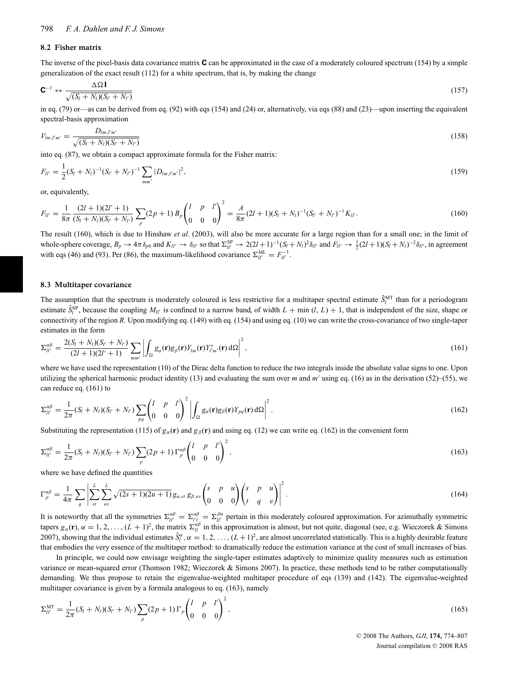### **8.2 Fisher matrix**

The inverse of the pixel-basis data covariance matrix **C** can be approximated in the case of a moderately coloured spectrum (154) by a simple generalization of the exact result (112) for a white spectrum, that is, by making the change

$$
\mathbf{C}^{-1} \leftrightarrow \frac{\Delta \Omega \mathbf{I}}{\sqrt{(S_l + N_l)(S_{l'} + N_{l'})}}\tag{157}
$$

in eq. (79) or—as can be derived from eq. (92) with eqs (154) and (24) or, alternatively, via eqs (88) and (23)—upon inserting the equivalent spectral-basis approximation

$$
V_{lm,l'm'} = \frac{D_{lm,l'm'}}{\sqrt{(S_l + N_l)(S_{l'} + N_{l'})}}
$$
(158)

into eq. (87), we obtain a compact approximate formula for the Fisher matrix:

$$
F_{ll'} = \frac{1}{2} (S_l + N_l)^{-1} (S_{l'} + N_{l'})^{-1} \sum_{mm'} |D_{lm,l'm'}|^2,
$$
\n(159)

or, equivalently,

$$
F_{ll'} = \frac{1}{8\pi} \frac{(2l+1)(2l'+1)}{(S_l+N_l)(S_{l'}+N_{l'})} \sum_p (2p+1) B_p \begin{pmatrix} l & p & l' \\ 0 & 0 & 0 \end{pmatrix}^2 = \frac{A}{8\pi} (2l+1)(S_l+N_l)^{-1} (S_{l'}+N_{l'})^{-1} K_{ll'}.
$$
 (160)

The result (160), which is due to Hinshaw *et al.* (2003), will also be more accurate for a large region than for a small one; in the limit of whole-sphere coverage,  $B_p \to 4\pi \delta_{p0}$  and  $K_{ll'} \to \delta_{ll'}$  so that  $\Sigma_{ll'}^{\text{SP}} \to 2(2l+1)^{-1}(S_l + N_l)^2 \delta_{ll'}$  and  $F_{ll'} \to \frac{1}{2}(2l+1)(S_l + N_l)^{-2} \delta_{ll'}$ , in agreement with eqs (46) and (93). Per (86), the maximum-likelihood covariance  $\Sigma_{ll'}^{\text{ML}} = F_{ll'}^{-1}$ .

### **8.3 Multitaper covariance**

The assumption that the spectrum is moderately coloured is less restrictive for a multitaper spectral estimate  $\hat{S}_l^M$  than for a periodogram estimate  $\hat{S}_l^{\text{SP}}$ , because the coupling  $M_{ll'}$  is confined to a narrow band, of width  $L + \min(l, L) + 1$ , that is independent of the size, shape or connectivity of the region *R*. Upon modifying eq. (149) with eq. (154) and using eq. (10) we can write the cross-covariance of two single-taper estimates in the form

$$
\Sigma_{ll'}^{\alpha\beta} = \frac{2(S_l + N_l)(S_{l'} + N_{l'})}{(2l+1)(2l'+1)} \sum_{mm'} \left| \int_{\Omega} g_{\alpha}(\mathbf{r}) g_{\beta}(\mathbf{r}) Y_{lm}(\mathbf{r}) Y_{l'm'}^*(\mathbf{r}) d\Omega \right|^2,
$$
\n(161)

where we have used the representation (10) of the Dirac delta function to reduce the two integrals inside the absolute value signs to one. Upon utilizing the spherical harmonic product identity (13) and evaluating the sum over *m* and *m*<sup>*'*</sup> using eq. (16) as in the derivation (52)–(55), we can reduce eq. (161) to

$$
\Sigma_{ll'}^{\alpha\beta} = \frac{1}{2\pi} (S_l + N_l)(S_{l'} + N_{l'}) \sum_{pq} \begin{pmatrix} l & p & l' \\ 0 & 0 & 0 \end{pmatrix}^2 \left| \int_{\Omega} g_{\alpha}(\mathbf{r}) g_{\beta}(\mathbf{r}) Y_{pq}(\mathbf{r}) d\Omega \right|^2.
$$
 (162)

Substituting the representation (115) of  $g_\alpha(\mathbf{r})$  and  $g_\beta(\mathbf{r})$  and using eq. (12) we can write eq. (162) in the convenient form

$$
\Sigma_{ll'}^{\alpha\beta} = \frac{1}{2\pi} (S_l + N_l) (S_{l'} + N_{l'}) \sum_p (2p+1) \Gamma_p^{\alpha\beta} \begin{pmatrix} l & p & l' \\ 0 & 0 & 0 \end{pmatrix}^2, \tag{163}
$$

where we have defined the quantities

$$
\Gamma_p^{\alpha\beta} = \frac{1}{4\pi} \sum_q \left| \sum_{st}^{L} \sum_{uv}^{L} \sqrt{(2s+1)(2u+1)} g_{\alpha,st} g_{\beta,uv} \begin{pmatrix} s & p & u \\ 0 & 0 & 0 \end{pmatrix} \begin{pmatrix} s & p & u \\ t & q & v \end{pmatrix} \right|^2.
$$
 (164)

It is noteworthy that all the symmetries  $\Sigma_{ll'}^{\alpha\beta} = \Sigma_{ll'}^{\alpha\beta}$  pertain in this moderately coloured approximation. For azimuthally symmetric tapers  $g_{\alpha}(\mathbf{r}), \alpha = 1, 2, \ldots, (L+1)^2$ , the matrix  $\Sigma_{ll}^{\alpha\beta}$  in this approximation is almost, but not quite, diagonal (see, e.g. Wieczorek & Simons 2007), showing that the individual estimates  $\hat{S}_l^{\alpha}$ ,  $\alpha = 1, 2, ..., (L+1)^2$ , are almost uncorrelated statistically. This is a highly desirable feature that embodies the very essence of the multitaper method: to dramatically reduce the estimation variance at the cost of small increases of bias.

In principle, we could now envisage weighting the single-taper estimates adaptively to minimize quality measures such as estimation variance or mean-squared error (Thomson 1982; Wieczorek & Simons 2007). In practice, these methods tend to be rather computationally demanding. We thus propose to retain the eigenvalue-weighted multitaper procedure of eqs (139) and (142). The eigenvalue-weighted multitaper covariance is given by a formula analogous to eq. (163), namely

$$
\Sigma_{ll'}^{\text{MT}} = \frac{1}{2\pi} (S_l + N_l)(S_{l'} + N_{l'}) \sum_p (2p+1) \Gamma_p \begin{pmatrix} l & p & l' \\ 0 & 0 & 0 \end{pmatrix}^2,\tag{165}
$$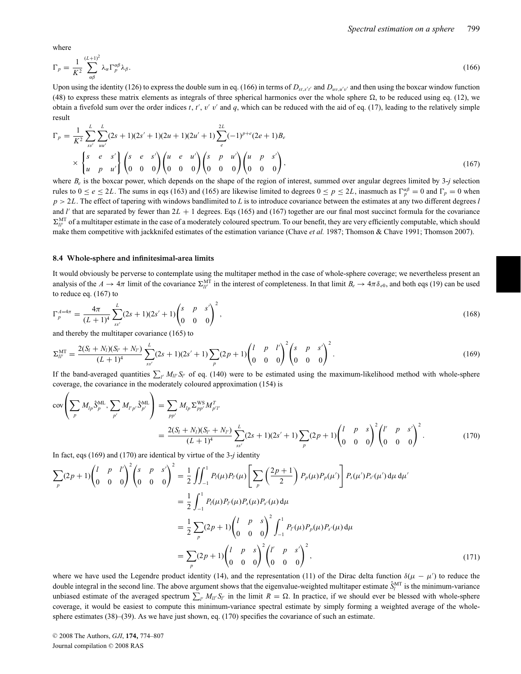where

$$
\Gamma_p = \frac{1}{K^2} \sum_{\alpha\beta}^{(L+1)^2} \lambda_\alpha \Gamma_p^{\alpha\beta} \lambda_\beta.
$$
\n(166)

Upon using the identity (126) to express the double sum in eq. (166) in terms of  $D_{st, s't'}$  and  $D_{uv, u'v'}$  and then using the boxcar window function (48) to express these matrix elements as integrals of three spherical harmonics over the whole sphere  $\Omega$ , to be reduced using eq. (12), we obtain a fivefold sum over the order indices  $t$ ,  $t'$ ,  $v'$   $v'$  and  $q$ , which can be reduced with the aid of eq. (17), leading to the relatively simple result

$$
\Gamma_p = \frac{1}{K^2} \sum_{ss'}^{L} \sum_{uu'}^{L} (2s+1)(2s'+1)(2u+1)(2u'+1) \sum_{e}^{2L} (-1)^{p+e} (2e+1)B_e
$$
\n
$$
\times \begin{Bmatrix} s & e & s' \\ u & p & u' \end{Bmatrix} \begin{Bmatrix} s & e & s' \\ 0 & 0 & 0 \end{Bmatrix} \begin{pmatrix} u & e & u' \\ 0 & 0 & 0 \end{pmatrix} \begin{pmatrix} s & p & u' \\ 0 & 0 & 0 \end{pmatrix} \begin{pmatrix} u & p & s' \\ 0 & 0 & 0 \end{pmatrix},
$$
\n(167)

where  $B_e$  is the boxcar power, which depends on the shape of the region of interest, summed over angular degrees limited by 3-*j* selection rules to  $0 \le e \le 2L$ . The sums in eqs (163) and (165) are likewise limited to degrees  $0 \le p \le 2L$ , inasmuch as  $\Gamma_p^{\alpha\beta} = 0$  and  $\Gamma_p = 0$  when  $p > 2L$ . The effect of tapering with windows bandlimited to *L* is to introduce covariance between the estimates at any two different degrees *l* and *l'* that are separated by fewer than  $2L + 1$  degrees. Eqs (165) and (167) together are our final most succinct formula for the covariance  $\Sigma_{ll'}^{\text{MT}}$  of a multitaper estimate in the case of a moderately coloured spectrum. To our benefit, they are very efficiently computable, which should make them competitive with jackknifed estimates of the estimation variance (Chave *et al.* 1987; Thomson & Chave 1991; Thomson 2007).

#### **8.4 Whole-sphere and infinitesimal-area limits**

It would obviously be perverse to contemplate using the multitaper method in the case of whole-sphere coverage; we nevertheless present an analysis of the  $A \to 4\pi$  limit of the covariance  $\Sigma_{ll'}^{\text{MT}}$  in the interest of completeness. In that limit  $B_e \to 4\pi \delta_{e0}$ , and both eqs (19) can be used to reduce eq. (167) to

$$
\Gamma_p^{A=4\pi} = \frac{4\pi}{(L+1)^4} \sum_{ss'}^{L} (2s+1)(2s'+1) \begin{pmatrix} s & p & s' \\ 0 & 0 & 0 \end{pmatrix}^2, \tag{168}
$$

and thereby the multitaper covariance (165) to

$$
\Sigma_{ll'}^{\text{MT}} = \frac{2(S_l + N_l)(S_{l'} + N_{l'})}{(L+1)^4} \sum_{ss'}^{L} (2s+1)(2s'+1) \sum_{p} (2p+1) \begin{pmatrix} l & p & l' \\ 0 & 0 & 0 \end{pmatrix}^2 \begin{pmatrix} s & p & s' \\ 0 & 0 & 0 \end{pmatrix}^2.
$$
 (169)

If the band-averaged quantities  $\sum_{l'} M_{ll'} S_{l'}$  of eq. (140) were to be estimated using the maximum-likelihood method with whole-sphere coverage, the covariance in the moderately coloured approximation (154) is

$$
\text{cov}\left(\sum_{p} M_{lp} \hat{S}_{p}^{\text{ML}}, \sum_{p'} M_{l'p'} \hat{S}_{p'}^{\text{ML}}\right) = \sum_{pp'} M_{lp} \Sigma_{pp'}^{\text{WS}} M_{p'l'}^{T}
$$
  
= 
$$
\frac{2(S_l + N_l)(S_{l'} + N_{l'})}{(L+1)^4} \sum_{ss'}^{L} (2s+1)(2s'+1) \sum_{p} (2p+1) \binom{l}{0} \begin{pmatrix} p & s \\ 0 & 0 \end{pmatrix}^{2} \binom{l'}{0} \begin{pmatrix} p & s' \\ 0 & 0 \end{pmatrix}^{2}.
$$
 (170)

In fact, eqs (169) and (170) are identical by virtue of the 3-*j* identity

$$
\sum_{p} (2p+1) \begin{pmatrix} l & p & l' \\ 0 & 0 & 0 \end{pmatrix}^{2} \begin{pmatrix} s & p & s' \\ 0 & 0 & 0 \end{pmatrix}^{2} = \frac{1}{2} \iint_{-1}^{1} P_{l}(\mu) P_{l'}(\mu) \left[ \sum_{p} \left( \frac{2p+1}{2} \right) P_{p}(\mu) P_{p}(\mu') \right] P_{s}(\mu') P_{s'}(\mu') d\mu d\mu' \n= \frac{1}{2} \int_{-1}^{1} P_{l}(\mu) P_{l'}(\mu) P_{s}(\mu) P_{s'}(\mu) d\mu \n= \frac{1}{2} \sum_{p} (2p+1) \begin{pmatrix} l & p & s \\ 0 & 0 & 0 \end{pmatrix}^{2} \int_{-1}^{1} P_{l'}(\mu) P_{p}(\mu) P_{s'}(\mu) d\mu \n= \sum_{p} (2p+1) \begin{pmatrix} l & p & s \\ 0 & 0 & 0 \end{pmatrix}^{2} \begin{pmatrix} l' & p & s' \\ 0 & 0 & 0 \end{pmatrix}^{2},
$$
\n(171)

where we have used the Legendre product identity (14), and the representation (11) of the Dirac delta function  $\delta(\mu - \mu')$  to reduce the double integral in the second line. The above argument shows that the eigenvalue-weighted multitaper estimate  $\hat{S}_l^{\text{MT}}$  is the minimum-variance unbiased estimate of the averaged spectrum  $\sum_{l'} M_{ll'} S_{l'}$  in the limit  $R = \Omega$ . In practice, if we should ever be blessed with whole-sphere coverage, it would be easiest to compute this minimum-variance spectral estimate by simply forming a weighted average of the wholesphere estimates (38)–(39). As we have just shown, eq. (170) specifies the covariance of such an estimate.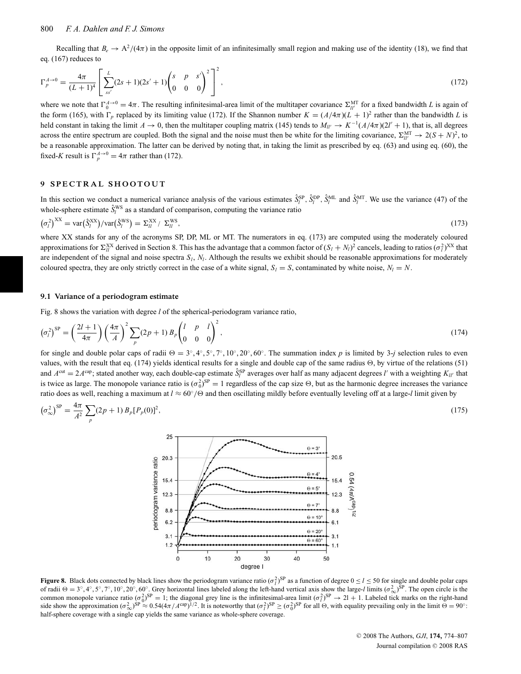#### 800 *F. A. Dahlen and F. J. Simons*

Recalling that  $B_e \to A^2/(4\pi)$  in the opposite limit of an infinitesimally small region and making use of the identity (18), we find that eq. (167) reduces to

$$
\Gamma_p^{A \to 0} = \frac{4\pi}{(L+1)^4} \left[ \sum_{ss'}^{L} (2s+1)(2s'+1) \begin{pmatrix} s & p & s' \\ 0 & 0 & 0 \end{pmatrix}^2 \right]^2,
$$
\n(172)

where we note that  $\Gamma_0^{A\to0} = 4\pi$ . The resulting infinitesimal-area limit of the multitaper covariance  $\Sigma_{ll'}^{\text{MT}}$  for a fixed bandwidth *L* is again of the form (165), with  $\Gamma_p$  replaced by its limiting value (172). If the Shannon number  $K = (A/4\pi)(L + 1)^2$  rather than the bandwidth *L* is held constant in taking the limit  $A \to 0$ , then the multitaper coupling matrix (145) tends to  $M_{ll'} \to K^{-1}(A/4\pi)(2l' + 1)$ , that is, all degrees across the entire spectrum are coupled. Both the signal and the noise must then be white for the limiting covariance,  $\Sigma_{ll'}^{\text{MT}} \rightarrow 2(S + N)^2$ , to be a reasonable approximation. The latter can be derived by noting that, in taking the limit as prescribed by eq. (63) and using eq. (60), the fixed-*K* result is  $\Gamma_p^{A\to 0} = 4\pi$  rather than (172).

### **9 SPECTRAL SHOOTOUT**

In this section we conduct a numerical variance analysis of the various estimates  $\hat{S}_l^{SP}$ ,  $\hat{S}_l^{DP}$ ,  $\hat{S}_l^{NP}$ ,  $\hat{S}_l^{MP}$ . We use the variance (47) of the whole-sphere estimate  $\hat{S}_l^{WS}$  as a standard of comparison, computing the variance ratio

$$
\left(\sigma_l^2\right)^{XX} = \text{var}\left(\hat{S}_l^{XX}\right) / \text{var}\left(\hat{S}_l^{WS}\right) = \Sigma_{ll}^{XX} / \Sigma_{ll}^{WS},\tag{173}
$$

where XX stands for any of the acronyms SP, DP, ML or MT. The numerators in eq. (173) are computed using the moderately coloured approximations for  $\Sigma_{ll}^{XX}$  derived in Section 8. This has the advantage that a common factor of  $(S_l + N_l)^2$  cancels, leading to ratios  $(\sigma_l^2)^{XX}$  that are independent of the signal and noise spectra  $S_l$ ,  $N_l$ . Although the results we exhibit should be reasonable approximations for moderately coloured spectra, they are only strictly correct in the case of a white signal,  $S_l = S$ , contaminated by white noise,  $N_l = N$ .

#### **9.1 Variance of a periodogram estimate**

Fig. 8 shows the variation with degree *l* of the spherical-periodogram variance ratio,

$$
\left(\sigma_l^2\right)^{SP} = \left(\frac{2l+1}{4\pi}\right) \left(\frac{4\pi}{A}\right)^2 \sum_p (2p+1) \, B_p \begin{pmatrix} l & p & l \\ 0 & 0 & 0 \end{pmatrix}^2,\tag{174}
$$

for single and double polar caps of radii  $\Theta = 3^\circ, 4^\circ, 5^\circ, 7^\circ, 10^\circ, 20^\circ, 60^\circ$ . The summation index *p* is limited by 3-*j* selection rules to even values, with the result that eq. (174) yields identical results for a single and double cap of the same radius  $\Theta$ , by virtue of the relations (51) and  $A^{cut} = 2A^{cap}$ ; stated another way, each double-cap estimate  $\hat{S}_l^{SP}$  averages over half as many adjacent degrees *l'* with a weighting  $K_{ll'}$  that is twice as large. The monopole variance ratio is  $(\sigma_0^2)^{SP} = 1$  regardless of the cap size  $\Theta$ , but as the harmonic degree increases the variance ratio does as well, reaching a maximum at  $l \approx 60°/ \Theta$  and then oscillating mildly before eventually leveling off at a large-*l* limit given by

$$
\left(\sigma_{\infty}^2\right)^{\text{SP}} = \frac{4\pi}{A^2} \sum_{p} (2p+1) \, B_p [P_p(0)]^2,\tag{175}
$$



**Figure 8.** Black dots connected by black lines show the periodogram variance ratio  $(\sigma_i^2)^{SP}$  as a function of degree  $0 \le l \le 50$  for single and double polar caps of radii  $\Theta = 3^{\circ}, 4^{\circ}, 5^{\circ}, 7^{\circ}, 10^{\circ}, 20^{\circ}, 60^{\circ}$ . Grey horizontal lines labeled along the left-hand vertical axis show the large-*l* limits  $(\sigma_{\infty}^2)^{\text{SP}}$ . The open circle is the common monopole variance ratio  $(\sigma_0^2)^{SP} = 1$ ; the diagonal grey line is the infinitesimal-area limit  $(\sigma_1^2)^{SP} \to 21 + 1$ . Labeled tick marks on the right-hand side show the approximation  $(\sigma_\infty^2)^{SP} \approx 0.54(4\pi/A^{cap})^{1/2$ half-sphere coverage with a single cap yields the same variance as whole-sphere coverage.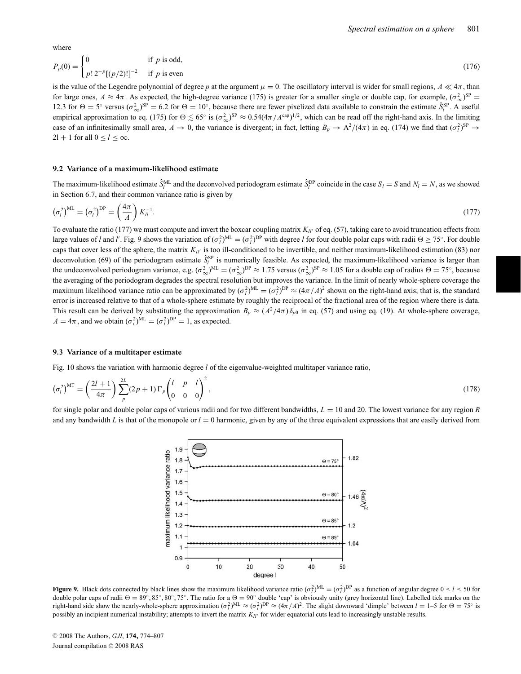where

$$
P_p(0) = \begin{cases} 0 & \text{if } p \text{ is odd,} \\ p! \ 2^{-p} [(p/2)!]^{-2} & \text{if } p \text{ is even} \end{cases}
$$
 (176)

is the value of the Legendre polynomial of degree p at the argument  $\mu = 0$ . The oscillatory interval is wider for small regions,  $A \ll 4\pi$ , than for large ones,  $A \approx 4\pi$ . As expected, the high-degree variance (175) is greater for a smaller single or double cap, for example,  $(\sigma_{\infty}^2)^{SP}$  = 12.3 for  $\Theta = 5^\circ$  versus  $(\sigma^2_{\infty})^{SP} = 6.2$  for  $\Theta = 10^\circ$ , because there are fewer pixelized data available to constrain the estimate  $\hat{S}_l^{SP}$ . A useful empirical approximation to eq. (175) for  $\Theta \lesssim 65^{\circ}$  is  $(\sigma_{\infty}^2)^{SP} \approx 0.54(4\pi/A^{cap})^{1/2}$ , which can be read off the right-hand axis. In the limiting case of an infinitesimally small area,  $A \to 0$ , the variance is divergent; in fact, letting  $B_p \to A^2/(4\pi)$  in eq. (174) we find that  $(\sigma_l^2)^{SP} \to$  $2l + 1$  for all  $0 \le l \le \infty$ .

### **9.2 Variance of a maximum-likelihood estimate**

The maximum-likelihood estimate  $\hat{S}_l^{\text{ML}}$  and the deconvolved periodogram estimate  $\hat{S}_l^{\text{DP}}$  coincide in the case  $S_l = S$  and  $N_l = N$ , as we showed in Section 6.7, and their common variance ratio is given by

$$
\left(\sigma_l^2\right)^{\text{ML}} = \left(\sigma_l^2\right)^{\text{DP}} = \left(\frac{4\pi}{A}\right)K_{ll}^{-1}.\tag{177}
$$

To evaluate the ratio (177) we must compute and invert the boxcar coupling matrix  $K_{ll'}$  of eq. (57), taking care to avoid truncation effects from large values of *l* and *l'*. Fig. 9 shows the variation of  $(\sigma_l^2)^{ML} = (\sigma_l^2)^{DP}$  with degree *l* for four double polar caps with radii  $\Theta \ge 75^\circ$ . For double caps that cover less of the sphere, the matrix  $K_{ll'}$  is too ill-conditioned to be invertible, and neither maximum-likelihood estimation (83) nor deconvolution (69) of the periodogram estimate  $\hat{S}_l^{\text{SP}}$  is numerically feasible. As expected, the maximum-likelihood variance is larger than the undeconvolved periodogram variance, e.g.  $(\sigma_{\infty}^2)^{ML} = (\sigma_{\infty}^2)^{DP} \approx 1.75$  versus  $(\sigma_{\infty}^2)^{SP} \approx 1.05$  for a double cap of radius  $\Theta = 75^{\circ}$ , because the averaging of the periodogram degrades the spectral resolution but improves the variance. In the limit of nearly whole-sphere coverage the maximum likelihood variance ratio can be approximated by  $(\sigma_l^2)^{ML} = (\sigma_l^2)^{DP} \approx (4\pi/A)^2$  shown on the right-hand axis; that is, the standard error is increased relative to that of a whole-sphere estimate by roughly the reciprocal of the fractional area of the region where there is data. This result can be derived by substituting the approximation  $B_p \approx (A^2/4\pi) \delta_{p0}$  in eq. (57) and using eq. (19). At whole-sphere coverage,  $A = 4\pi$ , and we obtain  $(\sigma_l^2)^{\text{ML}} = (\sigma_l^2)^{\text{DP}} = 1$ , as expected.

#### **9.3 Variance of a multitaper estimate**

Fig. 10 shows the variation with harmonic degree *l* of the eigenvalue-weighted multitaper variance ratio,

$$
\left(\sigma_l^2\right)^{\rm MT} = \left(\frac{2l+1}{4\pi}\right) \sum_{p}^{2L} (2p+1) \Gamma_p \begin{pmatrix} l & p & l \\ 0 & 0 & 0 \end{pmatrix}^2, \tag{178}
$$

for single polar and double polar caps of various radii and for two different bandwidths,  $L = 10$  and 20. The lowest variance for any region *R* and any bandwidth  $L$  is that of the monopole or  $l = 0$  harmonic, given by any of the three equivalent expressions that are easily derived from



**Figure 9.** Black dots connected by black lines show the maximum likelihood variance ratio  $(\sigma_l^2)^{ML} = (\sigma_l^2)^{DP}$  as a function of angular degree  $0 \le l \le 50$  for double polar caps of radii  $\Theta = 89^\circ, 85^\circ, 80^\circ, 75^\circ$ . The ratio for a  $\Theta = 90^\circ$  double 'cap' is obviously unity (grey horizontal line). Labelled tick marks on the right-hand side show the nearly-whole-sphere approximation  $(\sigma_l^2)^{ML} \approx (\sigma_l^2)^{DP} \approx (4\pi/A)^2$ . The slight downward 'dimple' between  $l = 1-5$  for  $\Theta = 75^\circ$  is possibly an incipient numerical instability; attempts to invert the matrix  $K_{ll'}$  for wider equatorial cuts lead to increasingly unstable results.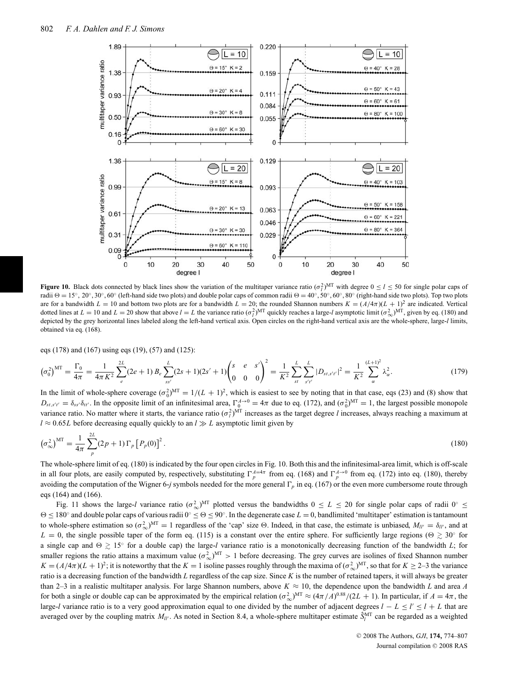

**Figure 10.** Black dots connected by black lines show the variation of the multitaper variance ratio  $(\sigma_l^2)^{MT}$  with degree  $0 \le l \le 50$  for single polar caps of radii  $\Theta = 15°$ , 20°, 30°, 60° (left-hand side two plots) and double polar caps of common radii  $\Theta = 40°$ , 50°, 60°, 80° (right-hand side two plots). Top two plots are for a bandwidth  $L = 10$  and bottom two plots are for a bandwidth  $L = 20$ ; the rounded Shannon numbers  $K = (A/4\pi)(L + 1)^2$  are indicated. Vertical dotted lines at  $L = 10$  and  $L = 20$  show that above  $l = L$  the variance ratio  $(\sigma_l^2)^{MT}$  quickly reaches a large-*l* asymptotic limit  $(\sigma_\infty^2)^{MT}$ , given by eq. (180) and depicted by the grey horizontal lines labeled along the left-hand vertical axis. Open circles on the right-hand vertical axis are the whole-sphere, large-*l* limits, obtained via eq. (168).

eqs (178) and (167) using eqs (19), (57) and (125):

$$
\left(\sigma_0^2\right)^{\text{MT}} = \frac{\Gamma_0}{4\pi} = \frac{1}{4\pi K^2} \sum_{e}^{2L} (2e+1) B_e \sum_{ss'}^{L} (2s+1)(2s'+1) \begin{pmatrix} s & e & s' \\ 0 & 0 & 0 \end{pmatrix}^2 = \frac{1}{K^2} \sum_{st}^{L} \sum_{s't'}^{L} |D_{st,s't'}|^2 = \frac{1}{K^2} \sum_{\alpha}^{(L+1)^2} \lambda_{\alpha}^2. \tag{179}
$$

In the limit of whole-sphere coverage  $(\sigma_0^2)^{MT} = 1/(L+1)^2$ , which is easiest to see by noting that in that case, eqs (23) and (8) show that  $D_{st,s't'} = \delta_{ss'}\delta_{tt'}$ . In the opposite limit of an infinitesimal area,  $\Gamma_0^{A\to 0} = 4\pi$  due to eq. (172), and  $(\sigma_0^2)^{MT} = 1$ , the largest possible monopole variance ratio. No matter where it starts, the variance ratio  $(\sigma_l^2)^{MT}$  increases as the target degree *l* increases, always reaching a maximum at  $l \approx 0.65L$  before decreasing equally quickly to an  $l \gg L$  asymptotic limit given by

$$
\left(\sigma_{\infty}^2\right)^{\rm MT} = \frac{1}{4\pi} \sum_{p}^{2L} (2p+1) \Gamma_p \left[P_p(0)\right]^2.
$$
 (180)

The whole-sphere limit of eq. (180) is indicated by the four open circles in Fig. 10. Both this and the infinitesimal-area limit, which is off-scale in all four plots, are easily computed by, respectively, substituting  $\Gamma_p^{A=4\pi}$  from eq. (168) and  $\Gamma_p^{A\to 0}$  from eq. (172) into eq. (180), thereby avoiding the computation of the Wigner 6-*j* symbols needed for the more general  $\Gamma_p$  in eq. (167) or the even more cumbersome route through eqs (164) and (166).

Fig. 11 shows the large-*l* variance ratio  $(\sigma_{\infty}^2)^{MT}$  plotted versus the bandwidths  $0 \le L \le 20$  for single polar caps of radii  $0^{\circ} \le$  ≤ 180◦ and double polar caps of various radii 0◦ ≤ ≤ 90◦. In the degenerate case *L* = 0, bandlimited 'multitaper' estimation is tantamount to whole-sphere estimation so  $(\sigma_{\infty}^2)^{MT} = 1$  regardless of the 'cap' size  $\Theta$ . Indeed, in that case, the estimate is unbiased,  $M_{ll'} = \delta_{ll'}$ , and at *L* = 0, the single possible taper of the form eq. (115) is a constant over the entire sphere. For sufficiently large regions ( $\Theta \gtrsim 30^\circ$  for a single cap and  $\Theta \ge 15^\circ$  for a double cap) the large-*l* variance ratio is a monotonically decreasing function of the bandwidth *L*; for smaller regions the ratio attains a maximum value  $(\sigma_{\infty}^2)^{MT} > 1$  before decreasing. The grey curves are isolines of fixed Shannon number  $K = (A/4\pi)(L+1)^2$ ; it is noteworthy that the  $K = 1$  isoline passes roughly through the maxima of  $(\sigma_{\infty}^2)^{MT}$ , so that for  $K \ge 2-3$  the variance ratio is a decreasing function of the bandwidth *L* regardless of the cap size. Since *K* is the number of retained tapers, it will always be greater than 2–3 in a realistic multitaper analysis. For large Shannon numbers, above  $K \approx 10$ , the dependence upon the bandwidth *L* and area *A* for both a single or double cap can be approximated by the empirical relation  $(\sigma_{\infty}^2)^{MT} \approx (4\pi/A)^{0.88}/(2L+1)$ . In particular, if  $A = 4\pi$ , the large-*l* variance ratio is to a very good approximation equal to one divided by the number of adjacent degrees *l* − *L* ≤ *l* ≤ *l* + *L* that are averaged over by the coupling matrix  $M_{ll'}$ . As noted in Section 8.4, a whole-sphere multitaper estimate  $\hat{S}_l^{\text{MT}}$  can be regarded as a weighted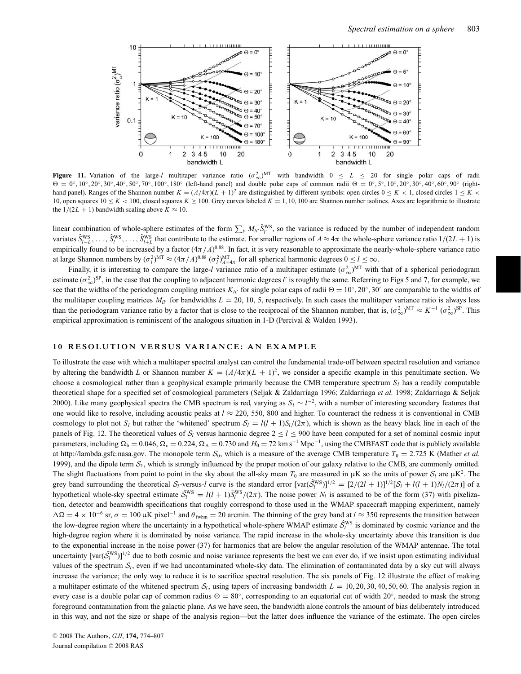

**Figure 11.** Variation of the large-*l* multitaper variance ratio  $(\sigma_{\infty}^2)^{MT}$  with bandwidth  $0 \leq L \leq 20$  for single polar caps of radii  $\Theta = 0^{\circ}, 10^{\circ}, 20^{\circ}, 30^{\circ}, 40^{\circ}, 50^{\circ}, 70^{\circ}, 100^{\circ}, 180^{\circ}$  (left-hand panel) and double polar caps of common radii  $\Theta = 0^{\circ}, 5^{\circ}, 10^{\circ}, 20^{\circ}, 30^{\circ}, 40^{\circ}, 60^{\circ}, 90^{\circ}$  (righthand panel). Ranges of the Shannon number  $K = (A/4\pi)(L+1)^2$  are distinguished by different symbols: open circles  $0 \le K < 1$ , closed circles  $1 \le K < 1$ 10, open squares  $10 \le K < 100$ , closed squares  $K \ge 100$ . Grey curves labeled  $K = 1, 10, 100$  are Shannon number isolines. Axes are logarithmic to illustrate the  $1/(2L + 1)$  bandwidth scaling above  $K \approx 10$ .

linear combination of whole-sphere estimates of the form  $\sum_{l'} M_{ll'} \hat{S}_{l'}^{\text{WS}}$ , so the variance is reduced by the number of independent random variates  $\hat{S}_{l-L}^{WS}, \ldots, \hat{S}_{l}^{WS}, \ldots, \hat{S}_{l+L}^{WS}$  that contribute to the estimate. For smaller regions of  $A \approx 4\pi$  the whole-sphere variance ratio  $1/(2L+1)$  is empirically found to be increased by a factor  $(4\pi/A)^{0.88}$ . In fact, it is very reasonable to approximate the nearly-whole-sphere variance ratio at large Shannon numbers by  $(\sigma_l^2)^{MT} \approx (4\pi/A)^{0.88} (\sigma_l^2)^{MT}_{A=4\pi}$  for all spherical harmonic degrees  $0 \le l \le \infty$ .

Finally, it is interesting to compare the large-*l* variance ratio of a multitaper estimate  $(\sigma_{\infty}^2)^{MT}$  with that of a spherical periodogram estimate  $(\sigma_{\infty}^2)^{SP}$ , in the case that the coupling to adjacent harmonic degrees *l'* is roughly the same. Referring to Figs 5 and 7, for example, we see that the widths of the periodogram coupling matrices  $K_{ll'}$  for single polar caps of radii  $\Theta = 10°, 20°, 30°$  are comparable to the widths of the multitaper coupling matrices  $M_{ll'}$  for bandwidths  $L = 20, 10, 5$ , respectively. In such cases the multitaper variance ratio is always less than the periodogram variance ratio by a factor that is close to the reciprocal of the Shannon number, that is,  $(\sigma_{\infty}^2)^{MT} \approx K^{-1} (\sigma_{\infty}^2)^{SP}$ . This empirical approximation is reminiscent of the analogous situation in 1-D (Percival & Walden 1993).

# **10 RESOLUTION VERSUS VARIANCE: AN EXAMPLE**

To illustrate the ease with which a multitaper spectral analyst can control the fundamental trade-off between spectral resolution and variance by altering the bandwidth *L* or Shannon number  $K = (A/4\pi)(L + 1)^2$ , we consider a specific example in this penultimate section. We choose a cosmological rather than a geophysical example primarily because the CMB temperature spectrum  $S_l$  has a readily computable theoretical shape for a specified set of cosmological parameters (Seljak & Zaldarriaga 1996; Zaldarriaga *et al.* 1998; Zaldarriaga & Seljak 2000). Like many geophysical spectra the CMB spectrum is red, varying as  $S_l \sim l^{-2}$ , with a number of interesting secondary features that one would like to resolve, including acoustic peaks at  $l \approx 220, 550, 800$  and higher. To counteract the redness it is conventional in CMB cosmology to plot not  $S_l$  but rather the 'whitened' spectrum  $S_l = l(l+1)S_l/(2\pi)$ , which is shown as the heavy black line in each of the panels of Fig. 12. The theoretical values of  $S_l$  versus harmonic degree  $2 \le l \le 900$  have been computed for a set of nominal cosmic input parameters, including  $\Omega_b = 0.046$ ,  $\Omega_c = 0.224$ ,  $\Omega_{\Lambda} = 0.730$  and  $H_0 = 72$  km s<sup>-1</sup> Mpc<sup>-1</sup>, using the CMBFAST code that is publicly available at http://lambda.gsfc.nasa.gov. The monopole term  $S_0$ , which is a measure of the average CMB temperature  $T_0 = 2.725$  K (Mather *et al.*) 1999), and the dipole term  $S_1$ , which is strongly influenced by the proper motion of our galaxy relative to the CMB, are commonly omitted. The slight fluctuations from point to point in the sky about the all-sky mean  $T_0$  are measured in  $\mu$ K so the units of power  $S_l$  are  $\mu$ K<sup>2</sup>. The grey band surrounding the theoretical  $S_l$ -versus-*l* curve is the standard error  $[\text{var}(\hat{S}_l^{\text{WS}})]^{1/2} = [2/(2l+1)]^{1/2}[\mathcal{S}_l + l(l+1)N_l/(2\pi)]$  of a hypothetical whole-sky spectral estimate  $\hat{S}_l^{WS} = l(l+1)\hat{S}_l^{WS}/(2\pi)$ . The noise power  $N_l$  is assumed to be of the form (37) with pixelization, detector and beamwidth specifications that roughly correspond to those used in the WMAP spacecraft mapping experiment, namely  $\Delta\Omega = 4 \times 10^{-6}$  sr,  $\sigma = 100 \,\mu\text{K pixel}^{-1}$  and  $\theta_{\text{fwhm}} = 20$  arcmin. The thinning of the grey band at  $l \approx 350$  represents the transition between the low-degree region where the uncertainty in a hypothetical whole-sphere WMAP estimate  $\hat{S}_l^{WS}$  is dominated by cosmic variance and the high-degree region where it is dominated by noise variance. The rapid increase in the whole-sky uncertainty above this transition is due to the exponential increase in the noise power (37) for harmonics that are below the angular resolution of the WMAP antennae. The total uncertainty  $[var(\hat{S}_l^{WS})]^{1/2}$  due to both cosmic and noise variance represents the best we can ever do, if we insist upon estimating individual values of the spectrum S*<sup>l</sup>* , even if we had uncontaminated whole-sky data. The elimination of contaminated data by a sky cut will always increase the variance; the only way to reduce it is to sacrifice spectral resolution. The six panels of Fig. 12 illustrate the effect of making a multitaper estimate of the whitened spectrum  $S_l$ , using tapers of increasing bandwidth  $L = 10, 20, 30, 40, 50, 60$ . The analysis region in every case is a double polar cap of common radius  $\Theta = 80^\circ$ , corresponding to an equatorial cut of width 20°, needed to mask the strong foreground contamination from the galactic plane. As we have seen, the bandwidth alone controls the amount of bias deliberately introduced in this way, and not the size or shape of the analysis region—but the latter does influence the variance of the estimate. The open circles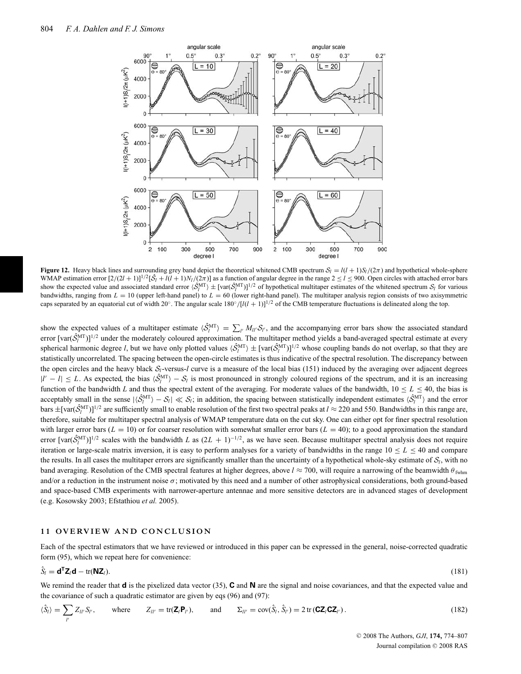

**Figure 12.** Heavy black lines and surrounding grey band depict the theoretical whitened CMB spectrum  $S_l = l(l+1)S_l/(2\pi)$  and hypothetical whole-sphere WMAP estimation error  $\left[\frac{2}{(2l+1)}\right]^{1/2} \left[\frac{S_l}{(l+1)}\right]^{1/2}$  as a function of angular degree in the range  $2 \le l \le 900$ . Open circles with attached error bars  $\hat{I}_l + l(l+1)N_l/(2\pi)$ ] as a function of angular degree in the range  $2 \le l \le 900$ . Open circles with attached error bars show the expected value and associated standard error  $\langle \hat{S}_l^{\text{MT}} \rangle \pm [\text{var}(\hat{S}_l^{\text{MT}})]^{1/2}$  of hypothetical multitaper estimates of the whitened spectrum  $S_l$  for various bandwidths, ranging from *L* = 10 (upper left-hand panel) to *L* = 60 (lower right-hand panel). The multitaper analysis region consists of two axisymmetric caps separated by an equatorial cut of width 20°. The angular scale  $180°/[[(l+1)]^{1/2}$  of the CMB temperature fluctuations is delineated along the top.

show the expected values of a multitaper estimate  $\langle \hat{S}_l^{MT} \rangle = \sum_{l'} M_{ll'} S_{l'}$ , and the accompanying error bars show the associated standard error  $[var(\hat{S}_l^{\text{MT}})]^{1/2}$  under the moderately coloured approximation. The multitaper method yields a band-averaged spectral estimate at every spherical harmonic degree *l*, but we have only plotted values  $\langle \hat{S}_l^{\text{MT}} \rangle \pm [\text{var}(\hat{S}_l^{\text{MT}})]^{1/2}$  whose coupling bands do not overlap, so that they are statistically uncorrelated. The spacing between the open-circle estimates is thus indicative of the spectral resolution. The discrepancy between the open circles and the heavy black  $S_l$ -versus-*l* curve is a measure of the local bias (151) induced by the averaging over adjacent degrees  $|l' - l| \le L$ . As expected, the bias  $\langle \hat{S}_l^{\text{MT}} \rangle - S_l$  is most pronounced in strongly coloured regions of the spectrum, and it is an increasing function of the bandwidth *L* and thus the spectral extent of the averaging. For moderate values of the bandwidth,  $10 \le L \le 40$ , the bias is acceptably small in the sense  $|\langle \hat{S}_l^{\text{MT}} \rangle - S_l| \ll S_l$ ; in addition, the spacing between statistically independent estimates  $\langle \hat{S}_l^{\text{MT}} \rangle$  and the error bars  $\pm$ [var( $\hat{S}_l^{\text{MT}}$ ]]<sup>1/2</sup> are sufficiently small to enable resolution of the first two spectral peaks at  $l \approx 220$  and 550. Bandwidths in this range are, therefore, suitable for multitaper spectral analysis of WMAP temperature data on the cut sky. One can either opt for finer spectral resolution with larger error bars ( $L = 10$ ) or for coarser resolution with somewhat smaller error bars ( $L = 40$ ); to a good approximation the standard error  $[var(\hat{S}_l^{\text{MT}})]^{1/2}$  scales with the bandwidth *L* as  $(2L + 1)^{-1/2}$ , as we have seen. Because multitaper spectral analysis does not require iteration or large-scale matrix inversion, it is easy to perform analyses for a variety of bandwidths in the range  $10 \le L \le 40$  and compare the results. In all cases the multitaper errors are significantly smaller than the uncertainty of a hypothetical whole-sky estimate of  $S_l$ , with no band averaging. Resolution of the CMB spectral features at higher degrees, above  $l \approx 700$ , will require a narrowing of the beamwidth  $\theta_{\text{fwhm}}$ and/or a reduction in the instrument noise  $\sigma$ ; motivated by this need and a number of other astrophysical considerations, both ground-based and space-based CMB experiments with narrower-aperture antennae and more sensitive detectors are in advanced stages of development (e.g. Kosowsky 2003; Efstathiou *et al.* 2005).

# 11 OVERVIEW AND CONCLUSION

Each of the spectral estimators that we have reviewed or introduced in this paper can be expressed in the general, noise-corrected quadratic form (95), which we repeat here for convenience:

$$
\hat{S}_l = d^{\mathsf{T}} Z_l d - \text{tr}(\mathsf{N} Z_l). \tag{181}
$$

We remind the reader that **d** is the pixelized data vector (35), **C** and **N** are the signal and noise covariances, and that the expected value and the covariance of such a quadratic estimator are given by eqs (96) and (97):

$$
\langle \hat{S}_l \rangle = \sum_{l'} Z_{ll'} S_{l'}, \quad \text{where} \quad Z_{ll'} = \text{tr}(\mathbf{Z}_l \mathbf{P}_{l'}), \quad \text{and} \quad \Sigma_{ll'} = \text{cov}(\hat{S}_l, \hat{S}_{l'}) = 2 \text{ tr}(\mathbf{CZ}_l \mathbf{CZ}_{l'}) \,.
$$
 (182)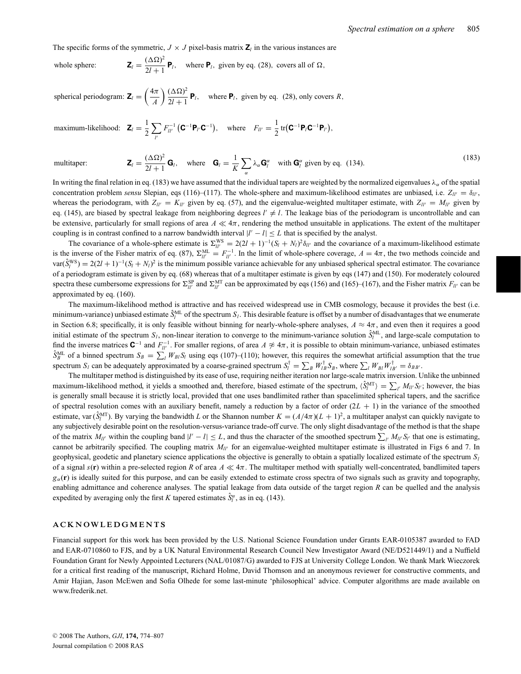The specific forms of the symmetric,  $J \times J$  pixel-basis matrix  $\mathbf{Z}_l$  in the various instances are

whole sphere:  $\mathbf{Z}_l = \frac{(\Delta \Omega)^2}{2l+1}$  $\frac{(22i)}{2l+1}$  **P**<sup>*l*</sup>, where **P**<sup>*l*</sup>, given by eq. (28), covers all of  $\Omega$ ,

spherical periodogram:  $\mathbf{Z}_l = \left(\frac{4\pi}{4}\right)$ *A*  $\left(\Delta \Omega\right)^2$  $\frac{2I-1}{2I+1}$  **P**<sub>*l*</sub>, where **P**<sub>*l*</sub>, given by eq. (28), only covers *R*,

maximum-likelihood:  $\mathbf{Z}_l = \frac{1}{2}$  $\sum$ *l*  $F_{ll'}^{-1}$  (**C**<sup>-1</sup>**P**<sub>*l*</sub><sup>C</sup><sup>-1</sup>), where  $F_{ll'} = \frac{1}{2}$  tr(**C**<sup>-1</sup>**P**<sub>*l*</sub>C<sup>-1</sup>**P**<sub>*l*</sub>),

 $multitaper.$ 

$$
\mathbf{Z}_{l} = \frac{(\Delta\Omega)^{2}}{2l+1} \mathbf{G}_{l}, \text{ where } \mathbf{G}_{l} = \frac{1}{K} \sum_{\alpha} \lambda_{\alpha} \mathbf{G}_{l}^{\alpha} \text{ with } \mathbf{G}_{l}^{\alpha} \text{ given by eq. (134).}
$$
\n(183)

In writing the final relation in eq. (183) we have assumed that the individual tapers are weighted by the normalized eigenvalues  $\lambda_{\alpha}$  of the spatial concentration problem *sensu* Slepian, eqs (116)–(117). The whole-sphere and maximum-likelihood estimates are unbiased, i.e.  $Z_{ll'} = \delta_{ll'}$ , whereas the periodogram, with  $Z_{ll'} = K_{ll'}$  given by eq. (57), and the eigenvalue-weighted multitaper estimate, with  $Z_{ll'} = M_{ll'}$  given by eq. (145), are biased by spectral leakage from neighboring degrees  $l' \neq l$ . The leakage bias of the periodogram is uncontrollable and can be extensive, particularly for small regions of area  $A \ll 4\pi$ , rendering the method unsuitable in applications. The extent of the multitaper coupling is in contrast confined to a narrow bandwidth interval  $|l'-l| \leq L$  that is specified by the analyst.

The covariance of a whole-sphere estimate is  $\Sigma_{ll'}^{\text{WS}} = 2(2l+1)^{-1}(S_l+N_l)^2 \delta_{ll'}$  and the covariance of a maximum-likelihood estimate is the inverse of the Fisher matrix of eq. (87),  $\Sigma_{ll'}^{\text{ML}} = F_{ll'}^{-1}$ . In the limit of whole-sphere coverage,  $A = 4\pi$ , the two methods coincide and  $var(\hat{S}_l^{\text{WS}}) = 2(2l + 1)^{-1}(S_l + N_l)^2$  is the minimum possible variance achievable for any unbiased spherical spectral estimator. The covariance of a periodogram estimate is given by eq. (68) whereas that of a multitaper estimate is given by eqs (147) and (150). For moderately coloured spectra these cumbersome expressions for  $\Sigma_{ll'}^{\text{SP}}$  and  $\Sigma_{ll'}^{\text{MT}}$  can be approximated by eqs (156) and (165)–(167), and the Fisher matrix  $F_{ll'}$  can be approximated by eq. (160).

The maximum-likelihood method is attractive and has received widespread use in CMB cosmology, because it provides the best (i.e. minimum-variance) unbiased estimate  $\hat{S}_l^{\text{ML}}$  of the spectrum  $S_l$ . This desirable feature is offset by a number of disadvantages that we enumerate in Section 6.8; specifically, it is only feasible without binning for nearly-whole-sphere analyses,  $A \approx 4\pi$ , and even then it requires a good initial estimate of the spectrum  $S_l$ , non-linear iteration to converge to the minimum-variance solution  $\hat{S}_l^{ML}$ , and large-scale computation to find the inverse matrices  $C^{-1}$  and  $F^{-1}_{ll'}$ . For smaller regions, of area  $A \not\approx 4\pi$ , it is possible to obtain minimum-variance, unbiased estimates  $\hat{S}_B^{\text{ML}}$  of a binned spectrum  $S_B = \sum_l W_{Bl} S_l$  using eqs (107)–(110); however, this requires the somewhat artificial assumption that the true spectrum  $S_l$  can be adequately approximated by a coarse-grained spectrum  $S_l^{\dagger} = \sum_B W_{IB}^{\dagger} S_B$ , where  $\sum_l W_{Bl} W_{l}^{\dagger} = \delta_{BB'}$ .

The multitaper method is distinguished by its ease of use, requiring neither iteration nor large-scale matrix inversion. Unlike the unbinned maximum-likelihood method, it yields a smoothed and, therefore, biased estimate of the spectrum,  $\langle \hat{S}_l^{\text{MT}} \rangle = \sum_{l'} M_{ll'} S_{l'}$ ; however, the bias is generally small because it is strictly local, provided that one uses bandlimited rather than spacelimited spherical tapers, and the sacrifice of spectral resolution comes with an auxiliary benefit, namely a reduction by a factor of order  $(2L + 1)$  in the variance of the smoothed estimate, var  $(\hat{S}_l^{\text{MT}})$ . By varying the bandwidth *L* or the Shannon number  $K = (A/4\pi)(L+1)^2$ , a multitaper analyst can quickly navigate to any subjectively desirable point on the resolution-versus-variance trade-off curve. The only slight disadvantage of the method is that the shape of the matrix  $M_{ll'}$  within the coupling band  $|l'-l| \leq L$ , and thus the character of the smoothed spectrum  $\sum_{l'} M_{ll'} S_{l'}$  that one is estimating, cannot be arbitrarily specified. The coupling matrix  $M_{ll'}$  for an eigenvalue-weighted multitaper estimate is illustrated in Figs 6 and 7. In geophysical, geodetic and planetary science applications the objective is generally to obtain a spatially localized estimate of the spectrum  $S_l$ of a signal  $s(\mathbf{r})$  within a pre-selected region *R* of area  $A \ll 4\pi$ . The multitaper method with spatially well-concentrated, bandlimited tapers  $g_\alpha(\mathbf{r})$  is ideally suited for this purpose, and can be easily extended to estimate cross spectra of two signals such as gravity and topography, enabling admittance and coherence analyses. The spatial leakage from data outside of the target region *R* can be quelled and the analysis expedited by averaging only the first *K* tapered estimates  $\hat{S}_l^{\alpha}$ , as in eq. (143).

# **ACKNOWLEDGMENTS**

Financial support for this work has been provided by the U.S. National Science Foundation under Grants EAR-0105387 awarded to FAD and EAR-0710860 to FJS, and by a UK Natural Environmental Research Council New Investigator Award (NE/D521449/1) and a Nuffield Foundation Grant for Newly Appointed Lecturers (NAL/01087/G) awarded to FJS at University College London. We thank Mark Wieczorek for a critical first reading of the manuscript, Richard Holme, David Thomson and an anonymous reviewer for constructive comments, and Amir Hajian, Jason McEwen and Sofia Olhede for some last-minute 'philosophical' advice. Computer algorithms are made available on www.frederik.net.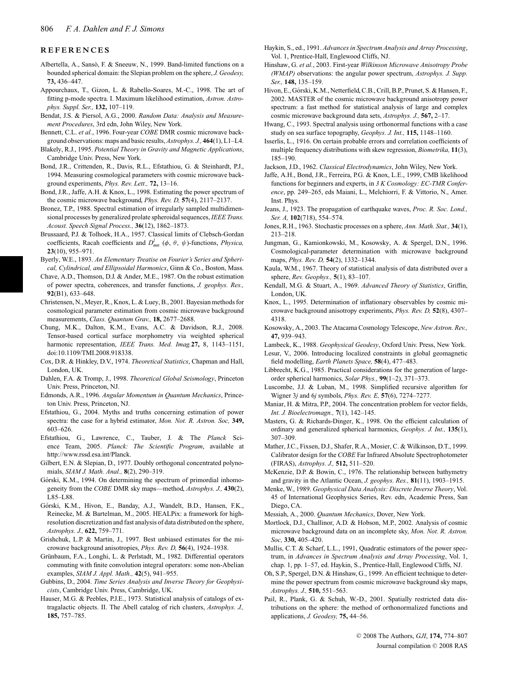# **REFERENCES**

- Albertella, A., Sansò, F. & Sneeuw, N., 1999. Band-limited functions on a bounded spherical domain: the Slepian problem on the sphere, *J. Geodesy,* **73,** 436–447.
- Appourchaux, T., Gizon, L. & Rabello-Soares, M.-C., 1998. The art of fitting p-mode spectra. I. Maximum likelihood estimation, *Astron. Astrophys. Suppl. Ser.,* **132,** 107–119.
- Bendat, J.S. & Piersol, A.G., 2000. *Random Data: Analysis and Measurement Procedures*, 3rd edn, John Wiley, New York.
- Bennett, C.L. *et al.*, 1996. Four-year *COBE* DMR cosmic microwave background observations: maps and basic results, *Astrophys. J.,* **464**(1), L1–L4.
- Blakely, R.J., 1995. *Potential Theory in Gravity and Magnetic Applications*, Cambridge Univ. Press, New York.
- Bond, J.R., Crittenden, R., Davis, R.L., Efstathiou, G. & Steinhardt, P.J., 1994. Measuring cosmological parameters with cosmic microwave background experiments, *Phys. Rev. Lett.,* **72,** 13–16.
- Bond, J.R., Jaffe, A.H. & Knox, L., 1998. Estimating the power spectrum of the cosmic microwave background, *Phys. Rev. D,* **57**(4), 2117–2137.
- Bronez, T.P., 1988. Spectral estimation of irregularly sampled multidimensional processes by generalized prolate spheroidal sequences,*IEEE Trans. Acoust. Speech Signal Process.,* **36**(12), 1862–1873.
- Brussaard, P.J. & Tolhoek, H.A., 1957. Classical limits of Clebsch-Gordan coefficients, Racah coefficients and  $D_{mn}^l$  ( $\phi$ ,  $\theta$ ,  $\psi$ )-functions, *Physica*, **23**(10), 955–971.
- Byerly, W.E., 1893. *An Elementary Treatise on Fourier's Series and Spherical, Cylindrical, and Ellipsoidal Harmonics*, Ginn & Co., Boston, Mass.
- Chave, A.D., Thomson, D.J. & Ander, M.E., 1987. On the robust estimation of power spectra, coherences, and transfer functions, *J. geophys. Res.,* **92**(B1), 633–648.
- Christensen, N., Meyer, R., Knox, L. & Luey, B., 2001. Bayesian methods for cosmological parameter estimation from cosmic microwave background measurements, *Class. Quantum Grav.,* **18,** 2677–2688.
- Chung, M.K., Dalton, K.M., Evans, A.C. & Davidson, R.J., 2008. Tensor-based cortical surface morphometry via weighted spherical harmonic representation, *IEEE Trans. Med. Imag.***27,** 8, 1143–1151, doi:10.1109/TMI.2008.918338.
- Cox, D.R. & Hinkley, D.V., 1974. *Theoretical Statistics*, Chapman and Hall, London, UK.
- Dahlen, F.A. & Tromp, J., 1998. *Theoretical Global Seismology*, Princeton Univ. Press, Princeton, NJ.
- Edmonds, A.R., 1996. *Angular Momentum in Quantum Mechanics*, Princeton Univ. Press, Princeton, NJ.
- Efstathiou, G., 2004. Myths and truths concerning estimation of power spectra: the case for a hybrid estimator, *Mon. Not. R. Astron. Soc,* **349,** 603–626.
- Efstathiou, G., Lawrence, C., Tauber, J. & The *Planck* Science Team, 2005. *Planck: The Scientific Program*, available at http://www.rssd.esa.int/Planck.
- Gilbert, E.N. & Slepian, D., 1977. Doubly orthogonal concentrated polynomials, *SIAM J. Math. Anal.,* **8**(2), 290–319.
- Górski, K.M., 1994. On determining the spectrum of primordial inhomogeneity from the *COBE* DMR sky maps—method, *Astrophys. J.,* **430**(2), L85–L88.
- Górski, K.M., Hivon, E., Banday, A.J., Wandelt, B.D., Hansen, F.K., Reinecke, M. & Bartelman, M., 2005. HEALPix: a framework for highresolution discretization and fast analysis of data distributed on the sphere, *Astrophys. J.,* **622,** 759–771.
- Grishchuk, L.P. & Martin, J., 1997. Best unbiased estimates for the microwave background anisotropies, *Phys. Rev. D,* **56**(4), 1924–1938.
- Grünbaum, F.A., Longhi, L. & Perlstadt, M., 1982. Differential operators commuting with finite convolution integral operators: some non-Abelian examples, *SIAM J. Appl. Math.,* **42**(5), 941–955.
- Gubbins, D., 2004. *Time Series Analysis and Inverse Theory for Geophysicists*, Cambridge Univ. Press, Cambridge, UK.
- Hauser, M.G. & Peebles, P.J.E., 1973. Statistical analysis of catalogs of extragalactic objects. II. The Abell catalog of rich clusters, *Astrophys. J.,* **185,** 757–785.
- Haykin, S., ed., 1991. *Advances in Spectrum Analysis and Array Processing*, Vol. 1, Prentice-Hall, Englewood Cliffs, NJ.
- Hinshaw, G. *et al.*, 2003. First-year *Wilkinson Microwave Anisotropy Probe (WMAP)* observations: the angular power spectrum, *Astrophys. J. Supp. Ser.,* **148,** 135–159.
- Hivon, E., Górski, K.M., Netterfield, C.B., Crill, B.P., Prunet, S. & Hansen, F., 2002. MASTER of the cosmic microwave background anisotropy power spectrum: a fast method for statistical analysis of large and complex cosmic microwave background data sets, *Astrophys. J.,* **567,** 2–17.
- Hwang, C., 1993. Spectral analysis using orthonormal functions with a case study on sea surface topography, *Geophys. J. Int.,* **115,** 1148–1160.
- Isserlis, L., 1916. On certain probable errors and correlation coefficients of multiple frequency distributions with skew regression, *Biometrika,* **11**(3), 185–190.
- Jackson, J.D., 1962. *Classical Electrodynamics*, John Wiley, New York.
- Jaffe, A.H., Bond, J.R., Ferreira, P.G. & Knox, L.E., 1999, CMB likelihood functions for beginners and experts, in *3 K Cosmology: EC-TMR Conference*, pp. 249–265, eds Maiani, L., Melchiorri, F. & Vittorio, N., Amer. Inst. Phys.
- Jeans, J., 1923. The propagation of earthquake waves, *Proc. R. Soc. Lond., Ser. A,* **102**(718), 554–574.
- Jones, R.H., 1963. Stochastic processes on a sphere, *Ann. Math. Stat.,* **34**(1), 213–218.
- Jungman, G., Kamionkowski, M., Kosowsky, A. & Spergel, D.N., 1996. Cosmological-parameter determination with microwave background maps, *Phys. Rev. D,* **54**(2), 1332–1344.
- Kaula, W.M., 1967. Theory of statistical analysis of data distributed over a sphere, *Rev. Geophys.,* **5**(1), 83–107.
- Kendall, M.G. & Stuart, A., 1969. *Advanced Theory of Statistics*, Griffin, London, UK.
- Knox, L., 1995. Determination of inflationary observables by cosmic microwave background anisotropy experiments, *Phys. Rev. D,* **52**(8), 4307– 4318.
- Kosowsky, A., 2003. The Atacama Cosmology Telescope, *New Astron. Rev.,* **47,** 939–943.
- Lambeck, K., 1988. *Geophysical Geodesy*, Oxford Univ. Press, New York.
- Lesur, V., 2006. Introducing localized constraints in global geomagnetic field modelling, *Earth Planets Space,* **58**(4), 477–483.
- Libbrecht, K.G., 1985. Practical considerations for the generation of largeorder spherical harmonics, *Solar Phys.,* **99**(1–2), 371–373.
- Luscombe, J.J. & Luban, M., 1998. Simplified recursive algorithm for Wigner 3*j* and 6*j* symbols, *Phys. Rev. E,* **57**(6), 7274–7277.
- Maniar, H. & Mitra, P.P., 2004. The concentration problem for vector fields, *Int. J. Bioelectromagn.,* **7**(1), 142–145.
- Masters, G. & Richards-Dinger, K., 1998. On the efficient calculation of ordinary and generalized spherical harmonics, *Geophys. J. Int.,* **135**(1), 307–309.
- Mather, J.C., Fixsen, D.J., Shafer, R.A., Mosier, C. & Wilkinson, D.T., 1999. Calibrator design for the *COBE* Far Infrared Absolute Spectrophotometer (FIRAS), *Astrophys. J.,* **512,** 511–520.
- McKenzie, D.P. & Bowin, C., 1976. The relationship between bathymetry and gravity in the Atlantic Ocean, *J. geophys. Res.,* **81**(11), 1903–1915.
- Menke, W., 1989. *Geophysical Data Analysis: Discrete Inverse Theory*, Vol. 45 of International Geophysics Series, Rev. edn, Academic Press, San Diego, CA.
- Messiah, A., 2000. *Quantum Mechanics*, Dover, New York.
- Mortlock, D.J., Challinor, A.D. & Hobson, M.P., 2002. Analysis of cosmic microwave background data on an incomplete sky, *Mon. Not. R. Astron. Soc,* **330,** 405–420.
- Mullis, C.T. & Scharf, L.L., 1991, Quadratic estimators of the power spectrum, in *Advances in Spectrum Analysis and Array Processing*, Vol. 1, chap. 1, pp. 1–57, ed. Haykin, S., Prentice-Hall, Englewood Cliffs, NJ.
- Oh, S.P., Spergel, D.N. & Hinshaw, G., 1999. An efficient technique to determine the power spectrum from cosmic microwave background sky maps, *Astrophys. J.,* **510,** 551–563.
- Pail, R., Plank, G. & Schuh, W.-D., 2001. Spatially restricted data distributions on the sphere: the method of orthonormalized functions and applications, *J. Geodesy,* **75,** 44–56.